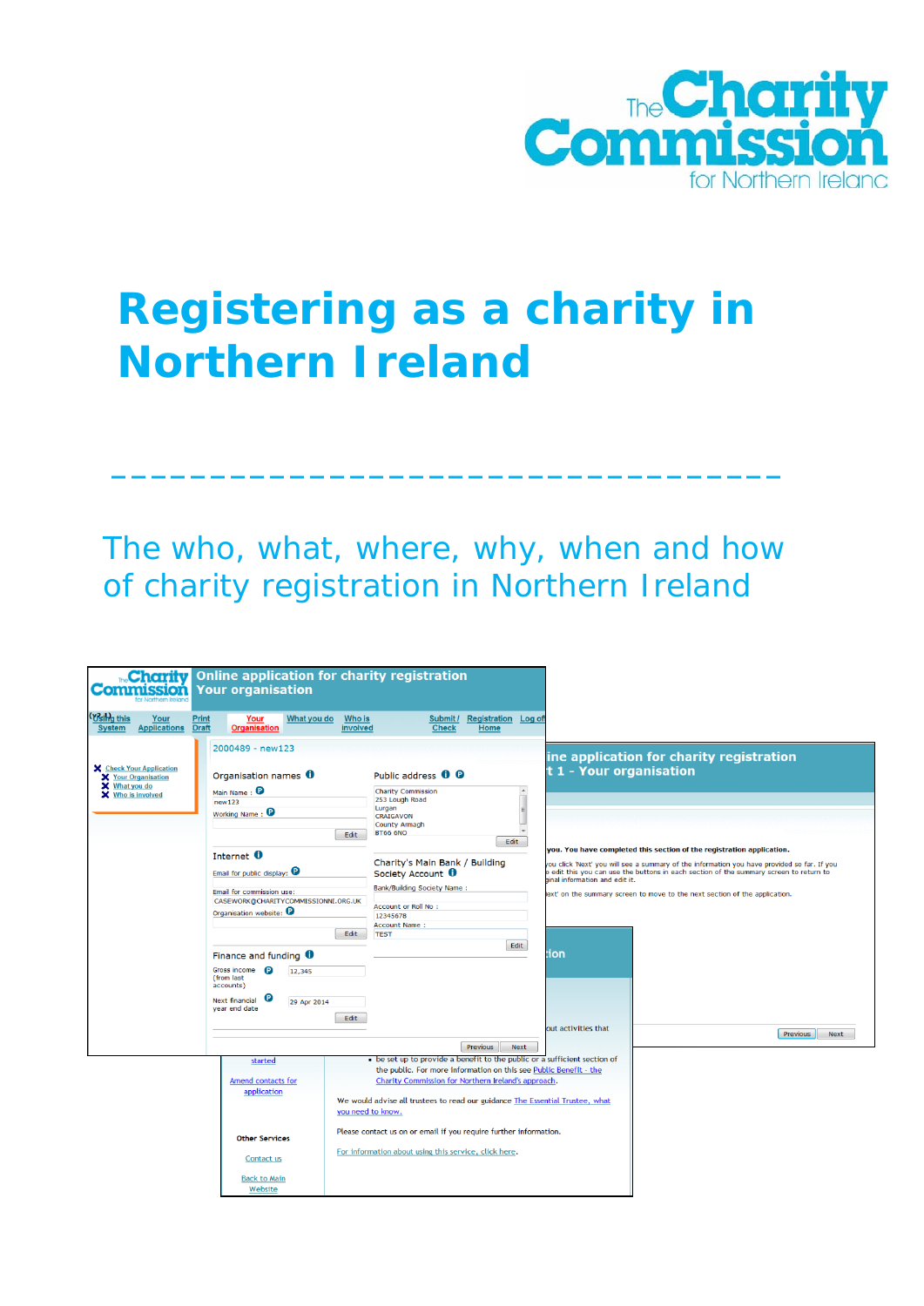

# **Registering as a charity in Northern Ireland**

The who, what, where, why, when and how of charity registration in Northern Ireland

**\_\_\_\_\_\_\_\_\_\_\_\_\_\_\_\_\_\_\_\_\_\_\_\_\_\_\_\_\_\_\_\_\_\_**

| 5500                                                                              | <b>Charity</b> Online application for charity registration<br><b>Your organisation</b> |                                                                                    |                                                                            |                                                                                            |
|-----------------------------------------------------------------------------------|----------------------------------------------------------------------------------------|------------------------------------------------------------------------------------|----------------------------------------------------------------------------|--------------------------------------------------------------------------------------------|
| (Vsing this<br><b>Print</b><br>Your<br><b>Applications Draft</b><br><b>System</b> | What you do<br>Your<br><b>Organisation</b>                                             | <b>Who is</b><br>Submit / Registration Log off<br><b>Check</b><br>involved<br>Home |                                                                            |                                                                                            |
|                                                                                   | 2000489 - new123                                                                       |                                                                                    | ine application for charity registration                                   |                                                                                            |
| X Check Your Application<br>X Your Organisation                                   | Organisation names 0                                                                   | Public address <b>0 0</b>                                                          | t 1 - Your organisation                                                    |                                                                                            |
| X What you do<br>X Who is involved                                                | Main Name: <sup>0</sup>                                                                | <b>Charity Commission</b>                                                          |                                                                            |                                                                                            |
|                                                                                   | new123                                                                                 | 253 Lough Road<br>Lurgan                                                           |                                                                            |                                                                                            |
|                                                                                   | Working Name: <sup>9</sup>                                                             | <b>CRAIGAVON</b>                                                                   |                                                                            |                                                                                            |
|                                                                                   |                                                                                        | <b>County Armagh</b>                                                               |                                                                            |                                                                                            |
|                                                                                   |                                                                                        | <b>BT66 6NO</b><br>Edit<br>Edit                                                    |                                                                            |                                                                                            |
|                                                                                   |                                                                                        |                                                                                    | you. You have completed this section of the registration application.      |                                                                                            |
|                                                                                   | Internet <b>O</b>                                                                      | Charity's Main Bank / Building                                                     |                                                                            | ou click 'Next' you will see a summary of the information you have provided so far. If you |
|                                                                                   | Email for public display: $\mathbf \Theta$                                             | Society Account <sup>0</sup>                                                       | inal information and edit it.                                              | edit this you can use the buttons in each section of the summary screen to return to       |
|                                                                                   | Email for commission use:                                                              | <b>Bank/Building Society Name:</b>                                                 | ext' on the summary screen to move to the next section of the application. |                                                                                            |
|                                                                                   | CASEWORK@CHARITYCOMMISSIONNI.ORG.UK                                                    | Account or Roll No :                                                               |                                                                            |                                                                                            |
|                                                                                   | Organisation website:                                                                  | 12345678                                                                           |                                                                            |                                                                                            |
|                                                                                   |                                                                                        | <b>Account Name:</b>                                                               |                                                                            |                                                                                            |
|                                                                                   |                                                                                        | Edit<br><b>TEST</b>                                                                |                                                                            |                                                                                            |
|                                                                                   |                                                                                        | Edit                                                                               |                                                                            |                                                                                            |
|                                                                                   | Finance and funding $\bullet$                                                          |                                                                                    | ion                                                                        |                                                                                            |
|                                                                                   | Gross income <b>P</b><br>12,345<br>(from last<br>accounts)                             |                                                                                    |                                                                            |                                                                                            |
|                                                                                   | e<br>Next financial                                                                    |                                                                                    |                                                                            |                                                                                            |
|                                                                                   | 29 Apr 2014<br>year end date                                                           |                                                                                    |                                                                            |                                                                                            |
|                                                                                   |                                                                                        | Edit                                                                               |                                                                            |                                                                                            |
|                                                                                   |                                                                                        |                                                                                    | out activities that                                                        | Previous<br>Next                                                                           |
|                                                                                   |                                                                                        | Previous<br>Next                                                                   |                                                                            |                                                                                            |
|                                                                                   |                                                                                        | be set up to provide a benefit to the public or a sufficient section of            |                                                                            |                                                                                            |
|                                                                                   | started                                                                                | the public. For more information on this see Public Benefit - the                  |                                                                            |                                                                                            |
|                                                                                   | Amend contacts for                                                                     | Charity Commission for Northern Ireland's approach.                                |                                                                            |                                                                                            |
|                                                                                   | application                                                                            |                                                                                    |                                                                            |                                                                                            |
|                                                                                   |                                                                                        | We would advise all trustees to read our guidance The Essential Trustee, what      |                                                                            |                                                                                            |
|                                                                                   |                                                                                        | you need to know.                                                                  |                                                                            |                                                                                            |
|                                                                                   |                                                                                        | Please contact us on or email if you require further information.                  |                                                                            |                                                                                            |
|                                                                                   | <b>Other Services</b>                                                                  |                                                                                    |                                                                            |                                                                                            |
|                                                                                   | Contact us                                                                             | For information about using this service, click here.                              |                                                                            |                                                                                            |
|                                                                                   | <b>Back to Main</b><br>Website                                                         |                                                                                    |                                                                            |                                                                                            |
|                                                                                   |                                                                                        |                                                                                    |                                                                            |                                                                                            |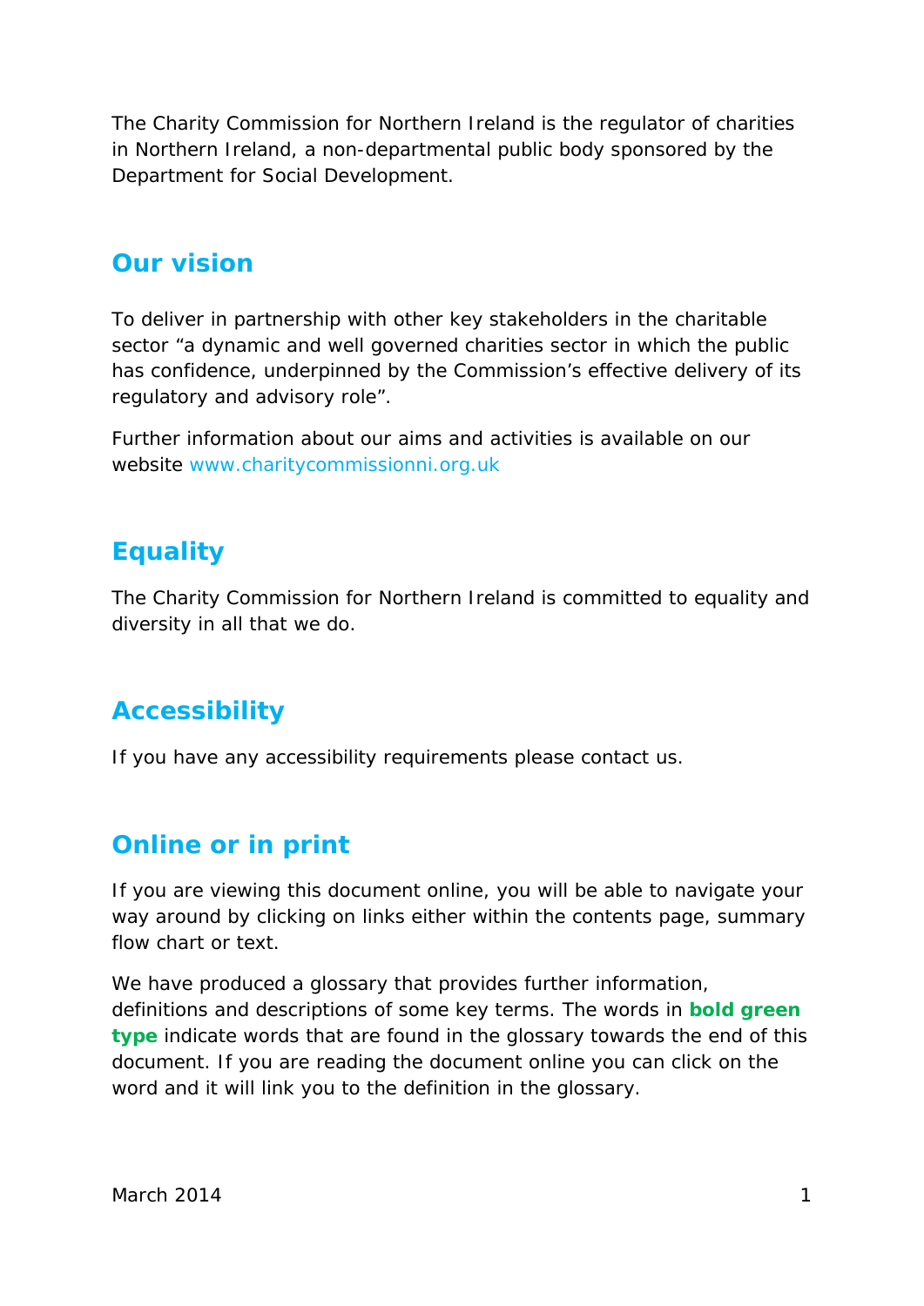The Charity Commission for Northern Ireland is the regulator of charities in Northern Ireland, a non-departmental public body sponsored by the Department for Social Development.

### **Our vision**

To deliver in partnership with other key stakeholders in the charitable sector "a dynamic and well governed charities sector in which the public has confidence, underpinned by the Commission's effective delivery of its regulatory and advisory role".

Further information about our aims and activities is available on our website [www.charitycommissionni.org.uk](http://www.charitycommissionni.org.uk/)

### **Equality**

The Charity Commission for Northern Ireland is committed to equality and diversity in all that we do.

### **Accessibility**

If you have any accessibility requirements please contact us.

### **Online or in print**

If you are viewing this document online, you will be able to navigate your way around by clicking on links either within the contents page, summary flow chart or text.

We have produced a glossary that provides further information, definitions and descriptions of some key terms. The words in **bold green type** indicate words that are found in the glossary towards the end of this document. If you are reading the document online you can click on the word and it will link you to the definition in the glossary.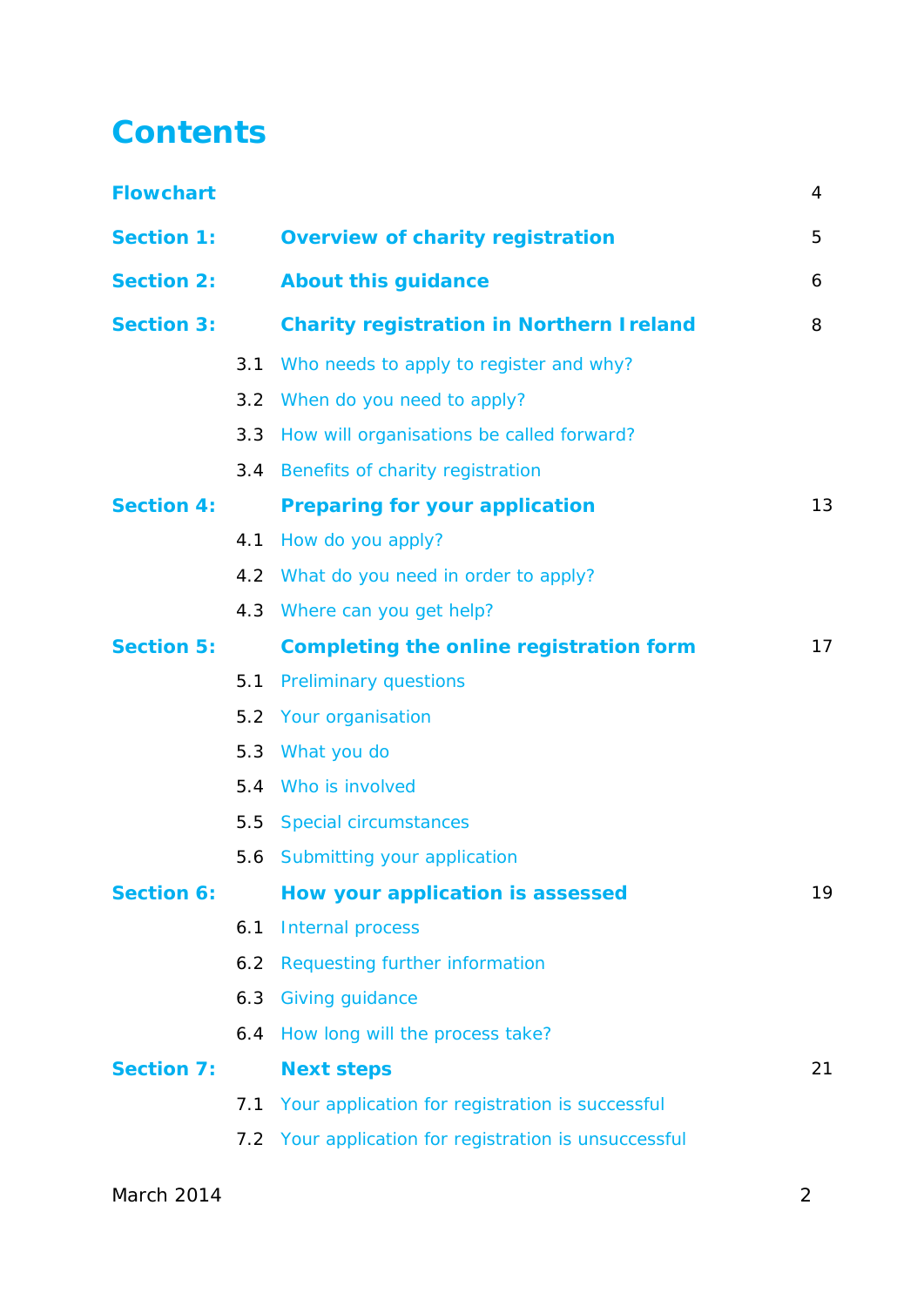### <span id="page-2-0"></span>**Contents**

| <b>Flowchart</b>  |     |                                                       | 4  |
|-------------------|-----|-------------------------------------------------------|----|
| <b>Section 1:</b> |     | <b>Overview of charity registration</b>               | 5  |
| <b>Section 2:</b> |     | <b>About this guidance</b>                            | 6  |
| <b>Section 3:</b> |     | <b>Charity registration in Northern I reland</b>      | 8  |
|                   | 3.1 | Who needs to apply to register and why?               |    |
|                   |     | 3.2 When do you need to apply?                        |    |
|                   | 3.3 | How will organisations be called forward?             |    |
|                   |     | 3.4 Benefits of charity registration                  |    |
| <b>Section 4:</b> |     | <b>Preparing for your application</b>                 | 13 |
|                   | 4.1 | How do you apply?                                     |    |
|                   |     | 4.2 What do you need in order to apply?               |    |
|                   |     | 4.3 Where can you get help?                           |    |
| <b>Section 5:</b> |     | Completing the online registration form               | 17 |
|                   | 5.1 | <b>Preliminary questions</b>                          |    |
|                   | 5.2 | Your organisation                                     |    |
|                   |     | 5.3 What you do                                       |    |
|                   |     | 5.4 Who is involved                                   |    |
|                   |     | 5.5 Special circumstances                             |    |
|                   |     | 5.6 Submitting your application                       |    |
| <b>Section 6:</b> |     | How your application is assessed                      | 19 |
|                   | 6.1 | Internal process                                      |    |
|                   | 6.2 | Requesting further information                        |    |
|                   | 6.3 | <b>Giving guidance</b>                                |    |
|                   | 6.4 | How long will the process take?                       |    |
| <b>Section 7:</b> |     | <b>Next steps</b>                                     | 21 |
|                   | 7.1 | Your application for registration is successful       |    |
|                   |     | 7.2 Your application for registration is unsuccessful |    |
|                   |     |                                                       |    |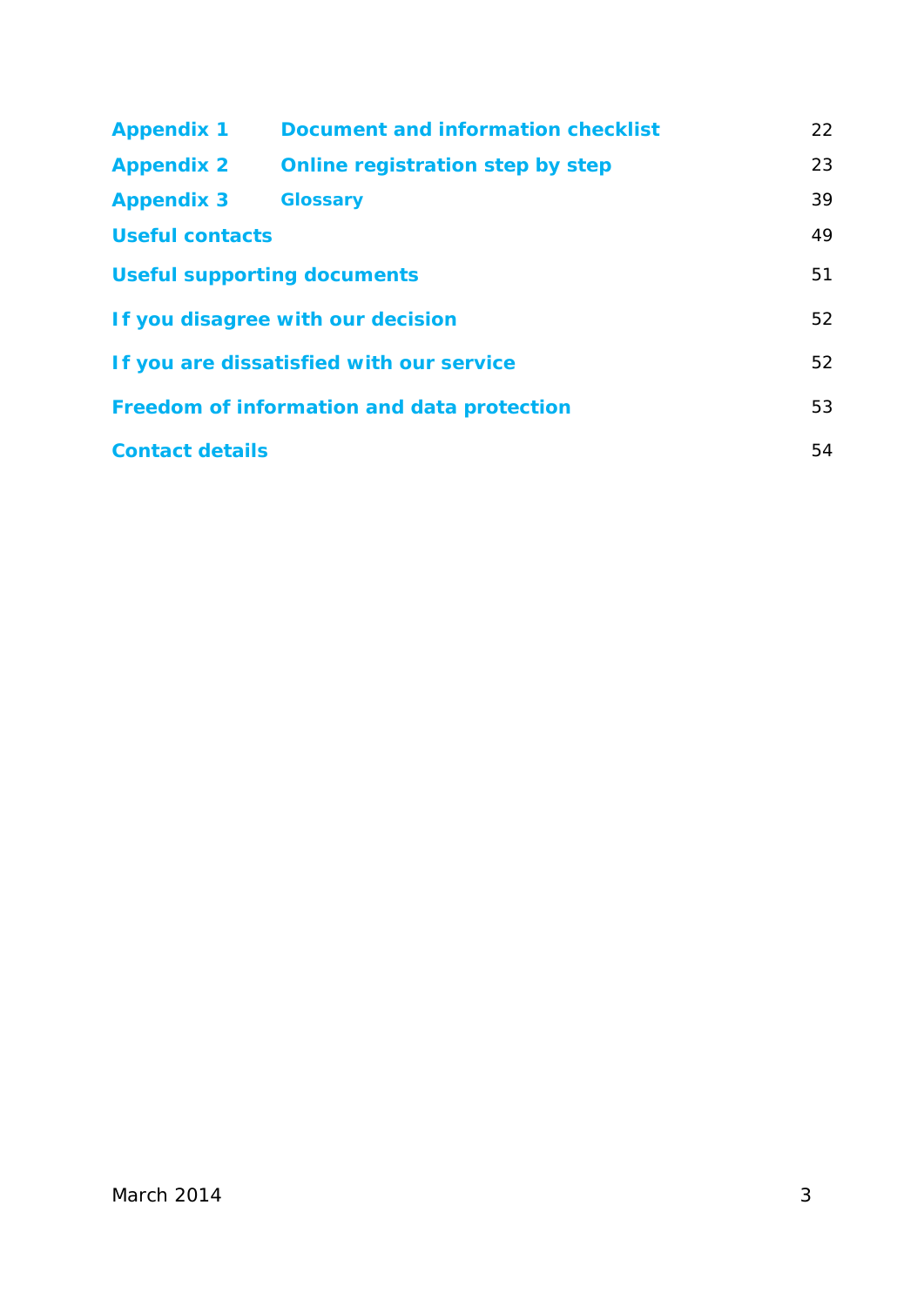| <b>Appendix 1</b>                          | Document and information checklist | 22 |
|--------------------------------------------|------------------------------------|----|
| <b>Appendix 2</b>                          | Online registration step by step   | 23 |
| <b>Appendix 3</b>                          | <b>Glossary</b>                    | 39 |
| <b>Useful contacts</b>                     |                                    | 49 |
| <b>Useful supporting documents</b>         |                                    | 51 |
| If you disagree with our decision          |                                    | 52 |
| If you are dissatisfied with our service   |                                    | 52 |
| Freedom of information and data protection |                                    | 53 |
| <b>Contact details</b>                     |                                    | 54 |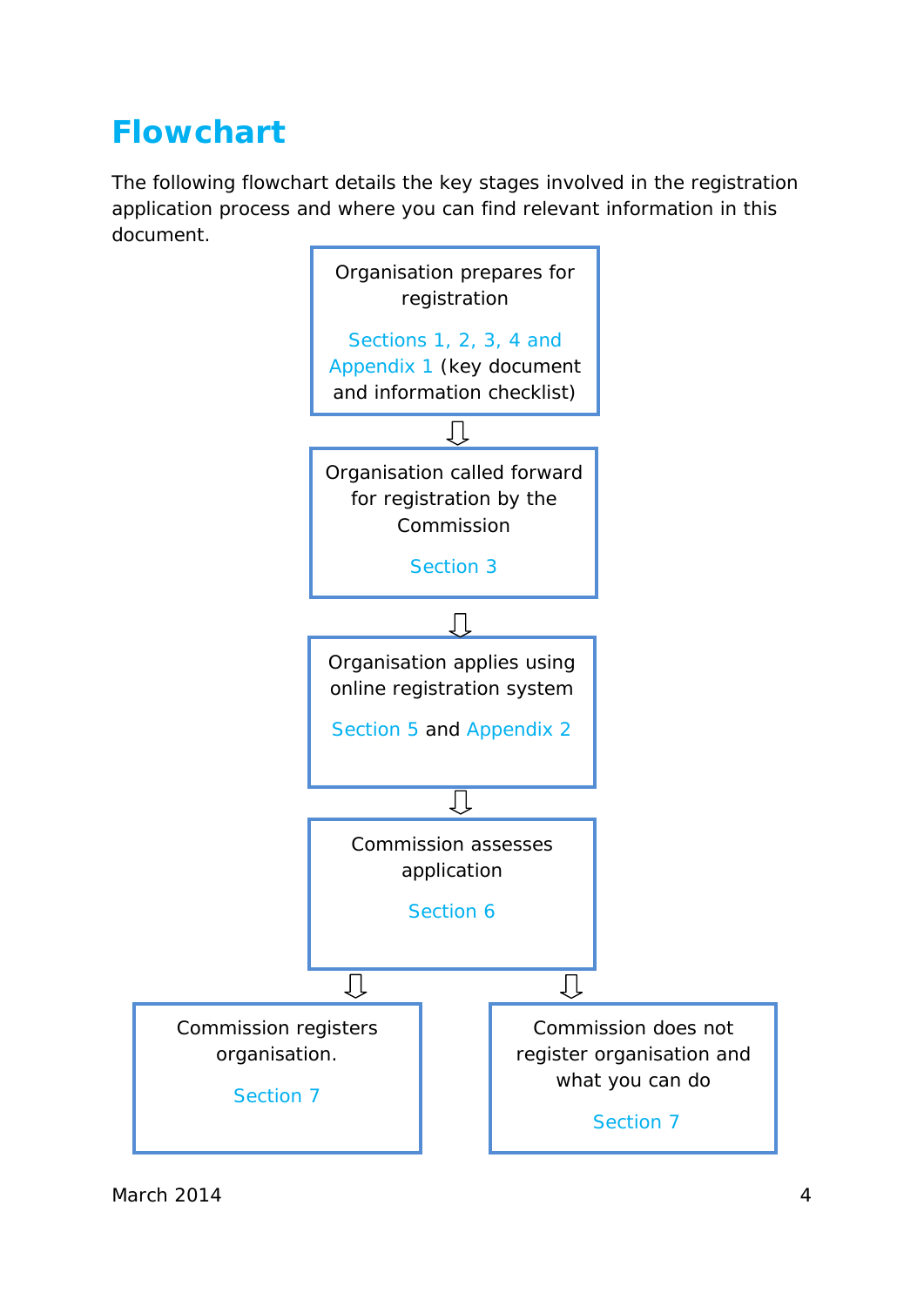### <span id="page-4-0"></span>**[Flowchart](#page-2-0)**

The following flowchart details the key stages involved in the registration application process and where you can find relevant information in this document.

<span id="page-4-1"></span>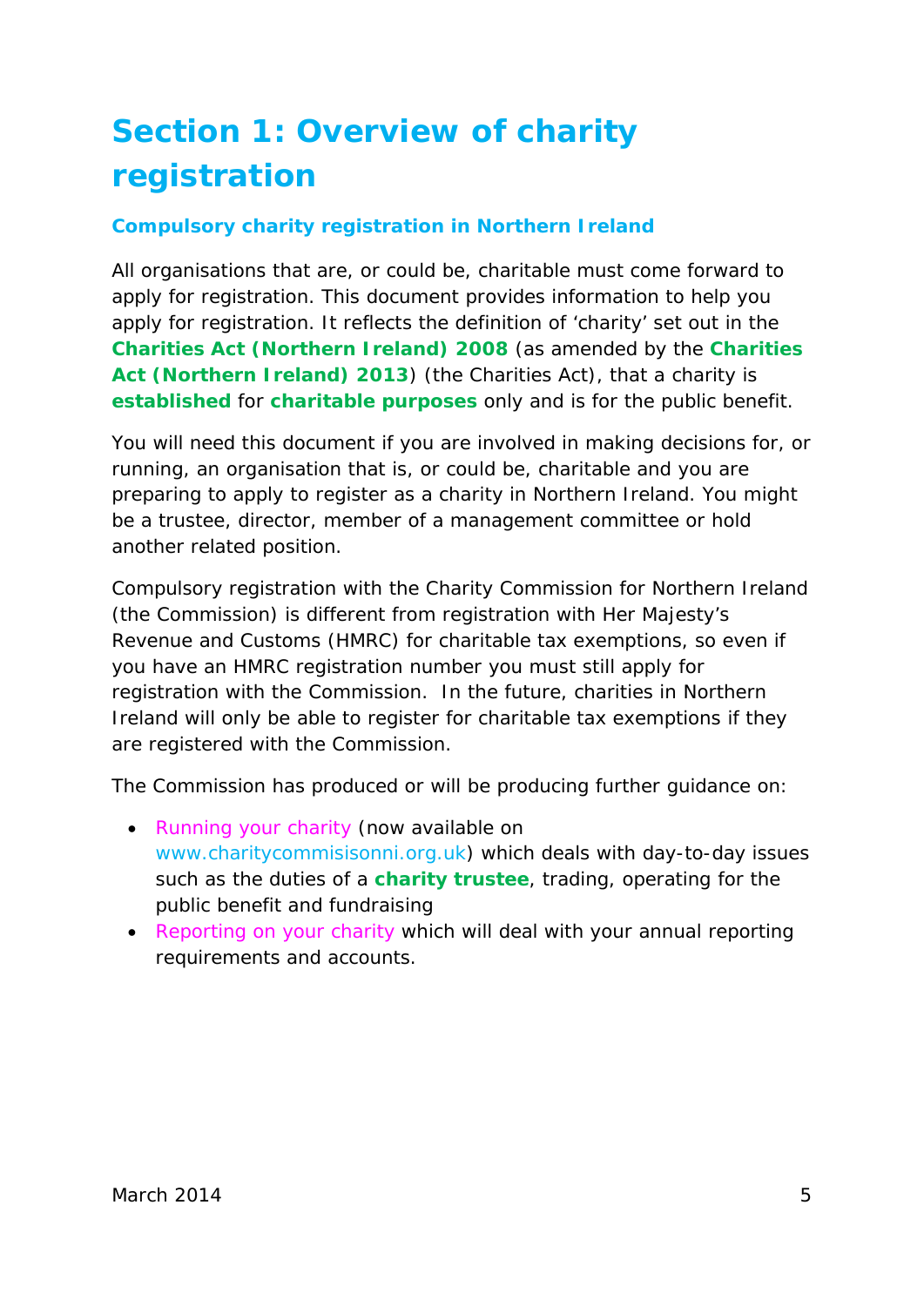## <span id="page-5-0"></span>**[Section 1: Overview of charity](#page-2-0)  [registration](#page-2-0)**

#### **Compulsory charity registration in Northern Ireland**

All organisations that are, or could be, charitable must come forward to apply for registration. This document provides information to help you apply for registration. It reflects the definition of 'charity' set out in the **[Charities Act \(Northern Ireland\) 2008](#page-40-0)** (as amended by the **[Charities](#page-40-1)  Act (Northern [Ireland\) 2013](#page-40-1)**) (the Charities Act), that a charity is **[established](#page-43-0)** for **[charitable purposes](#page-39-1)** only and is for the public benefit.

You will need this document if you are involved in making decisions for, or running, an organisation that is, or could be, charitable and you are preparing to apply to register as a charity in Northern Ireland. You might be a trustee, director, member of a management committee or hold another related position.

Compulsory registration with the Charity Commission for Northern Ireland (the Commission) is different from registration with Her Majesty's Revenue and Customs (HMRC) for charitable tax exemptions, so even if you have an HMRC registration number you must still apply for registration with the Commission. In the future, charities in Northern Ireland will only be able to register for charitable tax exemptions if they are registered with the Commission.

The Commission has produced or will be producing further guidance on:

- *Running your charity* (now available on [www.charitycommisisonni.org.uk\)](http://www.charitycommisisonni.org.uk/) which deals with day-to-day issues such as the duties of a **[charity trustee](#page-40-2)**, trading, operating for the public benefit and fundraising
- *Reporting on your charity* which will deal with your annual reporting requirements and accounts.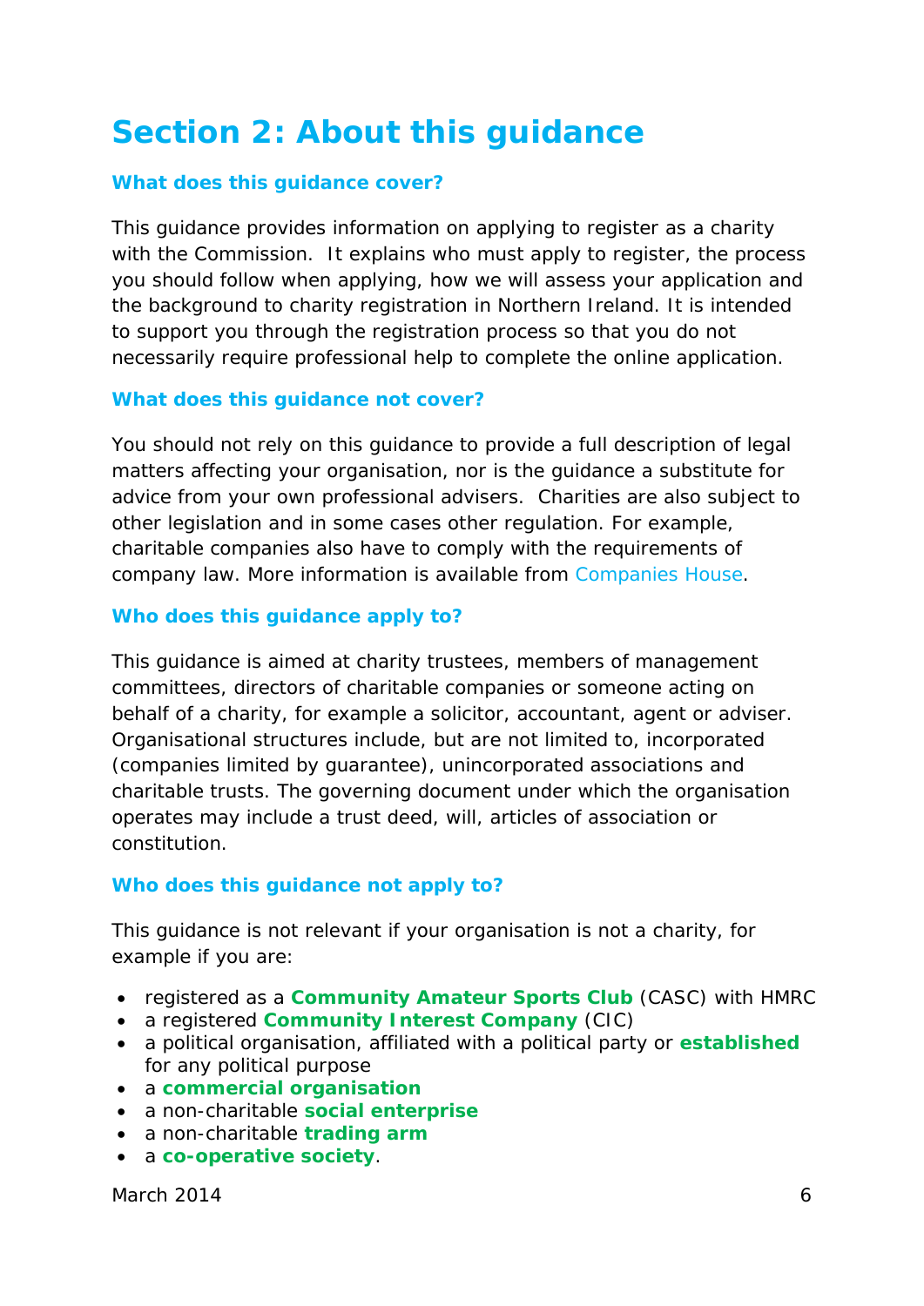### <span id="page-6-0"></span>**[Section 2: About this guidance](#page-2-0)**

#### **What does this guidance cover?**

This guidance provides information on applying to register as a charity with the Commission. It explains who must apply to register, the process you should follow when applying, how we will assess your application and the background to charity registration in Northern Ireland. It is intended to support you through the registration process so that you do not necessarily require professional help to complete the online application.

#### **What does this guidance not cover?**

You should not rely on this guidance to provide a full description of legal matters affecting your organisation, nor is the guidance a substitute for advice from your own professional advisers. Charities are also subject to other legislation and in some cases other regulation. For example, charitable companies also have to comply with the requirements of company law. More information is available from [Companies House.](http://www.companieshouse.gov.uk/)

#### **Who does this guidance apply to?**

This guidance is aimed at charity trustees, members of management committees, directors of charitable companies or someone acting on behalf of a charity, for example a solicitor, accountant, agent or adviser. Organisational structures include, but are not limited to, incorporated (companies limited by guarantee), unincorporated associations and charitable trusts. The governing document under which the organisation operates may include a trust deed, will, articles of association or constitution.

#### **Who does this guidance not apply to?**

This guidance is not relevant if your organisation is not a charity, for example if you are:

- registered as a **[Community Amateur Sports Club](#page-41-0)** (CASC) with HMRC
- a registered **[Community Interest Company](#page-41-1)** (CIC)
- a political organisation, affiliated with a political party or **[established](#page-43-0)** for any political purpose
- a **[commercial organisation](#page-41-2)**
- a non-charitable **[social enterprise](#page-47-0)**
- a non-charitable **[trading arm](#page-47-1)**
- a **[co-operative society](#page-42-0)**.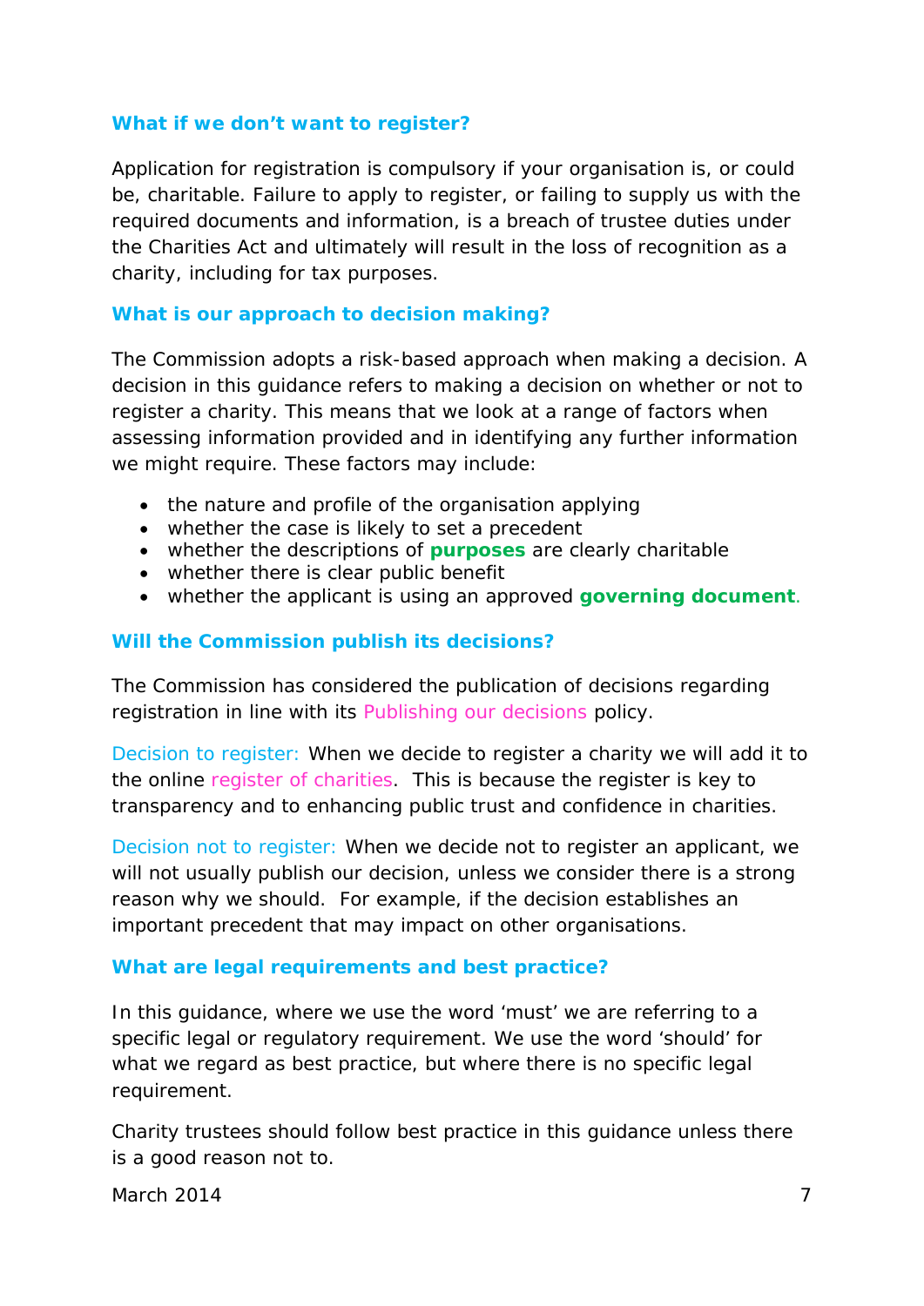#### **What if we don't want to register?**

Application for registration is compulsory if your organisation is, or could be, charitable. Failure to apply to register, or failing to supply us with the required documents and information, is a breach of trustee duties under the Charities Act and ultimately will result in the loss of recognition as a charity, including for tax purposes.

#### **What is our approach to decision making?**

The Commission adopts a risk-based approach when making a decision. A decision in this guidance refers to making a decision on whether or not to register a charity. This means that we look at a range of factors when assessing information provided and in identifying any further information we might require. These factors may include:

- the nature and profile of the organisation applying
- whether the case is likely to set a precedent
- whether the descriptions of **[purposes](#page-47-2)** are clearly charitable
- whether there is clear public benefit
- whether the applicant is using an approved **[governing document](#page-44-0)**.

#### **Will the Commission publish its decisions?**

The Commission has considered the publication of decisions regarding registration in line with its *Publishing our decisions* policy.

Decision to register: When we decide to register a charity we will add it to the online *register of charities*. This is because the register is key to transparency and to enhancing public trust and confidence in charities.

Decision not to register: When we decide not to register an applicant, we will not usually publish our decision, unless we consider there is a strong reason why we should. For example, if the decision establishes an important precedent that may impact on other organisations.

#### **What are legal requirements and best practice?**

In this guidance, where we use the word 'must' we are referring to a specific legal or regulatory requirement. We use the word 'should' for what we regard as best practice, but where there is no specific legal requirement.

Charity trustees should follow best practice in this guidance unless there is a good reason not to.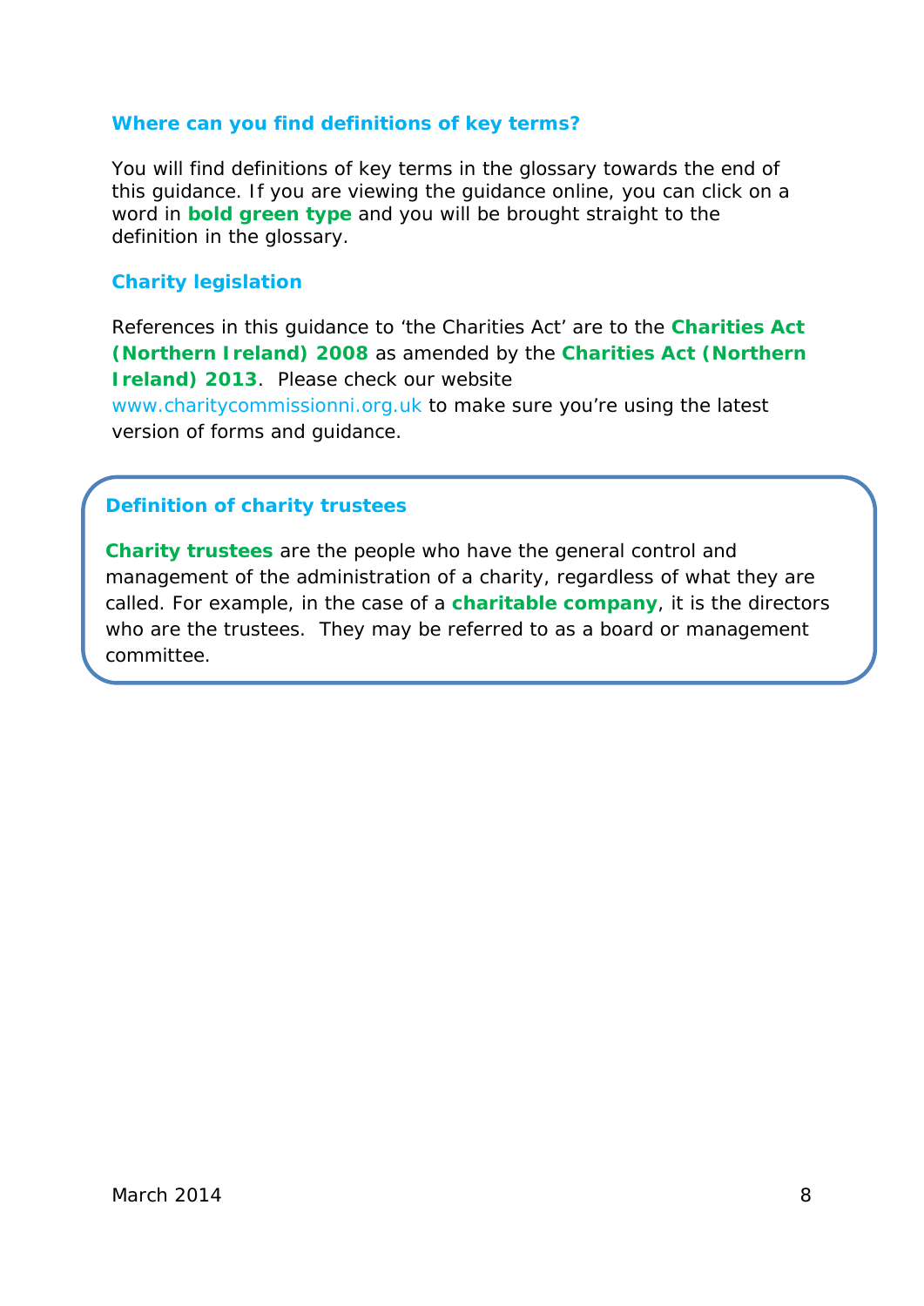#### **Where can you find definitions of key terms?**

You will find definitions of key terms in the glossary towards the end of this guidance. If you are viewing the guidance online, you can click on a word in **bold green type** and you will be brought straight to the definition in the glossary.

#### **Charity legislation**

References in this guidance to 'the Charities Act' are to the **[Charities Act](#page-40-0)  [\(Northern Ireland\) 2008](#page-40-0)** as amended by the **[Charities Act \(Northern](#page-40-1)  [Ireland\) 2013](#page-40-1)**. Please check our website

[www.charitycommissionni.org.uk](http://www.charitycommissionni.org.uk/) to make sure you're using the latest version of forms and guidance.

#### **Definition of charity trustees**

<span id="page-8-0"></span>**[Charity trustees](#page-40-2)** are the people who have the general control and management of the administration of a charity, regardless of what they are called. For example, in the case of a **[charitable company](#page-39-2)**, it is the directors who are the trustees. They may be referred to as a board or management committee.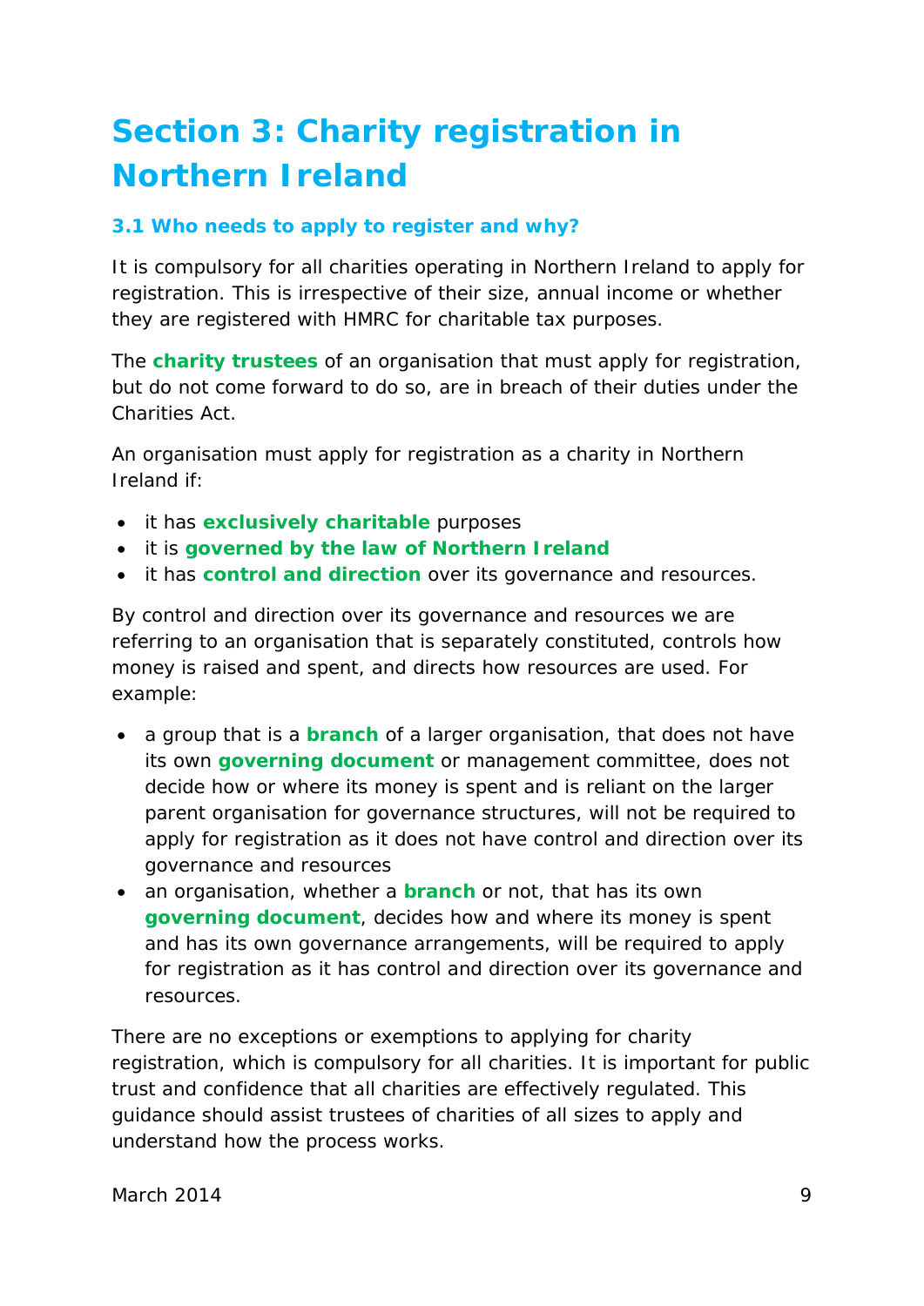## **[Section 3: Charity registration in](#page-2-0)  [Northern Ireland](#page-2-0)**

#### <span id="page-9-0"></span>**[3.1 Who needs to apply to register and why?](#page-2-0)**

It is compulsory for all charities operating in Northern Ireland to apply for registration. This is irrespective of their size, annual income or whether they are registered with HMRC for charitable tax purposes.

The **[charity trustees](#page-40-2)** of an organisation that must apply for registration, but do not come forward to do so, are in breach of their duties under the Charities Act.

An organisation must apply for registration as a charity in Northern Ireland if:

- it has **[exclusively charitable](#page-43-1)** purposes
- it is **[governed by the law of Northern Ireland](#page-44-1)**
- it has **[control and direction](#page-42-1)** over its governance and resources.

By control and direction over its governance and resources we are referring to an organisation that is separately constituted, controls how money is raised and spent, and directs how resources are used. For example:

- a group that is a **[branch](#page-39-3)** of a larger organisation, that does not have its own **[governing document](#page-44-0)** or management committee, does not decide how or where its money is spent and is reliant on the larger parent organisation for governance structures, will not be required to apply for registration as it does not have control and direction over its governance and resources
- an organisation, whether a **[branch](#page-39-3)** or not, that has its own **[governing document](#page-44-0)**, decides how and where its money is spent and has its own governance arrangements, will be required to apply for registration as it has control and direction over its governance and resources.

There are no exceptions or exemptions to applying for charity registration, which is compulsory for all charities. It is important for public trust and confidence that all charities are effectively regulated. This guidance should assist trustees of charities of all sizes to apply and understand how the process works.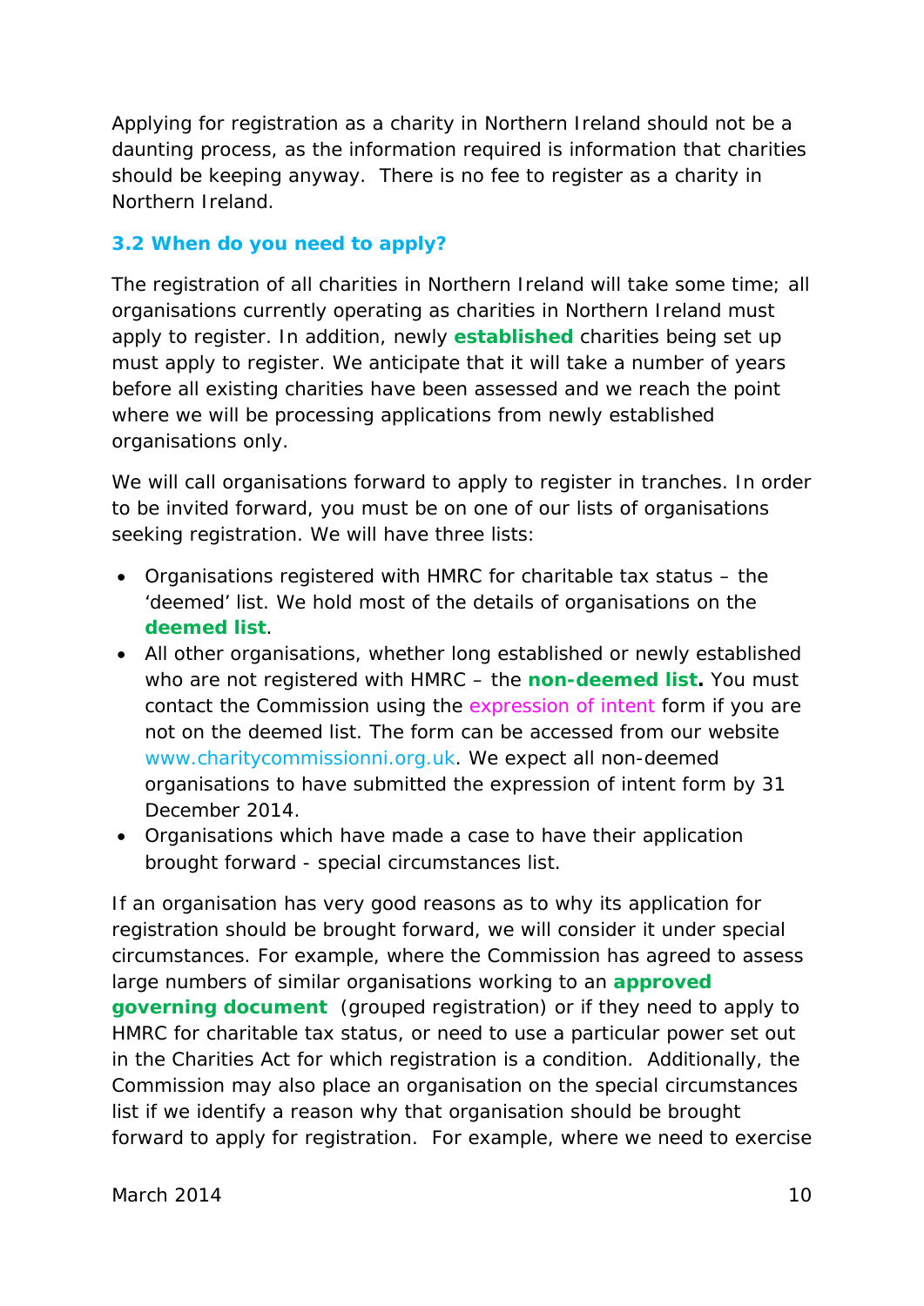Applying for registration as a charity in Northern Ireland should not be a daunting process, as the information required is information that charities should be keeping anyway. There is no fee to register as a charity in Northern Ireland.

#### <span id="page-10-0"></span>**[3.2 When do you need to apply?](#page-2-0)**

The registration of all charities in Northern Ireland will take some time; all organisations currently operating as charities in Northern Ireland must apply to register. In addition, newly **[established](#page-43-0)** charities being set up must apply to register. We anticipate that it will take a number of years before all existing charities have been assessed and we reach the point where we will be processing applications from newly established organisations only.

We will call organisations forward to apply to register in tranches. In order to be invited forward, you must be on one of our lists of organisations seeking registration. We will have three lists:

- Organisations registered with HMRC for charitable tax status the 'deemed' list. We hold most of the details of organisations on the **[deemed list](#page-43-2)**.
- All other organisations, whether long established or newly established who are not registered with HMRC – the **[non-deemed list.](#page-45-0)** You must contact the Commission using the *expression of intent* form if you are not on the deemed list. The form can be accessed from our website [www.charitycommissionni.org.uk.](http://www.charitycommissionni.org.uk/) We expect all non-deemed organisations to have submitted the expression of intent form by 31 December 2014.
- Organisations which have made a case to have their application brought forward - special circumstances list.

If an organisation has very good reasons as to why its application for registration should be brought forward, we will consider it under special circumstances. For example, where the Commission has agreed to assess large numbers of similar organisations working to an **[approved](#page-39-4)  [governing document](#page-39-4)** (grouped registration) or if they need to apply to HMRC for charitable tax status, or need to use a particular power set out in the Charities Act for which registration is a condition. Additionally, the Commission may also place an organisation on the special circumstances list if we identify a reason why that organisation should be brought forward to apply for registration. For example, where we need to exercise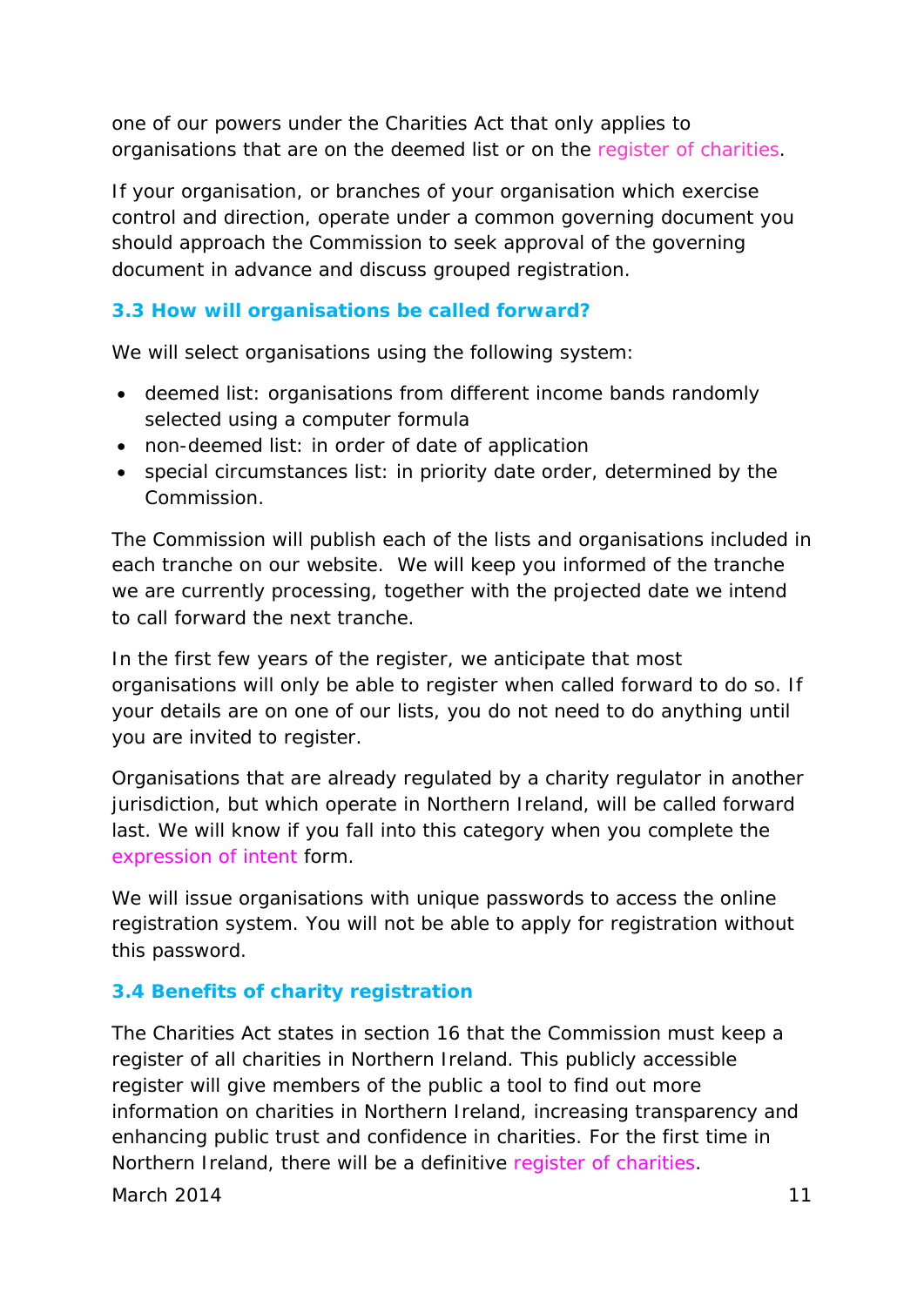one of our powers under the Charities Act that only applies to organisations that are on the deemed list or on the *register of charities*.

If your organisation, or branches of your organisation which exercise control and direction, operate under a common governing document you should approach the Commission to seek approval of the governing document in advance and discuss grouped registration.

#### <span id="page-11-0"></span>**[3.3 How will organisations be called](#page-2-0) forward?**

We will select organisations using the following system:

- deemed list: organisations from different income bands randomly selected using a computer formula
- non-deemed list: in order of date of application
- special circumstances list: in priority date order, determined by the Commission.

The Commission will publish each of the lists and organisations included in each tranche on our website. We will keep you informed of the tranche we are currently processing, together with the projected date we intend to call forward the next tranche.

In the first few years of the register, we anticipate that most organisations will only be able to register when called forward to do so. If your details are on one of our lists, you do not need to do anything until you are invited to register.

Organisations that are already regulated by a charity regulator in another jurisdiction, but which operate in Northern Ireland, will be called forward last. We will know if you fall into this category when you complete the *expression of intent* form.

We will issue organisations with unique passwords to access the online registration system. You will not be able to apply for registration without this password.

#### <span id="page-11-1"></span>**3.4 [Benefits of charity registration](#page-2-0)**

The Charities Act states in section 16 that the Commission must keep a register of all charities in Northern Ireland. This publicly accessible register will give members of the public a tool to find out more information on charities in Northern Ireland, increasing transparency and enhancing public trust and confidence in charities. For the first time in Northern Ireland, there will be a definitive *register of charities*.

March 2014 11 **12 and 2014** 11 **12 and 2014** 11 **12 and 2014** 11 **11**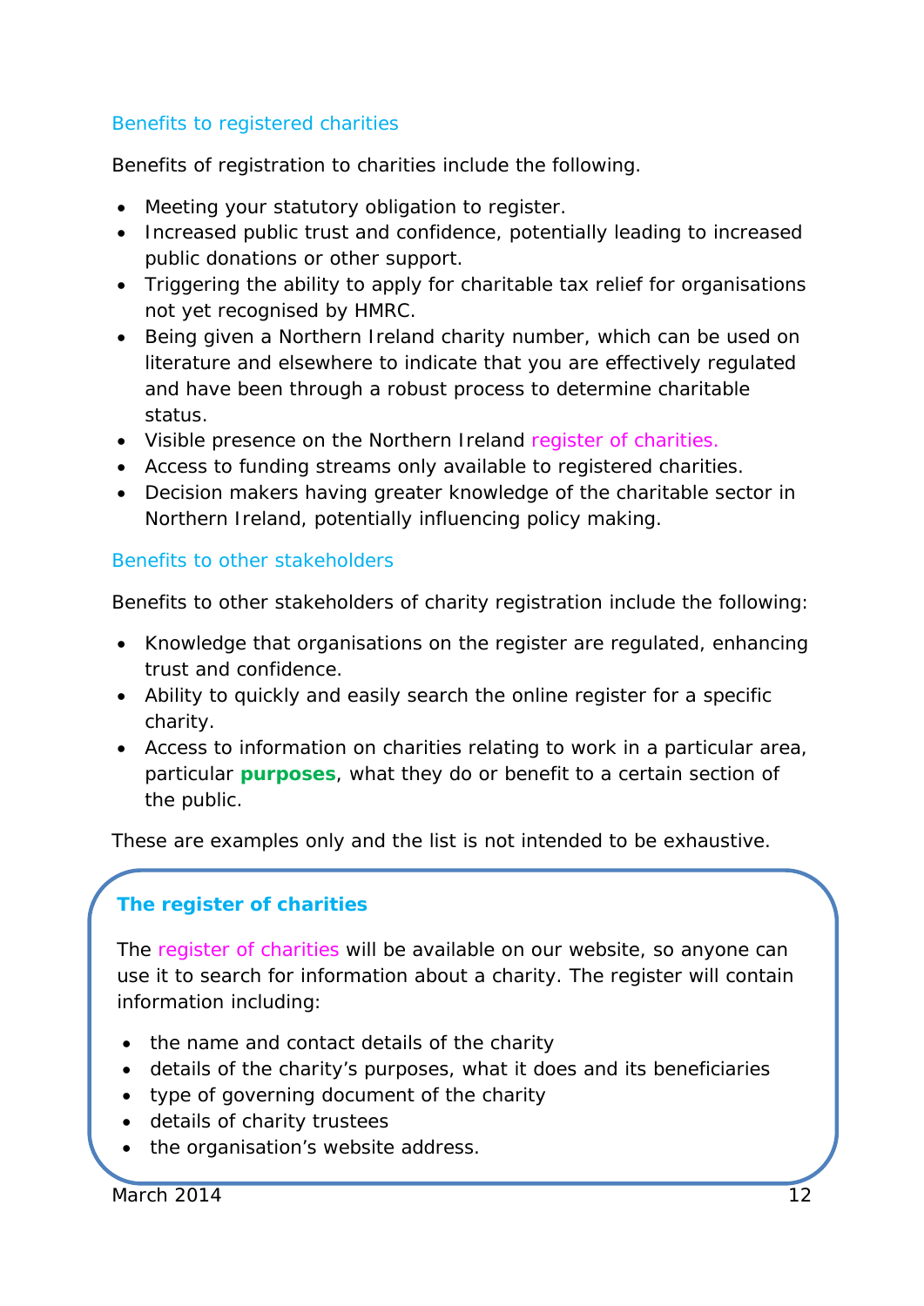#### Benefits to registered charities

Benefits of registration to charities include the following.

- Meeting your statutory obligation to register.
- Increased public trust and confidence, potentially leading to increased public donations or other support.
- Triggering the ability to apply for charitable tax relief for organisations not yet recognised by HMRC.
- Being given a Northern Ireland charity number, which can be used on literature and elsewhere to indicate that you are effectively regulated and have been through a robust process to determine charitable status.
- Visible presence on the Northern Ireland *register of charities.*
- Access to funding streams only available to registered charities.
- Decision makers having greater knowledge of the charitable sector in Northern Ireland, potentially influencing policy making.

#### Benefits to other stakeholders

Benefits to other stakeholders of charity registration include the following:

- Knowledge that organisations on the register are regulated, enhancing trust and confidence.
- Ability to quickly and easily search the online register for a specific charity.
- Access to information on charities relating to work in a particular area, particular **[purposes](#page-47-2)**, what they do or benefit to a certain section of the public.

These are examples only and the list is not intended to be exhaustive.

### **The register of charities**

The *register of charities* will be available on our website, so anyone can use it to search for information about a charity. The register will contain information including:

- the name and contact details of the charity
- details of the charity's purposes, what it does and its beneficiaries
- type of governing document of the charity
- details of charity trustees
- the organisation's website address.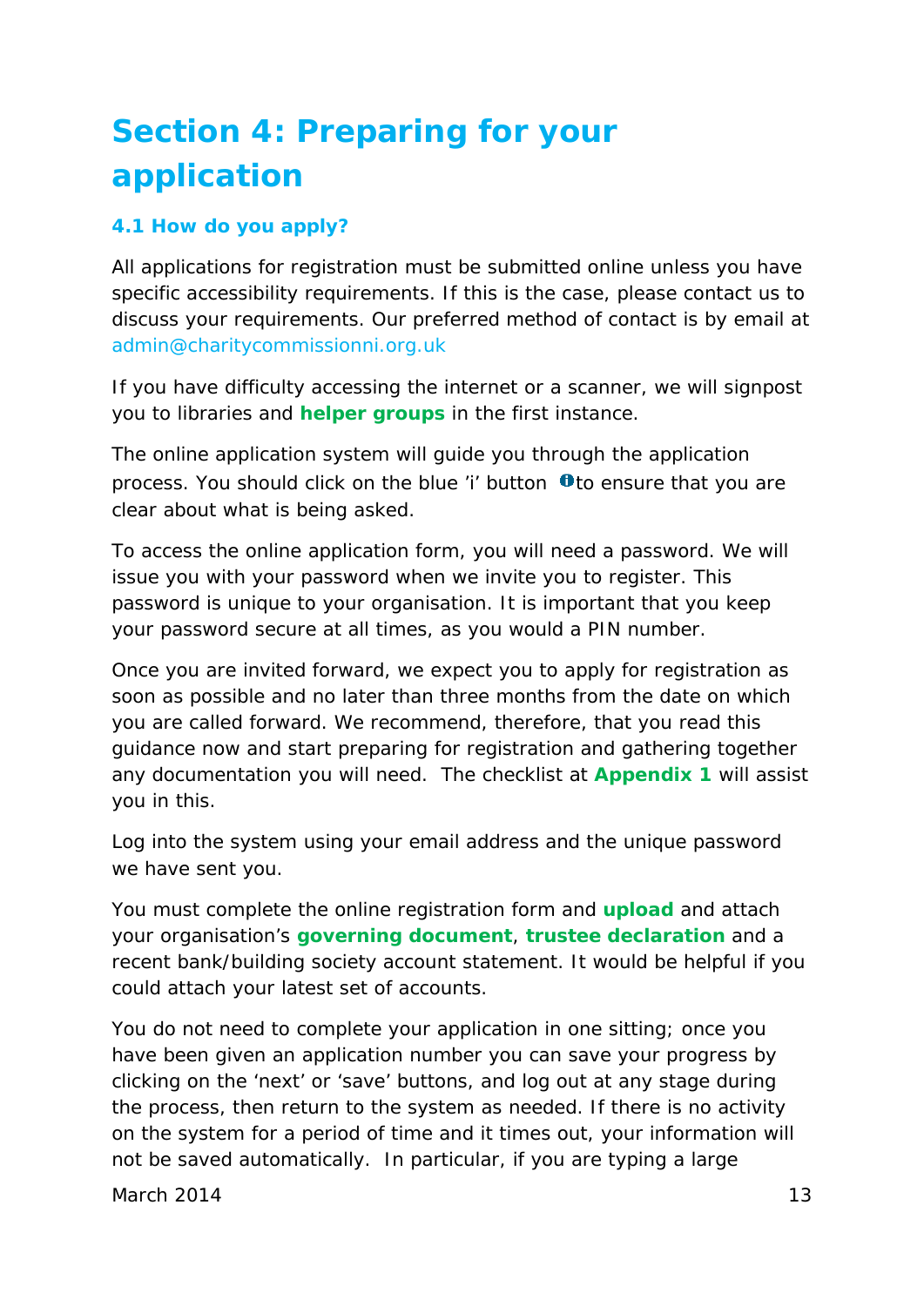## <span id="page-13-0"></span>**[Section 4: Preparing for your](#page-2-0)  [application](#page-2-0)**

#### <span id="page-13-1"></span>**[4.1 How do you apply?](#page-2-0)**

All applications for registration must be submitted online unless you have specific accessibility requirements. If this is the case, please contact us to discuss your requirements. Our preferred method of contact is by email at [admin@charitycommissionni.org.uk](mailto:admin@charitycommissionni.org.uk)

If you have difficulty accessing the internet or a scanner, we will signpost you to libraries and **[helper groups](#page-44-2)** in the first instance.

The online application system will guide you through the application process. You should click on the blue 'i' button  $\mathbf 0$  to ensure that you are clear about what is being asked.

To access the online application form, you will need a password. We will issue you with your password when we invite you to register. This password is unique to your organisation. It is important that you keep your password secure at all times, as you would a PIN number.

Once you are invited forward, we expect you to apply for registration as soon as possible and no later than three months from the date on which you are called forward. We recommend, therefore, that you read this guidance now and start preparing for registration and gathering together any documentation you will need. The checklist at **[Appendix 1](#page-22-0)** will assist you in this.

Log into the system using your email address and the unique password we have sent you.

You must complete the online registration form and **[upload](#page-48-0)** and attach your organisation's **[governing document](#page-44-0)**, **[trustee declaration](#page-48-1)** and a recent bank/building society account statement. It would be helpful if you could attach your latest set of accounts.

You do not need to complete your application in one sitting; once you have been given an application number you can save your progress by clicking on the 'next' or 'save' buttons, and log out at any stage during the process, then return to the system as needed. If there is no activity on the system for a period of time and it times out, your information will not be saved automatically. In particular, if you are typing a large

March 2014  $\qquad$  13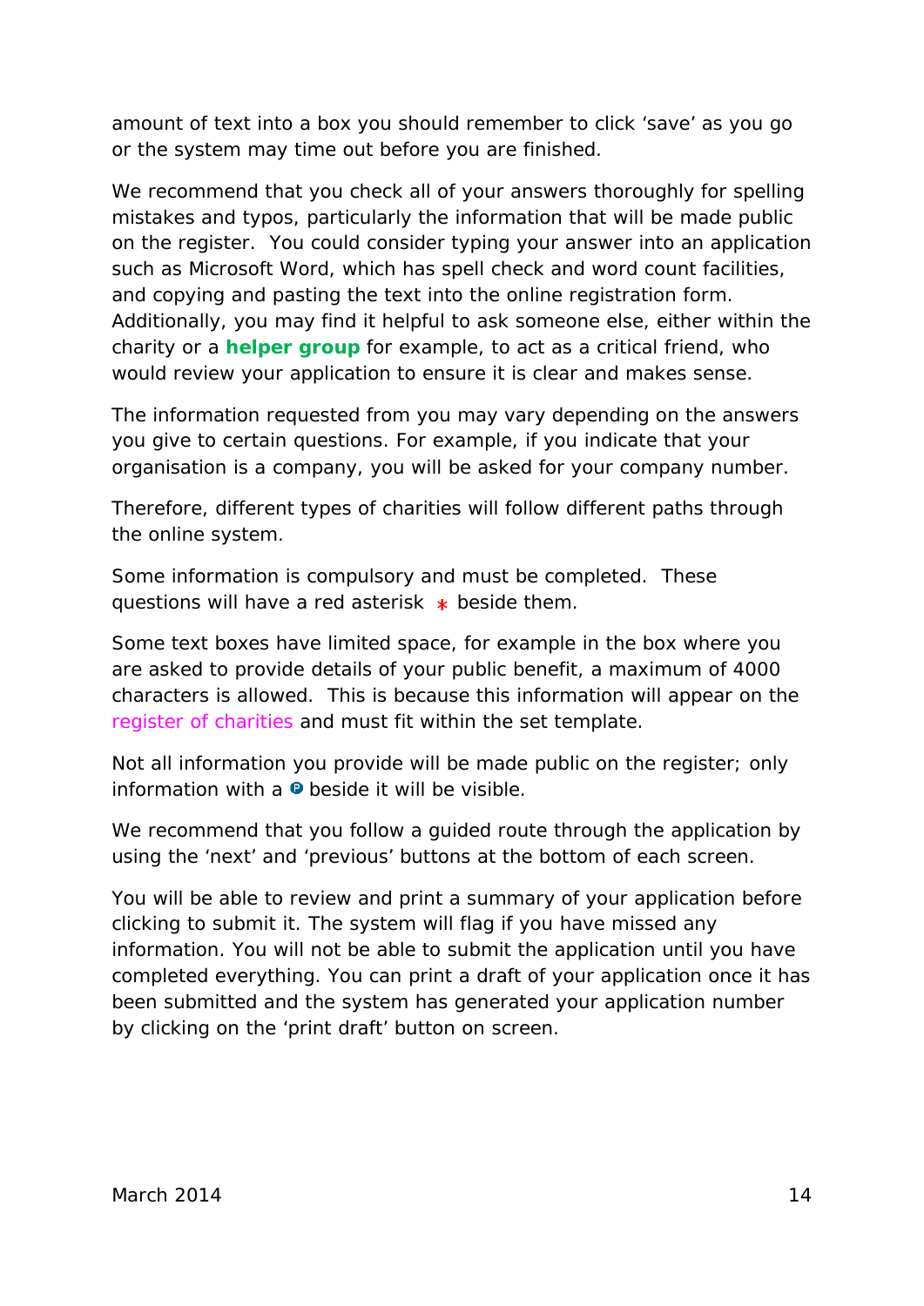amount of text into a box you should remember to click 'save' as you go or the system may time out before you are finished.

We recommend that you check all of your answers thoroughly for spelling mistakes and typos, particularly the information that will be made public on the register. You could consider typing your answer into an application such as Microsoft Word, which has spell check and word count facilities, and copying and pasting the text into the online registration form. Additionally, you may find it helpful to ask someone else, either within the charity or a **[helper group](#page-44-2)** for example, to act as a critical friend, who would review your application to ensure it is clear and makes sense.

The information requested from you may vary depending on the answers you give to certain questions. For example, if you indicate that your organisation is a company, you will be asked for your company number.

Therefore, different types of charities will follow different paths through the online system.

Some information is compulsory and must be completed. These questions will have a red asterisk  $*$  beside them.

Some text boxes have limited space, for example in the box where you are asked to provide details of your public benefit, a maximum of 4000 characters is allowed. This is because this information will appear on the *register of charities* and must fit within the set template.

Not all information you provide will be made public on the register; only information with a  $\bullet$  beside it will be visible.

We recommend that you follow a guided route through the application by using the 'next' and 'previous' buttons at the bottom of each screen.

You will be able to review and print a summary of your application before clicking to submit it. The system will flag if you have missed any information. You will not be able to submit the application until you have completed everything. You can print a draft of your application once it has been submitted and the system has generated your application number by clicking on the 'print draft' button on screen.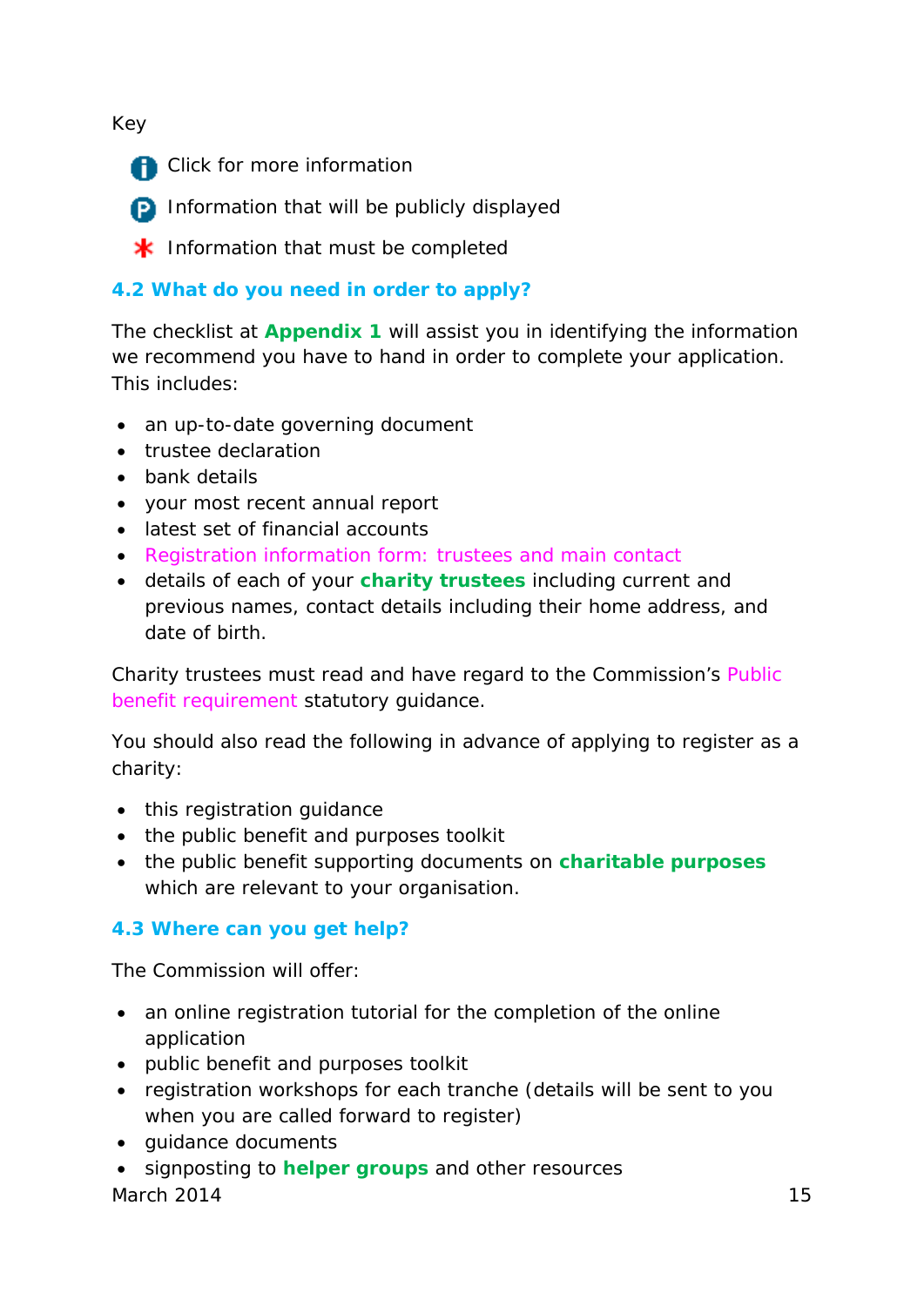#### Key

**A** Click for more information

**D** Information that will be publicly displayed

 $*$  Information that must be completed

#### <span id="page-15-0"></span>**[4.2 What do you need in order to apply?](#page-2-0)**

The checklist at **[Appendix 1](#page-22-0)** will assist you in identifying the information we recommend you have to hand in order to complete your application. This includes:

- an up-to-date [governing document](#page-44-0)
- trustee declaration
- bank details
- your most recent annual report
- latest set of financial accounts
- *Registration information form: trustees and main contact*
- details of each of your **[charity trustees](#page-40-2)** including current and previous names, contact details including their home address, and date of birth.

Charity trustees must read and have regard to the Commission's *Public benefit requirement* statutory guidance.

You should also read the following in advance of applying to register as a charity:

- this registration guidance
- the public benefit and purposes toolkit
- the public benefit supporting documents on **[charitable purposes](#page-39-1)** which are relevant to your organisation.

#### <span id="page-15-1"></span>**[4.3 Where can you get help?](#page-2-0)**

The Commission will offer:

- an online registration tutorial for the completion of the online application
- public benefit and purposes toolkit
- registration workshops for each tranche (details will be sent to you when you are called forward to register)
- guidance documents
- signposting to **[helper groups](#page-44-2)** and other resources

March 2014 15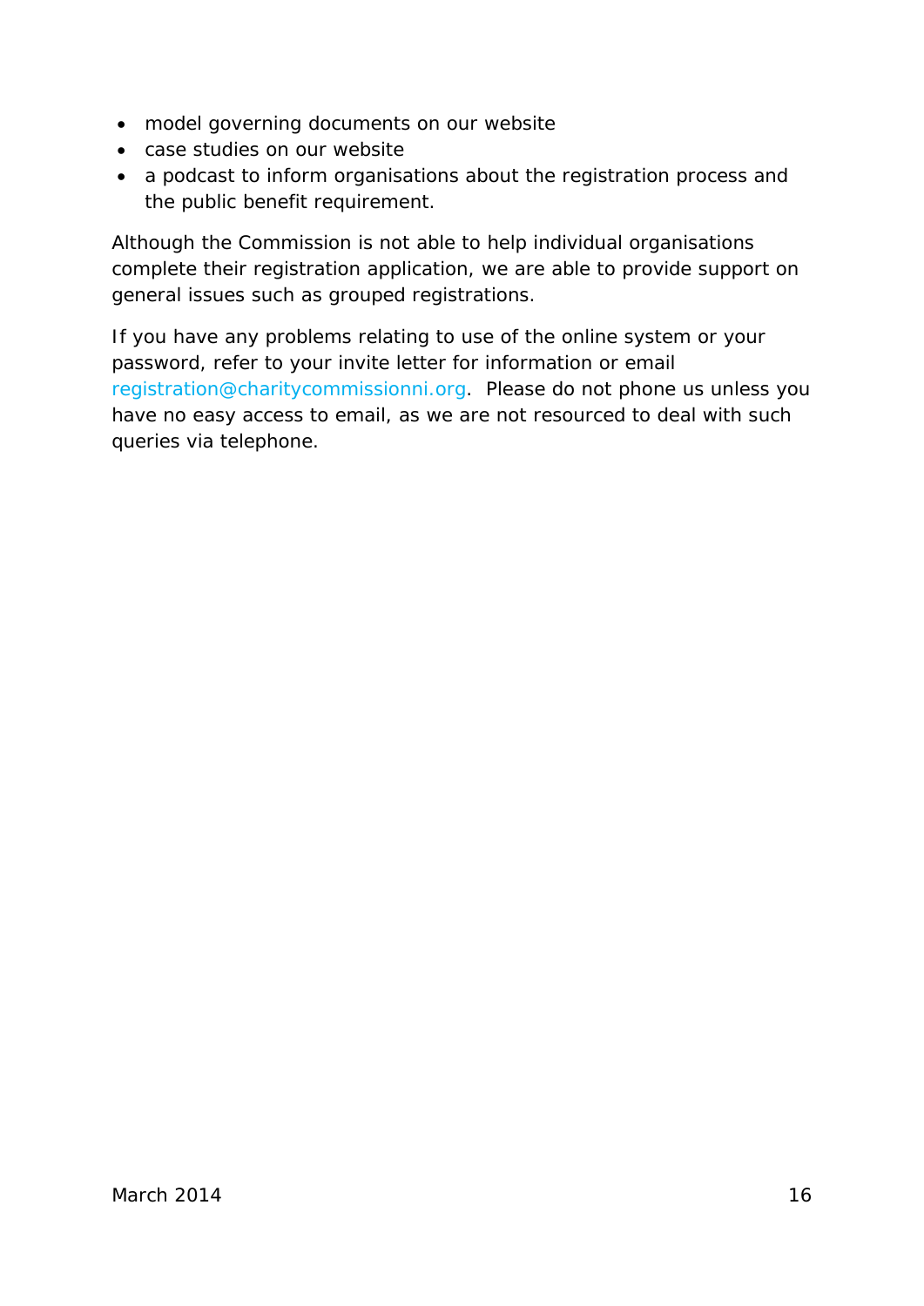- model governing documents on our website
- case studies on our website
- a podcast to inform organisations about the registration process and the public benefit requirement.

Although the Commission is not able to help individual organisations complete their registration application, we are able to provide support on general issues such as grouped registrations.

<span id="page-16-0"></span>If you have any problems relating to use of the online system or your password, refer to your invite letter for information or email [registration@charitycommissionni.org.](mailto:registration@charitycommissionni.org) Please do not phone us unless you have no easy access to email, as we are not resourced to deal with such queries via telephone.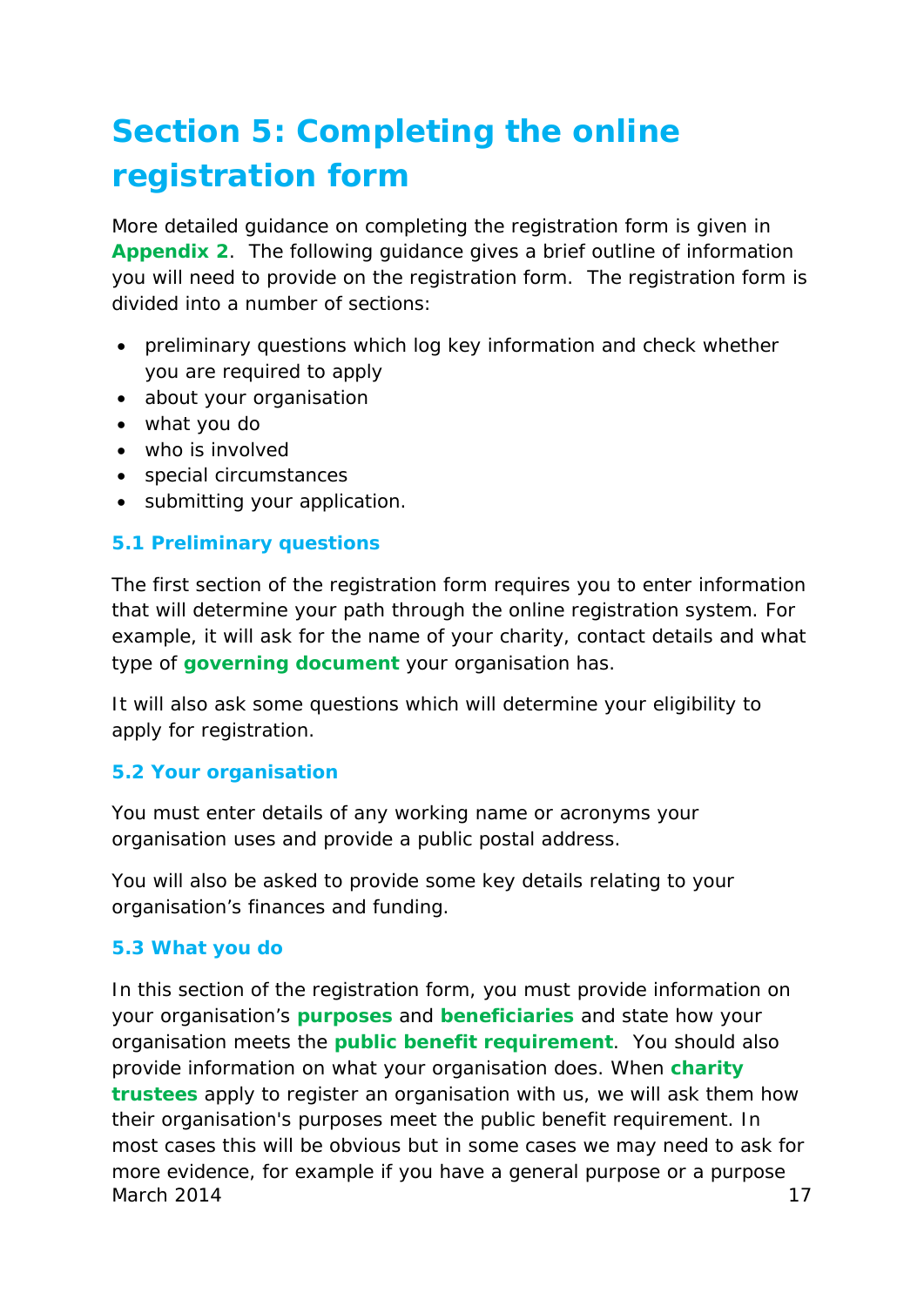## <span id="page-17-0"></span>**[Section 5: Completing the online](#page-2-0)  [registration form](#page-2-0)**

More detailed guidance on completing the registration form is given in **Appendix 2**. The following guidance gives a brief outline of information you will need to provide on the registration form. The registration form is divided into a number of sections:

- preliminary questions which log key information and check whether you are required to apply
- about your organisation
- what you do
- who is involved
- special circumstances
- submitting your application.

#### <span id="page-17-1"></span>**[5.1 Preliminary questions](#page-2-0)**

The first section of the registration form requires you to enter information that will determine your path through the online registration system. For example, it will ask for the name of your charity, contact details and what type of **[governing document](#page-44-0)** your organisation has.

It will also ask some questions which will determine your eligibility to apply for registration.

#### <span id="page-17-2"></span>**[5.2 Your organisation](#page-2-0)**

You must enter details of any working name or acronyms your organisation uses and provide a public postal address.

You will also be asked to provide some key details relating to your organisation's finances and funding.

#### <span id="page-17-3"></span>**[5.3 What you do](#page-2-0)**

In this section of the registration form, you must provide information on your organisation's **[purposes](#page-47-2)** and **[beneficiaries](#page-39-5)** and state how your organisation meets the **[public benefit requirement](#page-47-3)**. You should also provide information on what your organisation does. When **[charity](#page-40-2)  [trustees](#page-40-2)** apply to register an organisation with us, we will ask them how their organisation's purposes meet the public benefit requirement. In most cases this will be obvious but in some cases we may need to ask for more evidence, for example if you have a general purpose or a purpose March 2014 17 and 17 and 17 and 17 and 17 and 17 and 17 and 17 and 17 and 17 and 17 and 17 and 17 and 17 and 1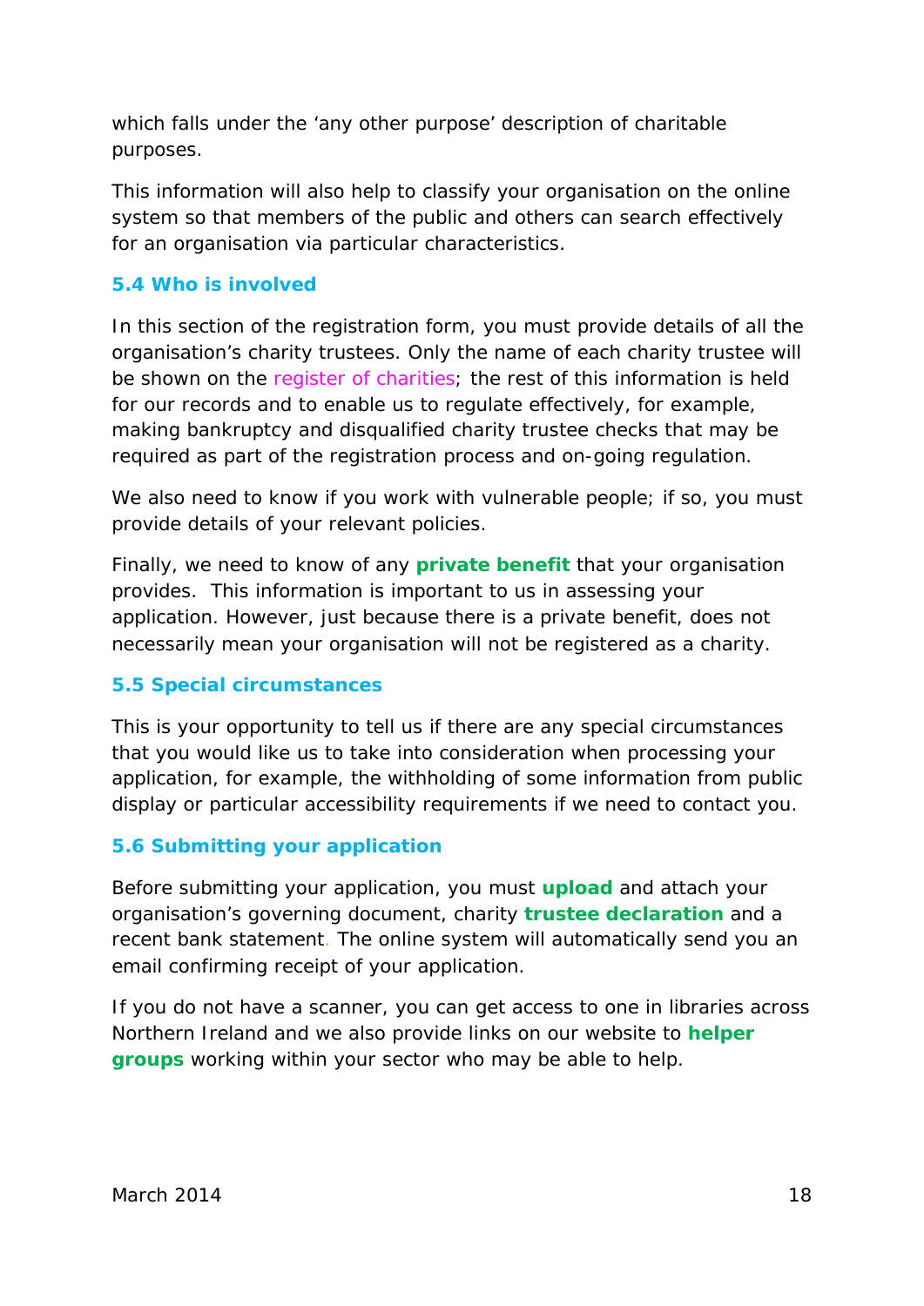which falls under the 'any other purpose' description of charitable purposes.

This information will also help to classify your organisation on the online system so that members of the public and others can search effectively for an organisation via particular characteristics.

#### <span id="page-18-0"></span>**[5.4 Who is involved](#page-2-0)**

In this section of the registration form, you must provide details of all the organisation's charity trustees. Only the name of each charity trustee will be shown on the *register of charities*; the rest of this information is held for our records and to enable us to regulate effectively, for example, making bankruptcy and disqualified charity trustee checks that may be required as part of the registration process and on-going regulation.

We also need to know if you work with vulnerable people; if so, you must provide details of your relevant policies.

Finally, we need to know of any **[private benefit](#page-46-0)** that your organisation provides. This information is important to us in assessing your application. However, just because there is a private benefit, does not necessarily mean your organisation will not be registered as a charity.

#### <span id="page-18-1"></span>**[5.5 Special circumstances](#page-2-0)**

This is your opportunity to tell us if there are any special circumstances that you would like us to take into consideration when processing your application, for example, the withholding of some information from public display or particular accessibility requirements if we need to contact you.

#### <span id="page-18-2"></span>**[5.6 Submitting your application](#page-2-0)**

Before submitting your application, you must **[upload](#page-48-0)** and attach your organisation's governing document, charity **[trustee declaration](#page-48-1)** and a recent bank statement. The online system will automatically send you an email confirming receipt of your application.

<span id="page-18-3"></span>If you do not have a scanner, you can get access to one in libraries across Northern Ireland and we also provide links on our website to **[helper](#page-44-2)  [groups](#page-44-2)** working within your sector who may be able to help.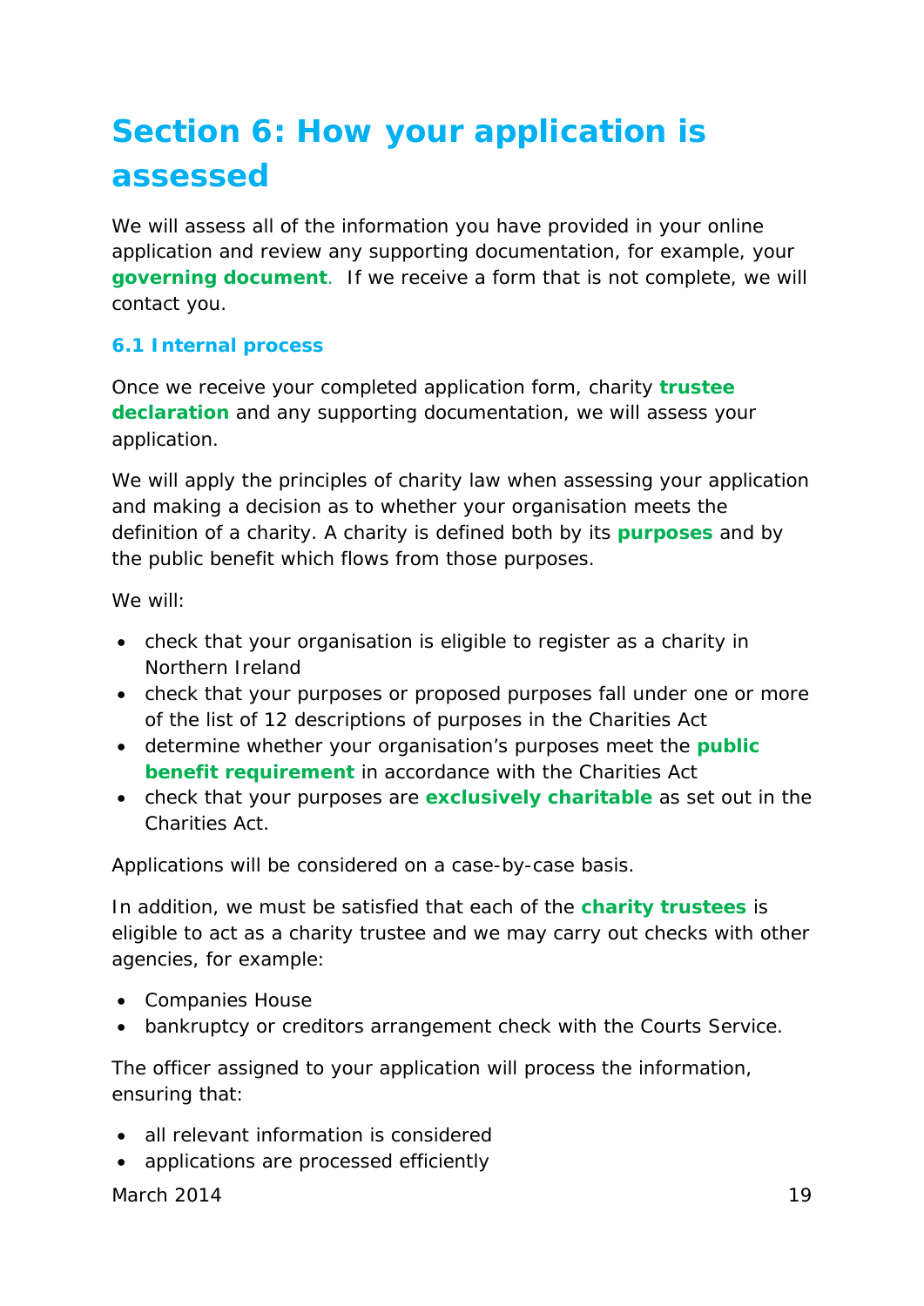## **[Section 6: How your application is](#page-2-0)  [assessed](#page-2-0)**

We will assess all of the information you have provided in your online application and review any supporting documentation, for example, your **[governing document](#page-44-0)**. If we receive a form that is not complete, we will contact you.

#### <span id="page-19-0"></span>**[6.1 Internal process](#page-2-0)**

Once we receive your completed application form, charity **[trustee](#page-48-1) [declaration](#page-48-1)** and any supporting documentation, we will assess your application.

We will apply the principles of charity law when assessing your application and making a decision as to whether your organisation meets the definition of a charity. A charity is defined both by its **[purposes](#page-47-2)** and by the public benefit which flows from those purposes.

We will:

- check that your organisation is eligible to register as a charity in Northern Ireland
- check that your purposes or proposed purposes fall under one or more of the list of 12 descriptions of purposes in the Charities Act
- determine whether your organisation's purposes meet the **[public](#page-47-3)  [benefit requirement](#page-47-3)** in accordance with the Charities Act
- check that your purposes are **[exclusively charitable](#page-43-1)** as set out in the Charities Act.

Applications will be considered on a case-by-case basis.

In addition, we must be satisfied that each of the **[charity trustees](#page-40-2)** is eligible to act as a charity trustee and we may carry out checks with other agencies, for example:

- Companies House
- bankruptcy or creditors arrangement check with the Courts Service.

The officer assigned to your application will process the information, ensuring that:

- all relevant information is considered
- applications are processed efficiently

March 2014 **19**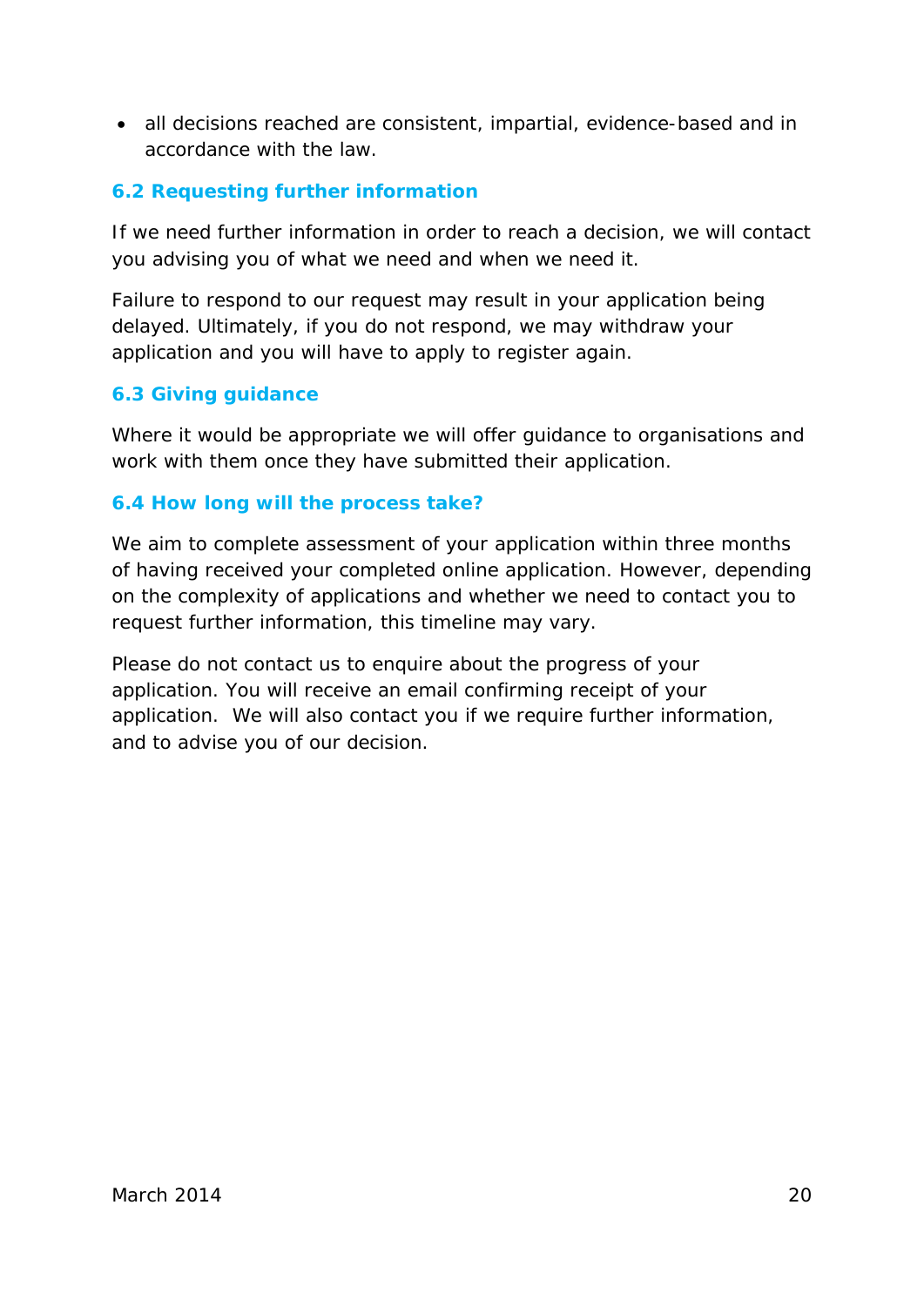• all decisions reached are consistent, impartial, evidence-based and in accordance with the law.

#### <span id="page-20-0"></span>**[6.2 Requesting further information](#page-2-0)**

If we need further information in order to reach a decision, we will contact you advising you of what we need and when we need it.

Failure to respond to our request may result in your application being delayed. Ultimately, if you do not respond, we may withdraw your application and you will have to apply to register again.

#### <span id="page-20-1"></span>**[6.3 Giving guidance](#page-2-0)**

Where it would be appropriate we will offer guidance to organisations and work with them once they have submitted their application.

#### <span id="page-20-2"></span>**[6.4 How long will the process take?](#page-2-0)**

We aim to complete assessment of your application within three months of having received your completed online application. However, depending on the complexity of applications and whether we need to contact you to request further information, this timeline may vary.

Please do not contact us to enquire about the progress of your application. You will receive an email confirming receipt of your application. We will also contact you if we require further information, and to advise you of our decision.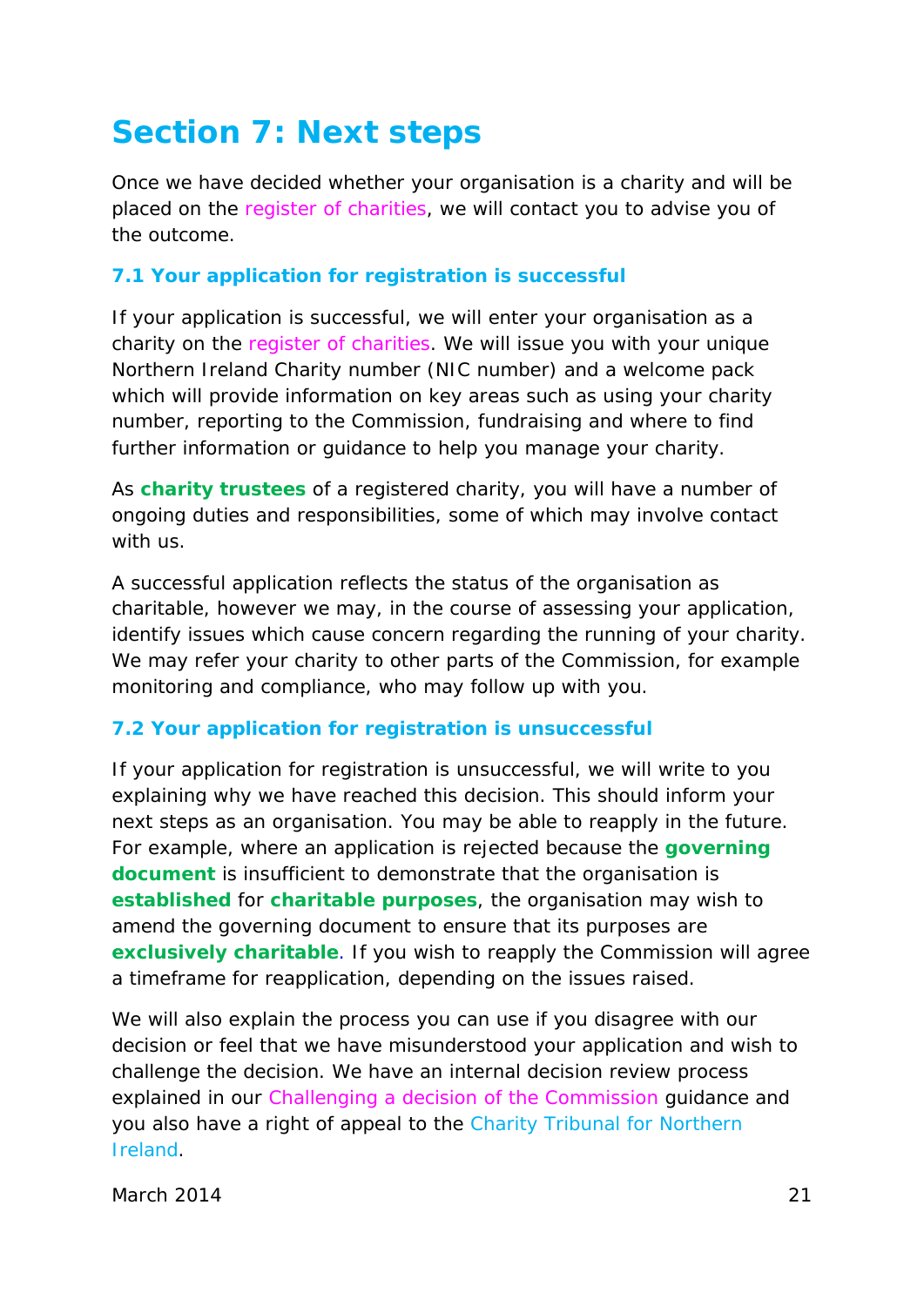### <span id="page-21-0"></span>**[Section 7: Next steps](#page-2-0)**

Once we have decided whether your organisation is a charity and will be placed on the *register of charities*, we will contact you to advise you of the outcome.

#### <span id="page-21-1"></span>**[7.1 Your application for registration is successful](#page-2-0)**

If your application is successful, we will enter your organisation as a charity on the *register of charities*. We will issue you with your unique Northern Ireland Charity number (NIC number) and a welcome pack which will provide information on key areas such as using your charity number, reporting to the Commission, fundraising and where to find further information or guidance to help you manage your charity.

As **[charity trustees](#page-40-2)** of a registered charity, you will have a number of ongoing duties and responsibilities, some of which may involve contact with us.

A successful application reflects the status of the organisation as charitable, however we may, in the course of assessing your application, identify issues which cause concern regarding the running of your charity. We may refer your charity to other parts of the Commission, for example monitoring and compliance, who may follow up with you.

#### <span id="page-21-2"></span>**[7.2 Your application for registration is unsuccessful](#page-2-0)**

If your application for registration is unsuccessful, we will write to you explaining why we have reached this decision. This should inform your next steps as an organisation. You may be able to reapply in the future. For example, where an application is rejected because the **[governing](#page-44-0)  [document](#page-44-0)** is insufficient to demonstrate that the organisation is **[established](#page-43-0)** for **[charitable purposes](#page-39-1)**, the organisation may wish to amend the governing document to ensure that its purposes are **[exclusively charitable](#page-43-1)**. If you wish to reapply the Commission will agree a timeframe for reapplication, depending on the issues raised.

We will also explain the process you can use if you disagree with our decision or feel that we have misunderstood your application and wish to challenge the decision. We have an internal decision review process explained in our *Challenging a decision of the Commission* guidance and you also have a right of appeal to the [Charity Tribunal for Northern](http://www.courtsni.gov.uk/en-GB/Tribunals/CharityTribunal/Pages/default.aspx)  [Ireland.](http://www.courtsni.gov.uk/en-GB/Tribunals/CharityTribunal/Pages/default.aspx)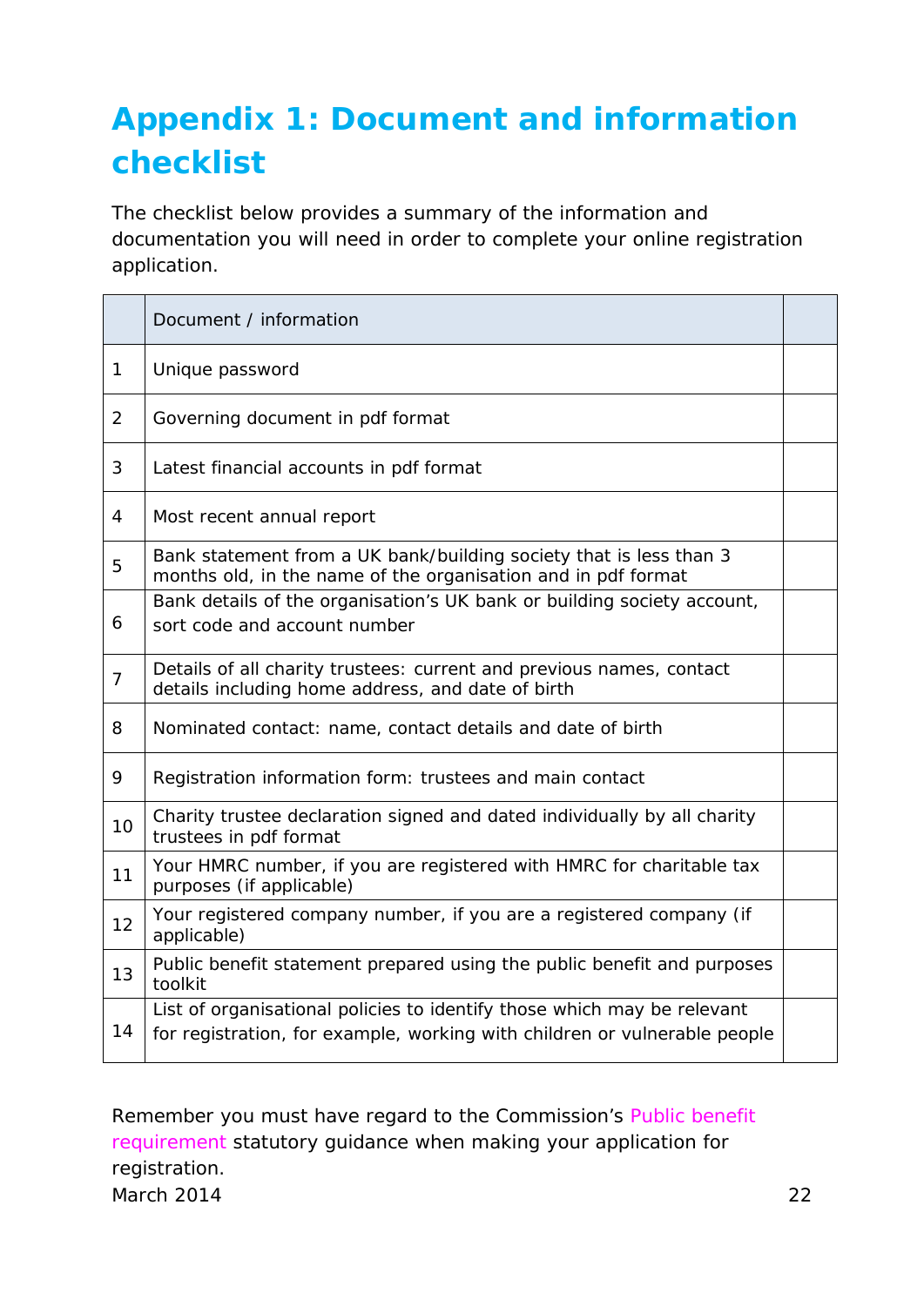## <span id="page-22-0"></span>**[Appendix 1: Document and information](#page-2-0)  [checklist](#page-2-0)**

The checklist below provides a summary of the information and documentation you will need in order to complete your online registration application.

|                | Document / information                                                                                                                               |  |
|----------------|------------------------------------------------------------------------------------------------------------------------------------------------------|--|
| $\mathbf{1}$   | Unique password                                                                                                                                      |  |
| 2              | Governing document in pdf format                                                                                                                     |  |
| 3              | Latest financial accounts in pdf format                                                                                                              |  |
| 4              | Most recent annual report                                                                                                                            |  |
| 5              | Bank statement from a UK bank/building society that is less than 3<br>months old, in the name of the organisation and in pdf format                  |  |
| 6              | Bank details of the organisation's UK bank or building society account,<br>sort code and account number                                              |  |
| $\overline{7}$ | Details of all charity trustees: current and previous names, contact<br>details including home address, and date of birth                            |  |
| 8              | Nominated contact: name, contact details and date of birth                                                                                           |  |
| 9              | Registration information form: trustees and main contact                                                                                             |  |
| 10             | Charity trustee declaration signed and dated individually by all charity<br>trustees in pdf format                                                   |  |
| 11             | Your HMRC number, if you are registered with HMRC for charitable tax<br>purposes (if applicable)                                                     |  |
| 12             | Your registered company number, if you are a registered company (if<br>applicable)                                                                   |  |
| 13             | Public benefit statement prepared using the public benefit and purposes<br>toolkit                                                                   |  |
| 14             | List of organisational policies to identify those which may be relevant<br>for registration, for example, working with children or vulnerable people |  |

Remember you must have regard to the Commission's *Public benefit requirement* statutory guidance when making your application for registration*.* March 2014 22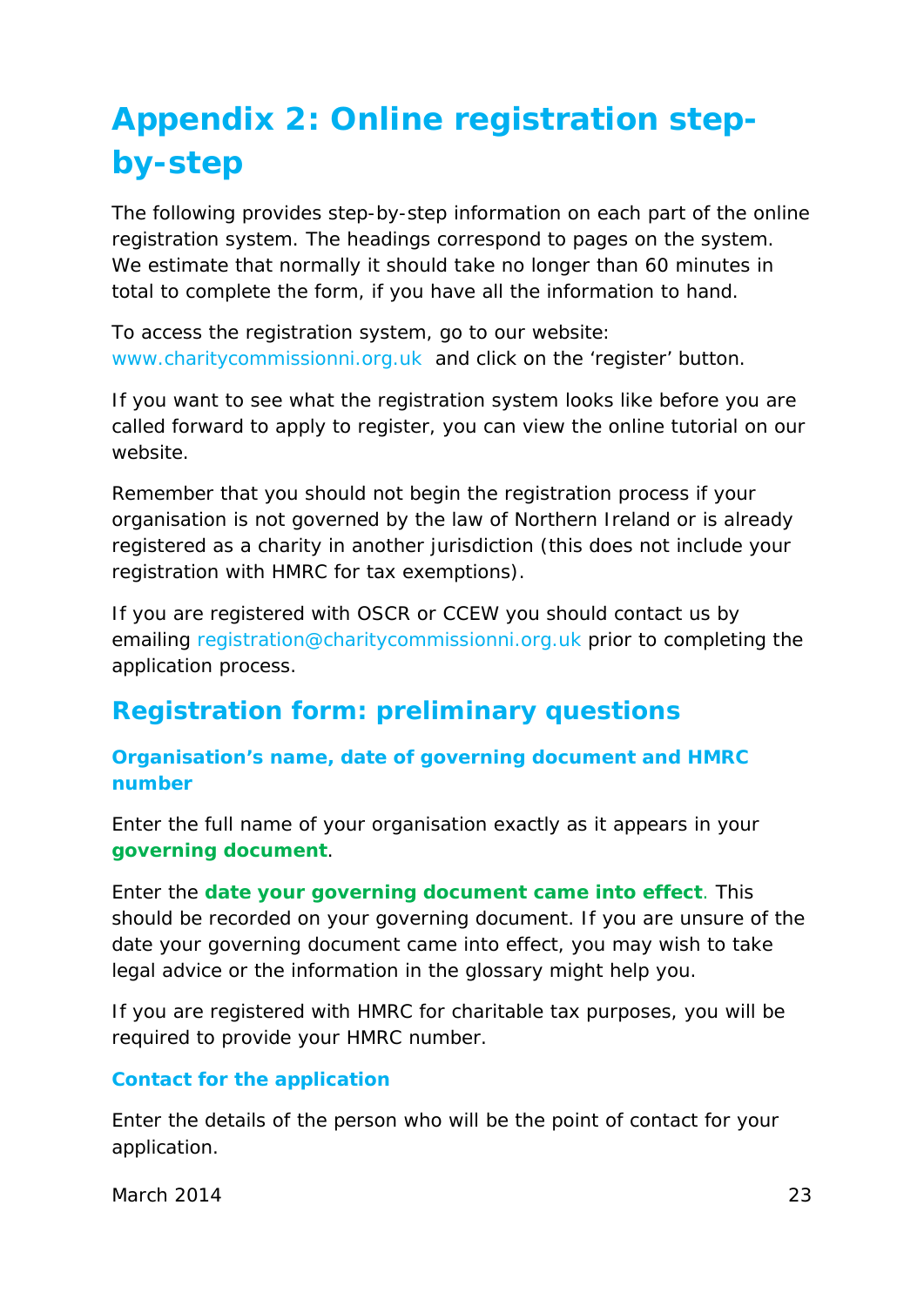## **[Appendix 2: Online registration step](#page-2-0)[by-step](#page-2-0)**

The following provides step-by-step information on each part of the online registration system. The headings correspond to pages on the system. We estimate that normally it should take no longer than 60 minutes in total to complete the form, if you have all the information to hand.

To access the registration system, go to our website: [www.charitycommissionni.org.uk](http://www.charitycommissionni.org.uk/) and click on the 'register' button.

If you want to see what the registration system looks like before you are called forward to apply to register, you can view the online tutorial on our website.

Remember that you should not begin the registration process if your organisation is not governed by the law of Northern Ireland or is already registered as a charity in another jurisdiction (this does not include your registration with HMRC for tax exemptions).

If you are registered with OSCR or CCEW you should contact us by emailing [registration@charitycommissionni.org.uk](mailto:registration@charitycommissionni.org.uk) prior to completing the application process.

### **Registration form: preliminary questions**

**Organisation's name, date of governing document and HMRC number**

Enter the full name of your organisation exactly as it appears in your **[governing document](#page-44-0)**.

Enter the **[date your governing document came into effect](#page-43-3)**. This should be recorded on your governing document. If you are unsure of the date your governing document came into effect, you may wish to take legal advice or the information in the glossary might help you.

If you are registered with HMRC for charitable tax purposes, you will be required to provide your HMRC number.

#### **Contact for the application**

Enter the details of the person who will be the point of contact for your application.

March 2014 23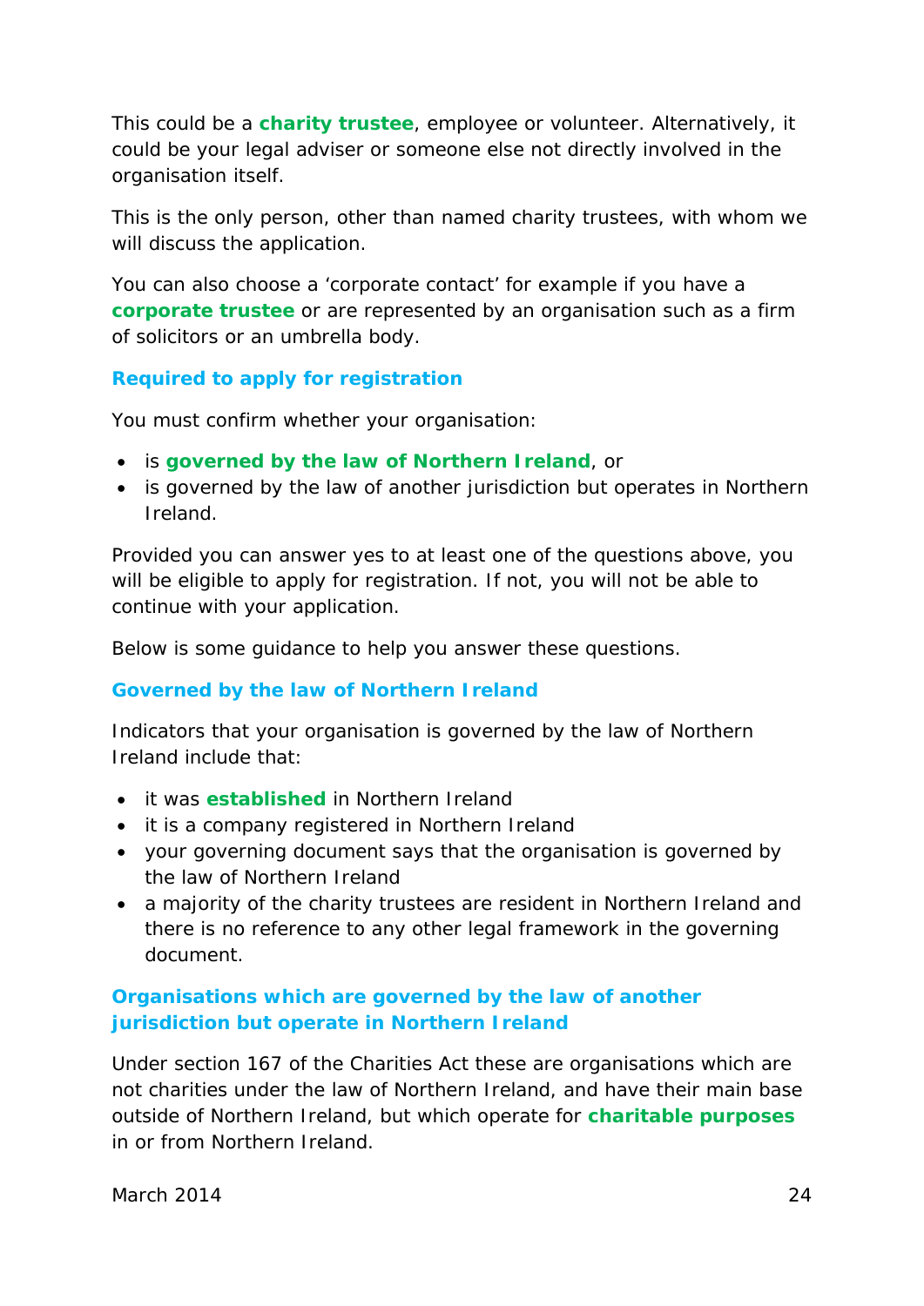This could be a **[charity trustee](#page-40-2)**, employee or volunteer. Alternatively, it could be your legal adviser or someone else not directly involved in the organisation itself.

This is the only person, other than named charity trustees, with whom we will discuss the application.

You can also choose a 'corporate contact' for example if you have a **[corporate trustee](#page-42-2)** or are represented by an organisation such as a firm of solicitors or an umbrella body.

#### **Required to apply for registration**

You must confirm whether your organisation:

- is **[governed by the law of Northern Ireland](#page-44-1)**, or
- is governed by the law of another jurisdiction but operates in Northern Ireland.

Provided you can answer yes to at least one of the questions above, you will be eligible to apply for registration. If not, you will not be able to continue with your application.

Below is some guidance to help you answer these questions.

#### **Governed by the law of Northern Ireland**

Indicators that your organisation is governed by the law of Northern Ireland include that:

- it was **[established](#page-43-0)** in Northern Ireland
- it is a company registered in Northern Ireland
- your governing document says that the organisation is governed by the law of Northern Ireland
- a majority of the charity trustees are resident in Northern Ireland and there is no reference to any other legal framework in the governing document.

#### **Organisations which are governed by the law of another jurisdiction but operate in Northern Ireland**

Under section 167 of the Charities Act these are organisations which are not charities under the law of Northern Ireland, and have their main base outside of Northern Ireland, but which operate for **[charitable purposes](#page-39-1)** in or from Northern Ireland.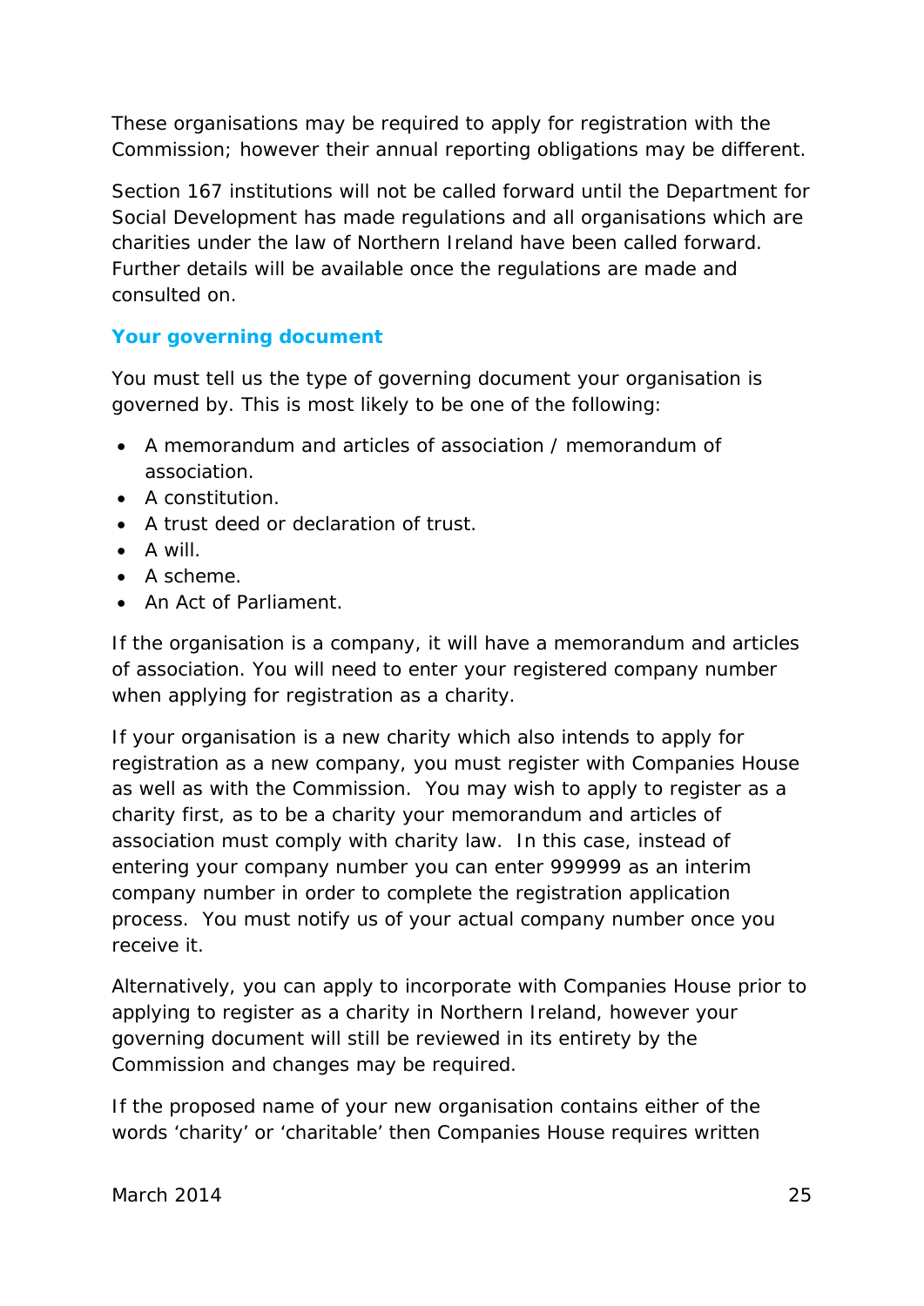These organisations may be required to apply for registration with the Commission; however their annual reporting obligations may be different.

Section 167 institutions will not be called forward until the Department for Social Development has made regulations and all organisations which are charities under the law of Northern Ireland have been called forward. Further details will be available once the regulations are made and consulted on.

#### **Your governing document**

You must tell us the type of governing document your organisation is governed by. This is most likely to be one of the following:

- A memorandum and articles of association / memorandum of association.
- A constitution.
- A trust deed or declaration of trust.
- A will.
- A scheme.
- An Act of Parliament.

If the organisation is a company, it will have a memorandum and articles of association. You will need to enter your registered company number when applying for registration as a charity.

If your organisation is a new charity which also intends to apply for registration as a new company, you must register with Companies House as well as with the Commission. You may wish to apply to register as a charity first, as to be a charity your memorandum and articles of association must comply with charity law. In this case, instead of entering your company number you can enter 999999 as an interim company number in order to complete the registration application process. You must notify us of your actual company number once you receive it.

Alternatively, you can apply to incorporate with Companies House prior to applying to register as a charity in Northern Ireland, however your governing document will still be reviewed in its entirety by the Commission and changes may be required.

If the proposed name of your new organisation contains either of the words 'charity' or 'charitable' then Companies House requires written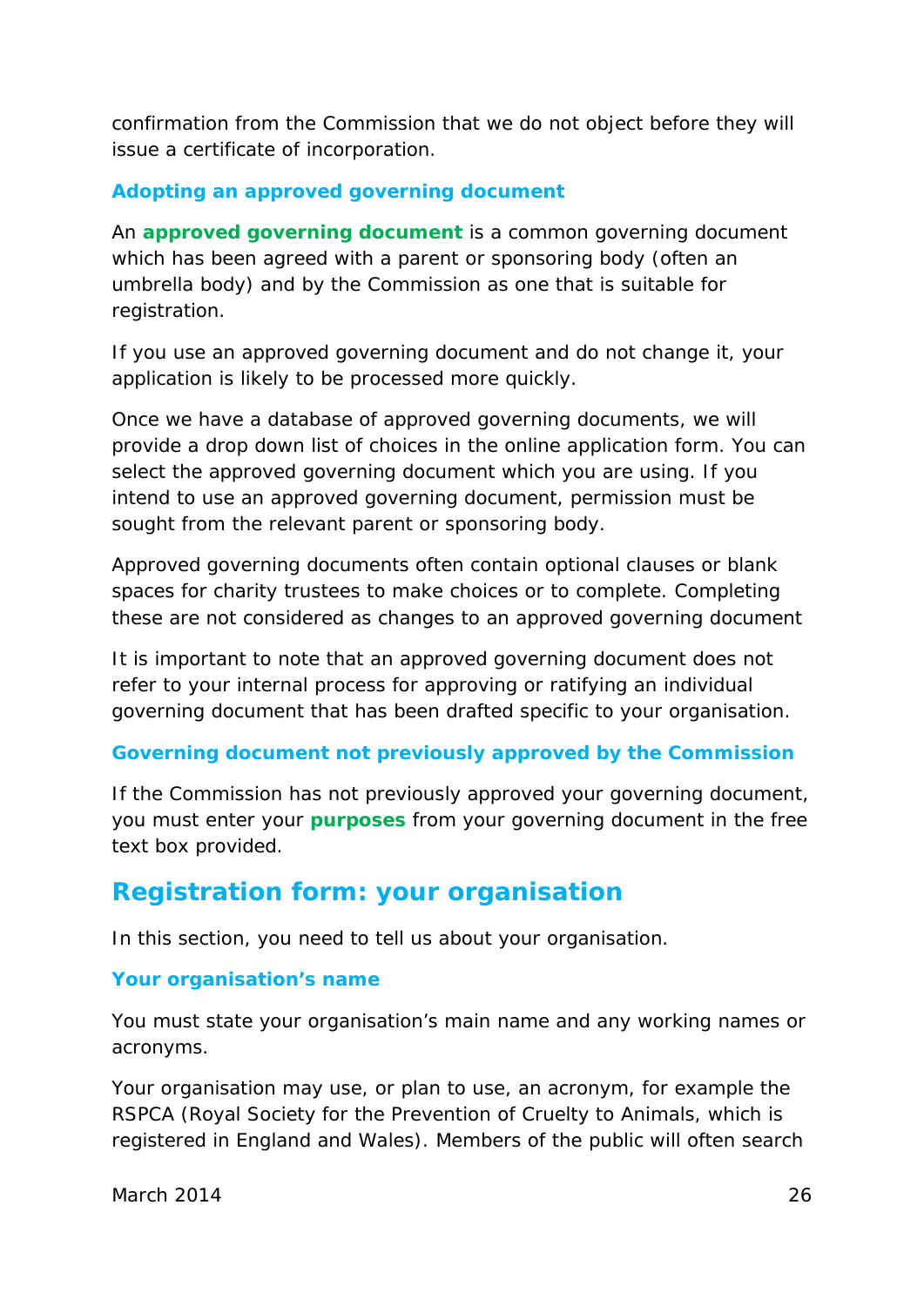confirmation from the Commission that we do not object before they will issue a certificate of incorporation.

#### **Adopting an approved governing document**

An **[approved governing document](#page-39-4)** is a common governing document which has been agreed with a parent or sponsoring body (often an umbrella body) and by the Commission as one that is suitable for registration.

If you use an approved governing document and do not change it, your application is likely to be processed more quickly.

Once we have a database of approved governing documents, we will provide a drop down list of choices in the online application form. You can select the approved governing document which you are using. If you intend to use an approved governing document, permission must be sought from the relevant parent or sponsoring body.

Approved governing documents often contain optional clauses or blank spaces for charity trustees to make choices or to complete. Completing these are not considered as changes to an approved governing document

It is important to note that an approved governing document does not refer to your internal process for approving or ratifying an individual governing document that has been drafted specific to your organisation.

#### **Governing document not previously approved by the Commission**

If the Commission has not previously approved your governing document, you must enter your **[purposes](#page-47-2)** from your governing document in the free text box provided.

### **Registration form: your organisation**

In this section, you need to tell us about your organisation.

#### **Your organisation's name**

You must state your organisation's main name and any working names or acronyms.

Your organisation may use, or plan to use, an acronym, for example the RSPCA (Royal Society for the Prevention of Cruelty to Animals, which is registered in England and Wales). Members of the public will often search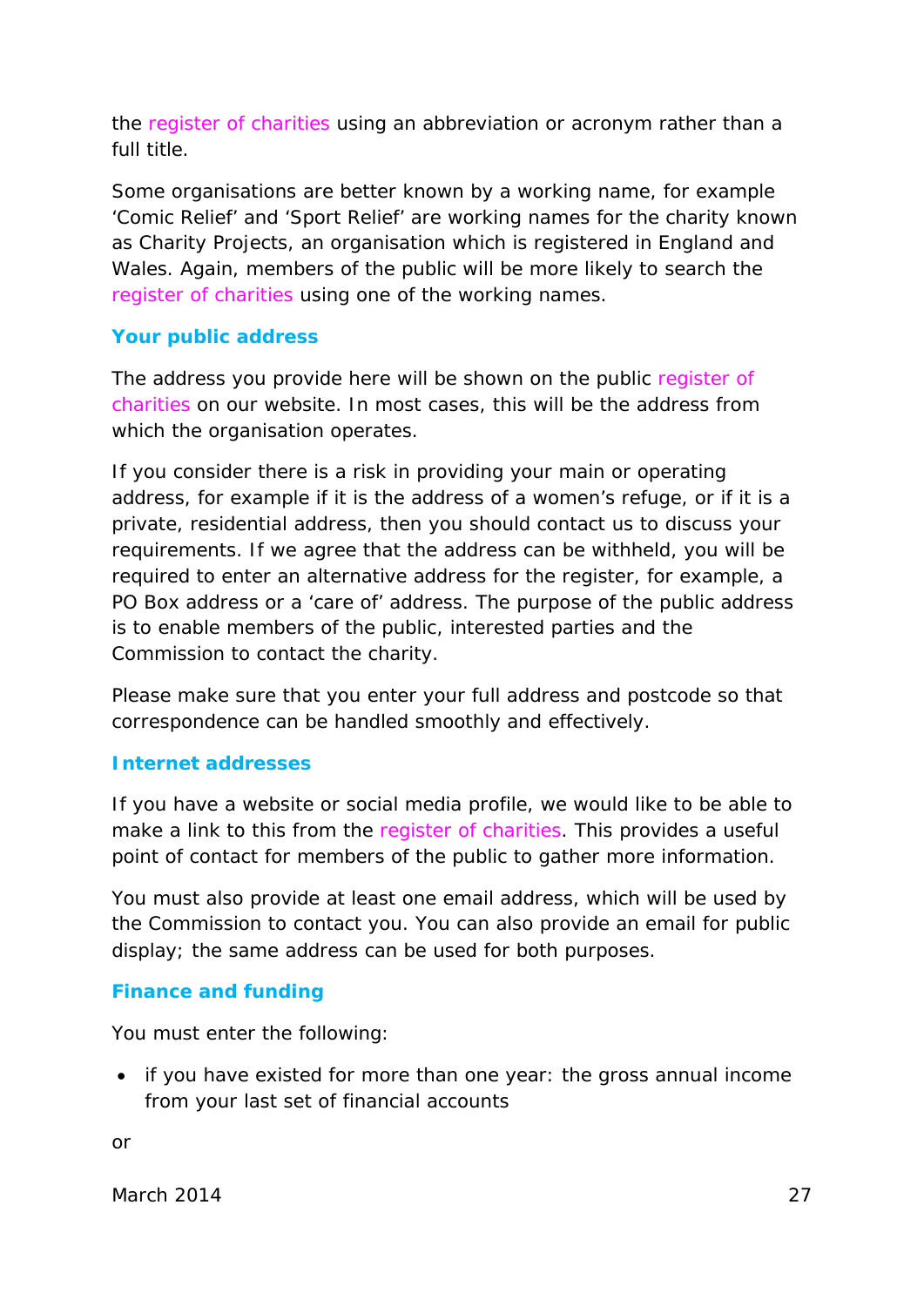the *register of charities* using an abbreviation or acronym rather than a full title.

Some organisations are better known by a working name, for example 'Comic Relief' and 'Sport Relief' are working names for the charity known as Charity Projects, an organisation which is registered in England and Wales. Again, members of the public will be more likely to search the r*egister of charities* using one of the working names.

#### **Your public address**

The address you provide here will be shown on the public *register of charities* on our website. In most cases, this will be the address from which the organisation operates.

If you consider there is a risk in providing your main or operating address, for example if it is the address of a women's refuge, or if it is a private, residential address, then you should contact us to discuss your requirements. If we agree that the address can be withheld, you will be required to enter an alternative address for the register, for example, a PO Box address or a 'care of' address. The purpose of the public address is to enable members of the public, interested parties and the Commission to contact the charity.

Please make sure that you enter your full address and postcode so that correspondence can be handled smoothly and effectively.

#### **Internet addresses**

If you have a website or social media profile, we would like to be able to make a link to this from the r*egister of charities*. This provides a useful point of contact for members of the public to gather more information.

You must also provide at least one email address, which will be used by the Commission to contact you. You can also provide an email for public display; the same address can be used for both purposes.

#### **Finance and funding**

You must enter the following:

• if you have existed for more than one year: the gross annual income from your last set of financial accounts

or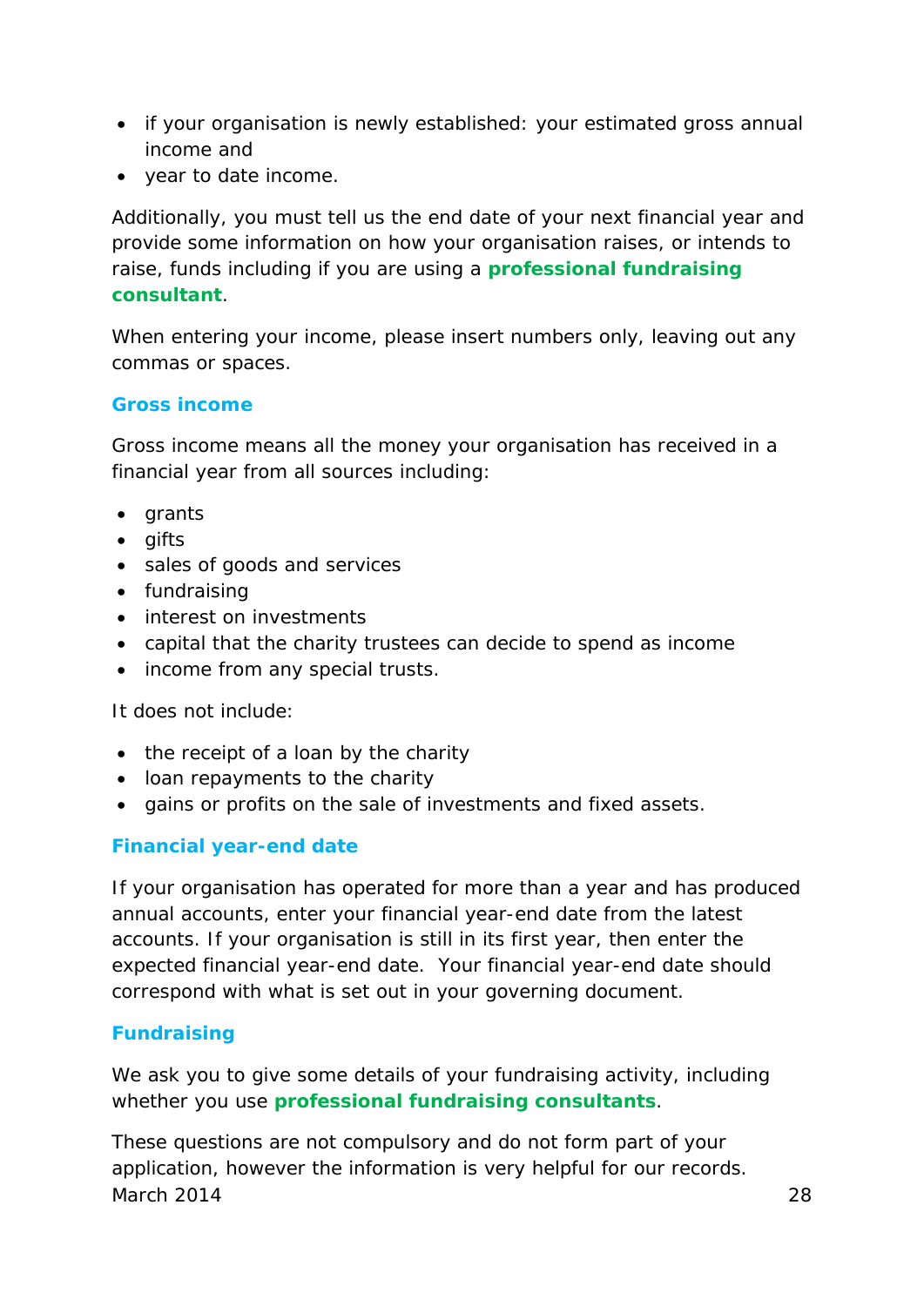- if your organisation is newly established: your estimated gross annual income and
- year to date income.

Additionally, you must tell us the end date of your next financial year and provide some information on how your organisation raises, or intends to raise, funds including if you are using a **[professional fundraising](#page-46-1)  [consultant](#page-46-1)**.

When entering your income, please insert numbers only, leaving out any commas or spaces.

#### **Gross income**

Gross income means all the money your organisation has received in a financial year from all sources including:

- grants
- gifts
- sales of goods and services
- fundraising
- interest on investments
- capital that the charity trustees can decide to spend as income
- income from any special trusts.

It does not include:

- the receipt of a loan by the charity
- loan repayments to the charity
- gains or profits on the sale of investments and fixed assets.

#### **Financial year-end date**

If your organisation has operated for more than a year and has produced annual accounts, enter your financial year-end date from the latest accounts. If your organisation is still in its first year, then enter the expected financial year-end date. Your financial year-end date should correspond with what is set out in your governing document.

#### **Fundraising**

We ask you to give some details of your fundraising activity, including whether you use **[professional fundraising consultants](#page-46-1)**.

These questions are not compulsory and do not form part of your application, however the information is very helpful for our records. March 2014 28 28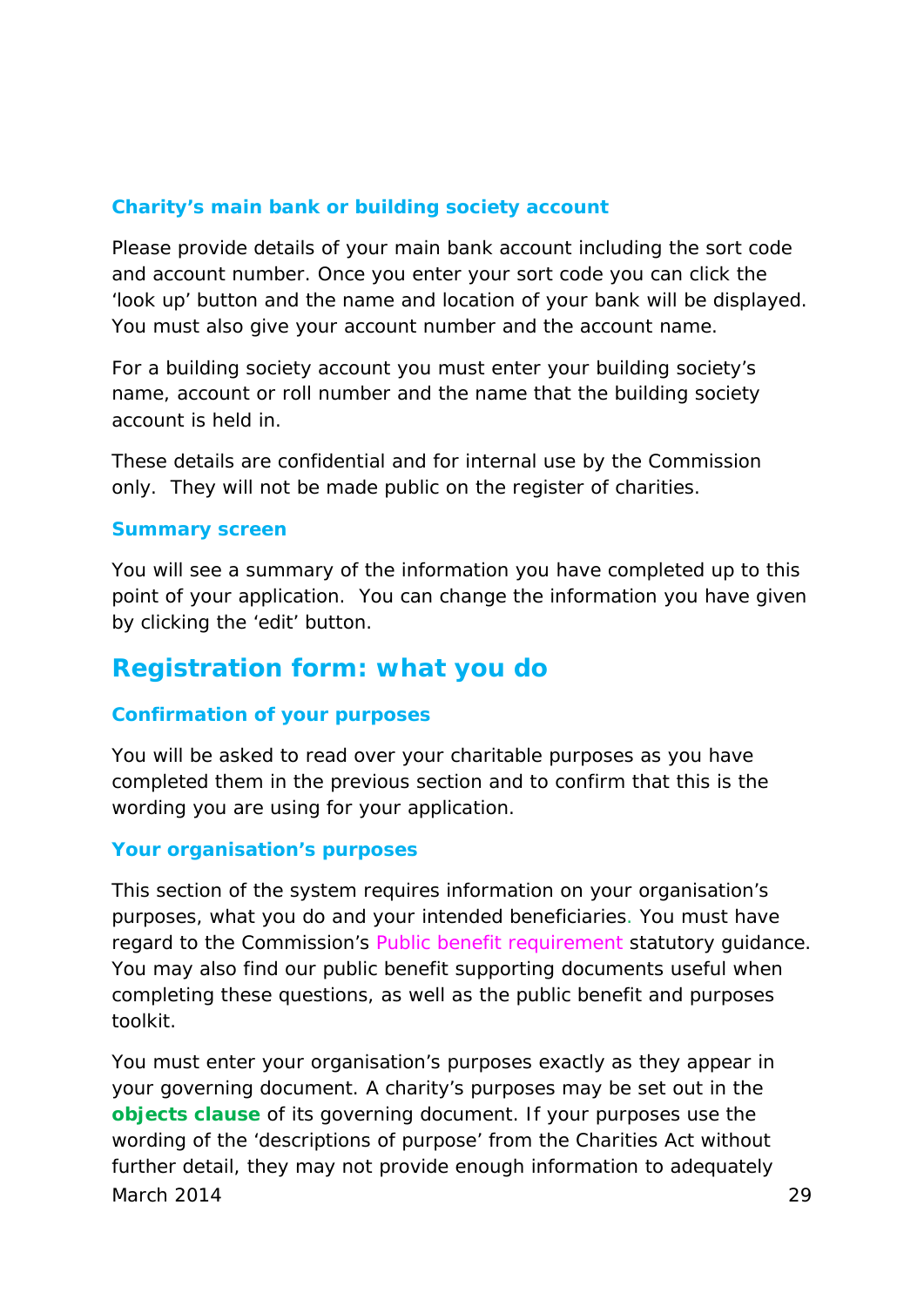#### **Charity's main bank or building society account**

Please provide details of your main bank account including the sort code and account number. Once you enter your sort code you can click the 'look up' button and the name and location of your bank will be displayed. You must also give your account number and the account name.

For a building society account you must enter your building society's name, account or roll number and the name that the building society account is held in.

These details are confidential and for internal use by the Commission only. They will not be made public on the register of charities.

#### **Summary screen**

You will see a summary of the information you have completed up to this point of your application. You can change the information you have given by clicking the 'edit' button.

### **Registration form: what you do**

#### **Confirmation of your purposes**

You will be asked to read over your charitable purposes as you have completed them in the previous section and to confirm that this is the wording you are using for your application.

#### **Your organisation's purposes**

This section of the system requires information on your organisation's purposes, what you do and your intended beneficiaries. You must have regard to the Commission's *Public benefit requirement* statutory guidance. You may also find our public benefit supporting documents useful when completing these questions, as well as the public benefit and purposes toolkit.

You must enter your organisation's purposes exactly as they appear in your governing document. A charity's purposes may be set out in the **[objects clause](#page-46-2)** of its governing document. If your purposes use the wording of the 'descriptions of purpose' from the Charities Act without further detail, they may not provide enough information to adequately March 2014 29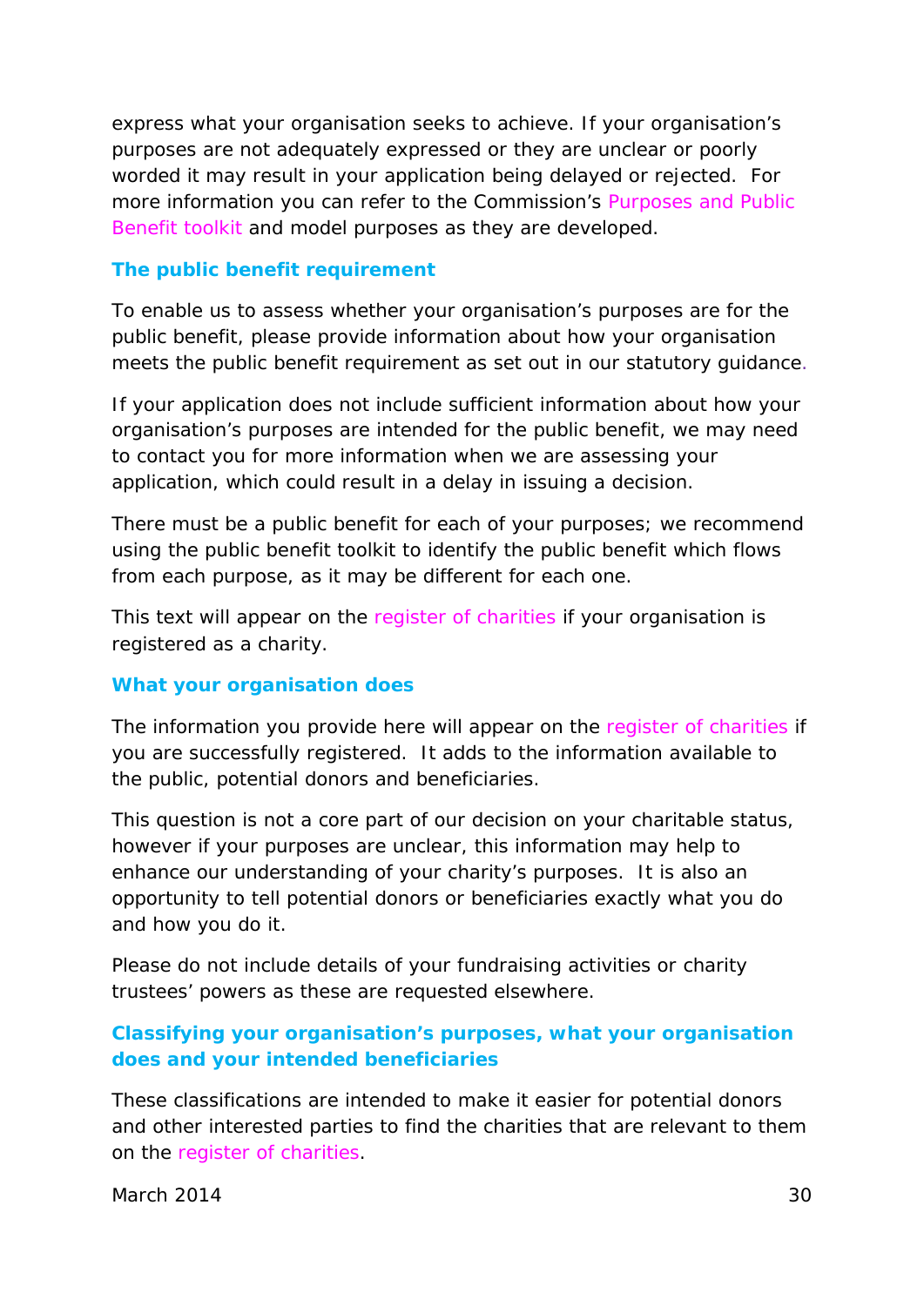express what your organisation seeks to achieve. If your organisation's purposes are not adequately expressed or they are unclear or poorly worded it may result in your application being delayed or rejected. For more information you can refer to the Commission's *Purposes and Public Benefit toolkit* and model purposes as they are developed.

#### **The public benefit requirement**

To enable us to assess whether your organisation's purposes are for the public benefit, please provide information about how your organisation meets the public benefit requirement as set out in our statutory guidance.

If your application does not include sufficient information about how your organisation's purposes are intended for the public benefit, we may need to contact you for more information when we are assessing your application, which could result in a delay in issuing a decision.

There must be a public benefit for each of your purposes; we recommend using the public benefit toolkit to identify the public benefit which flows from each purpose, as it may be different for each one.

This text will appear on the *register of charities* if your organisation is registered as a charity.

#### **What your organisation does**

The information you provide here will appear on the *register of charities* if you are successfully registered. It adds to the information available to the public, potential donors and beneficiaries.

This question is not a core part of our decision on your charitable status, however if your purposes are unclear, this information may help to enhance our understanding of your charity's purposes. It is also an opportunity to tell potential donors or beneficiaries exactly what you do and how you do it.

Please do not include details of your fundraising activities or charity trustees' powers as these are requested elsewhere.

#### **Classifying your organisation's purposes, what your organisation does and your intended beneficiaries**

These classifications are intended to make it easier for potential donors and other interested parties to find the charities that are relevant to them on the *register of charities.*

March 2014 30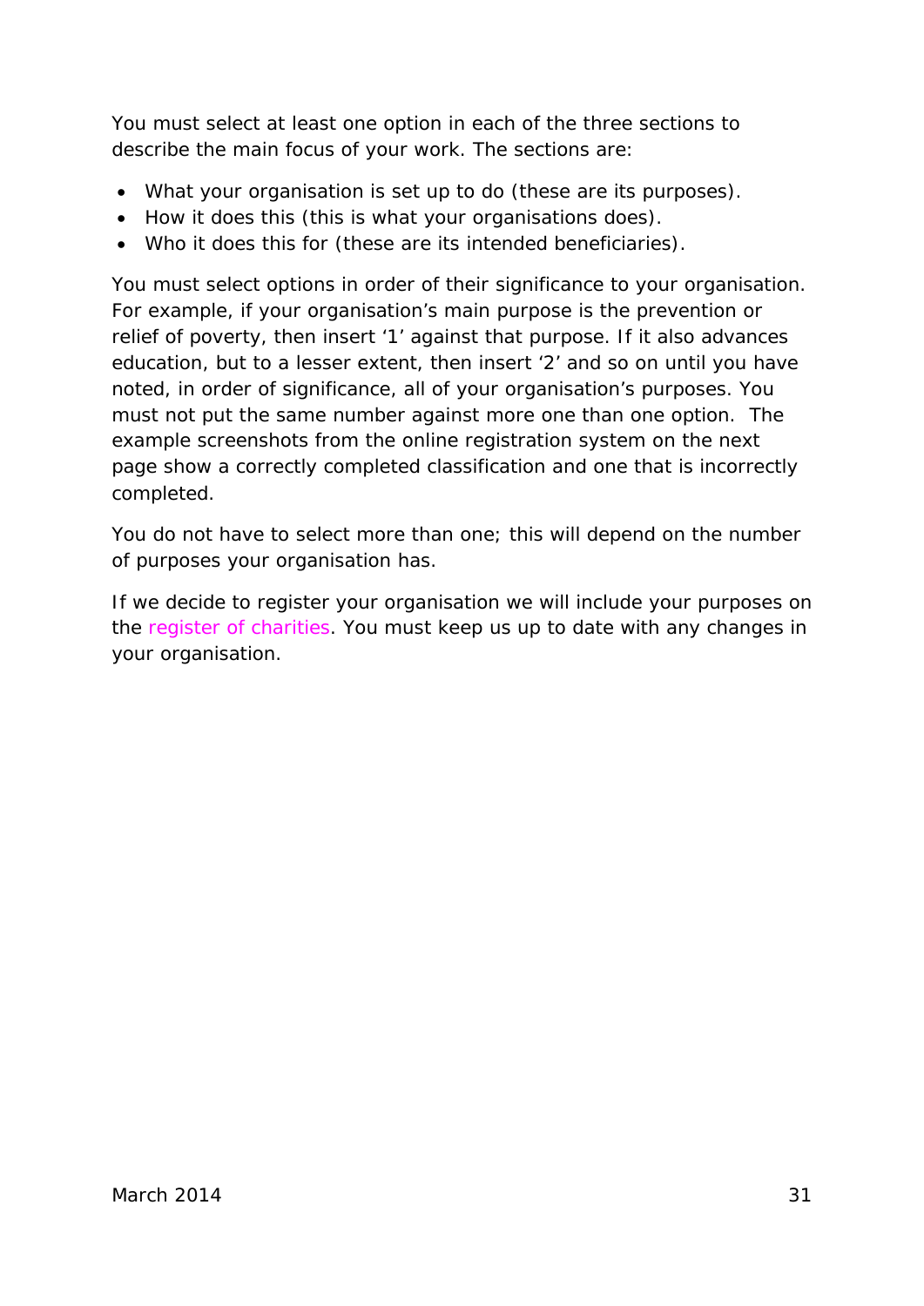You must select at least one option in each of the three sections to describe the main focus of your work. The sections are:

- What your organisation is set up to do (these are its purposes).
- How it does this (this is what your organisations does).
- Who it does this for (these are its intended beneficiaries).

You must select options in order of their significance to your organisation. For example, if your organisation's main purpose is the prevention or relief of poverty, then insert '1' against that purpose. If it also advances education, but to a lesser extent, then insert '2' and so on until you have noted, in order of significance, all of your organisation's purposes. You must not put the same number against more one than one option. The example screenshots from the online registration system on the next page show a correctly completed classification and one that is incorrectly completed.

You do not have to select more than one; this will depend on the number of purposes your organisation has.

If we decide to register your organisation we will include your purposes on the *register of charities*. You must keep us up to date with any changes in your organisation.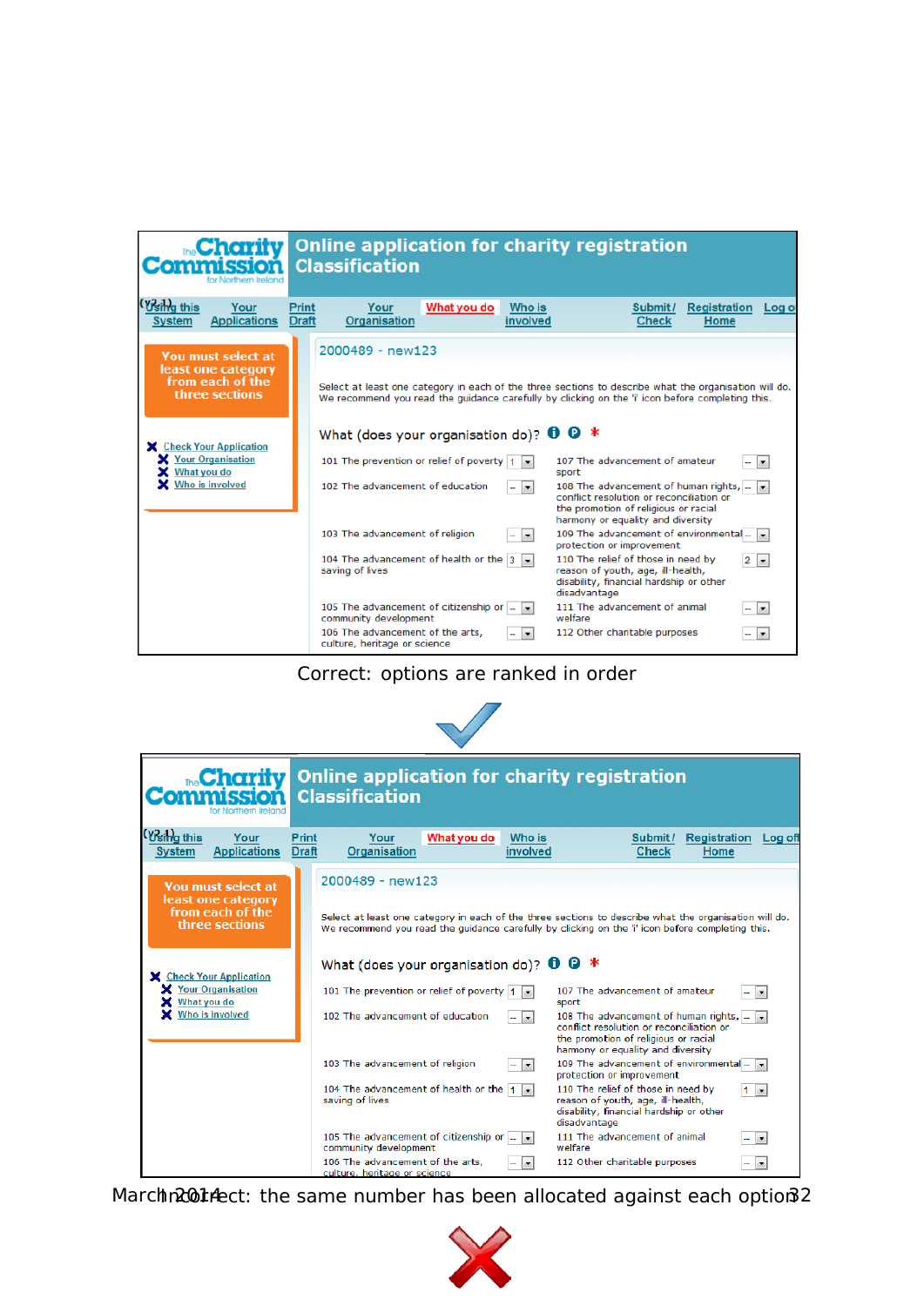

Correct: options are ranked in order



| <b>The Charity</b><br>for Northern Ireland                                             | Online application for charity registration<br><b>Classification</b>                                                                                                                                                                                                       |                                                                                                                                                                                                                                                                                                                                                                                                              |
|----------------------------------------------------------------------------------------|----------------------------------------------------------------------------------------------------------------------------------------------------------------------------------------------------------------------------------------------------------------------------|--------------------------------------------------------------------------------------------------------------------------------------------------------------------------------------------------------------------------------------------------------------------------------------------------------------------------------------------------------------------------------------------------------------|
| Wsing this<br>Your<br><b>Applications</b><br><b>System</b>                             | Print<br>Your<br>What you do<br>Who is<br><b>Draft</b><br>Organisation<br>involved                                                                                                                                                                                         | <b>Registration</b><br>Submit/<br>Log off<br><b>Check</b><br>Home                                                                                                                                                                                                                                                                                                                                            |
| You must select at<br>least one category<br>from each of the<br>three sections         | 2000489 - new123                                                                                                                                                                                                                                                           | Select at least one category in each of the three sections to describe what the organisation will do.<br>We recommend you read the quidance carefully by clicking on the 'i' icon before completing this.                                                                                                                                                                                                    |
| X Check Your Application<br>X Your Organisation<br>What you do<br>Who is involved<br>× | What (does your organisation do)? $\mathbf{0} \in \mathbb{R}^*$<br>101 The prevention or relief of poverty $\vert 1 \vert$ .<br>102 The advancement of education<br>$\mathbf{r}$                                                                                           | 107 The advancement of amateur<br>$\overline{\phantom{a}}$<br>sport<br>108 The advancement of human rights,<br>$\overline{\phantom{a}}$<br>conflict resolution or reconciliation or<br>the promotion of religious or racial                                                                                                                                                                                  |
|                                                                                        | 103 The advancement of religion<br>$\vert \cdot \vert$<br>104 The advancement of health or the $\vert 1 \vert -$<br>saving of lives<br>105 The advancement of citizenship or  <br>$\blacksquare$<br>community development<br>106 The advancement of the arts,<br>$\bullet$ | harmony or equality and diversity<br>109 The advancement of environmental.<br>$\overline{\phantom{a}}$<br>protection or improvement<br>110 The relief of those in need by<br>I.<br>reason of youth, age, ill-health,<br>disability, financial hardship or other<br>disadvantage<br>111 The advancement of animal<br>$\blacktriangledown$<br>welfare<br>112 Other charitable purposes<br>$\blacktriangledown$ |

March 2014 Act: the same number has been allocated against each option 32

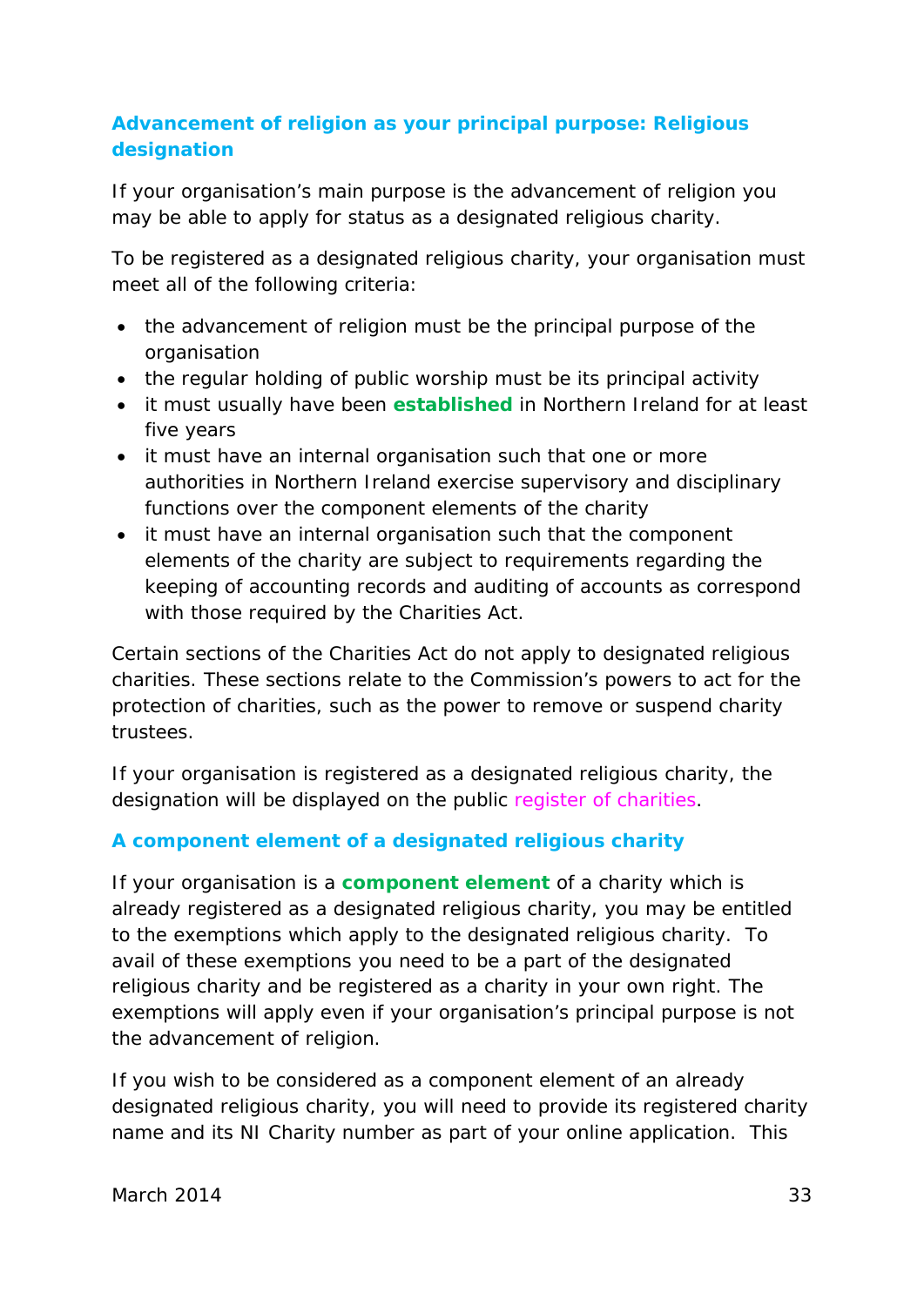#### **Advancement of religion as your principal purpose: Religious designation**

If your organisation's main purpose is the advancement of religion you may be able to apply for status as a designated religious charity.

To be registered as a designated religious charity, your organisation must meet all of the following criteria:

- the advancement of religion must be the principal purpose of the organisation
- the regular holding of public worship must be its principal activity
- it must usually have been **[established](#page-43-0)** in Northern Ireland for at least five years
- it must have an internal organisation such that one or more authorities in Northern Ireland exercise supervisory and disciplinary functions over the component elements of the charity
- it must have an internal organisation such that the component elements of the charity are subject to requirements regarding the keeping of accounting records and auditing of accounts as correspond with those required by the Charities Act.

Certain sections of the Charities Act do not apply to designated religious charities. These sections relate to the Commission's powers to act for the protection of charities, such as the power to remove or suspend charity trustees.

If your organisation is registered as a designated religious charity, the designation will be displayed on the public *register of charities*.

#### **A component element of a designated religious charity**

If your organisation is a **[component element](#page-42-3)** of a charity which is already registered as a designated religious charity, you may be entitled to the exemptions which apply to the designated religious charity. To avail of these exemptions you need to be a part of the designated religious charity and be registered as a charity in your own right. The exemptions will apply even if your organisation's principal purpose is not the advancement of religion.

If you wish to be considered as a component element of an already designated religious charity, you will need to provide its registered charity name and its NI Charity number as part of your online application. This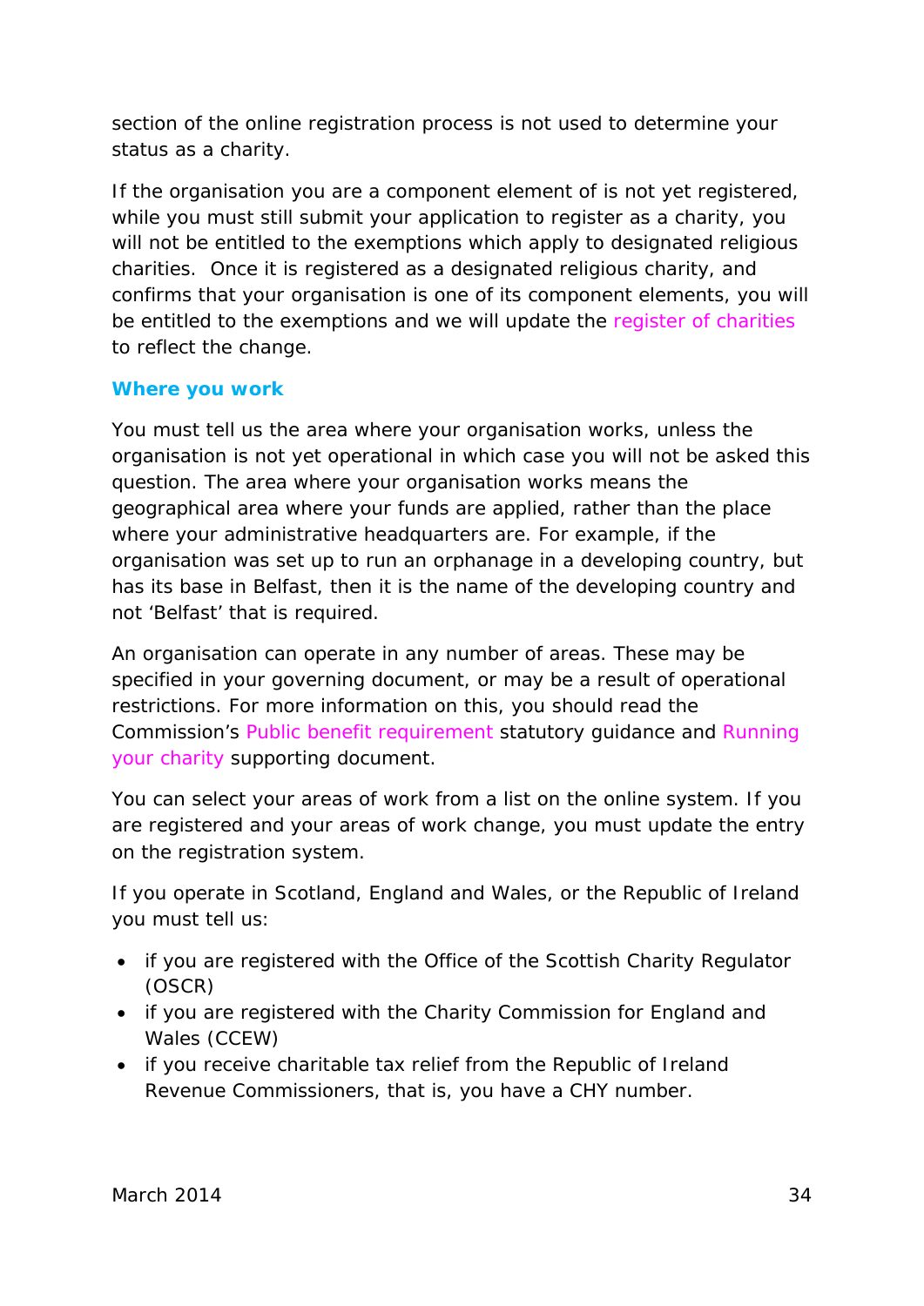section of the online registration process is not used to determine your status as a charity.

If the organisation you are a component element of is not yet registered, while you must still submit your application to register as a charity, you will not be entitled to the exemptions which apply to designated religious charities. Once it is registered as a designated religious charity, and confirms that your organisation is one of its component elements, you will be entitled to the exemptions and we will update the *register of charities* to reflect the change.

#### **Where you work**

You must tell us the area where your organisation works, unless the organisation is not yet operational in which case you will not be asked this question. The area where your organisation works means the geographical area where your funds are applied, rather than the place where your administrative headquarters are. For example, if the organisation was set up to run an orphanage in a developing country, but has its base in Belfast, then it is the name of the developing country and not 'Belfast' that is required.

An organisation can operate in any number of areas. These may be specified in your governing document, or may be a result of operational restrictions. For more information on this, you should read the Commission's *Public benefit requirement* statutory guidance and *Running your charity* supporting document.

You can select your areas of work from a list on the online system. If you are registered and your areas of work change, you must update the entry on the registration system.

If you operate in Scotland, England and Wales, or the Republic of Ireland you must tell us:

- if you are registered with the Office of the Scottish Charity Regulator (OSCR)
- if you are registered with the Charity Commission for England and Wales (CCEW)
- if you receive charitable tax relief from the Republic of Ireland Revenue Commissioners, that is, you have a CHY number.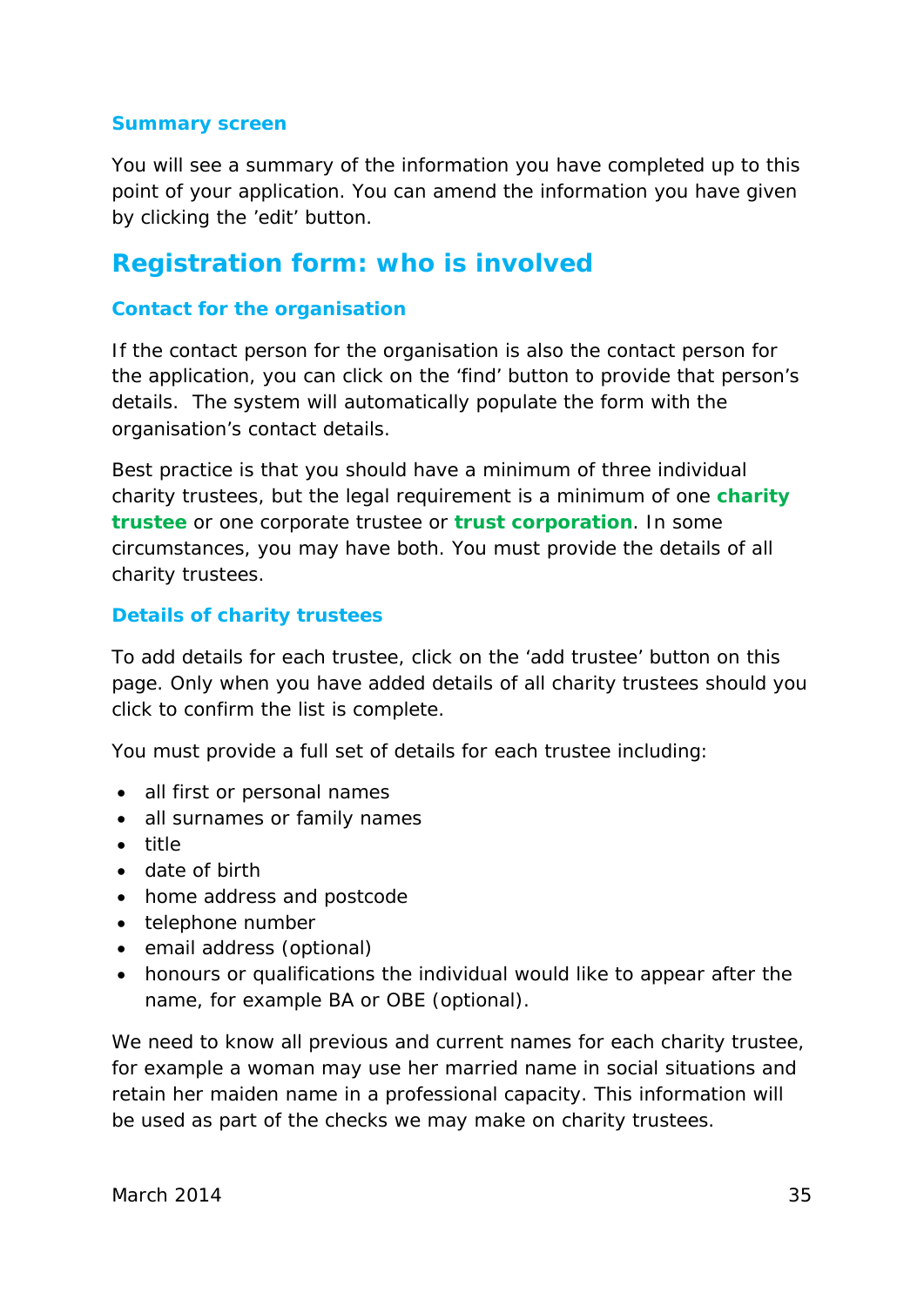#### **Summary screen**

You will see a summary of the information you have completed up to this point of your application. You can amend the information you have given by clicking the 'edit' button.

### **Registration form: who is involved**

#### **Contact for the organisation**

If the contact person for the organisation is also the contact person for the application, you can click on the 'find' button to provide that person's details. The system will automatically populate the form with the organisation's contact details.

Best practice is that you should have a minimum of three individual charity trustees, but the legal requirement is a minimum of one **[charity](#page-40-2)  [trustee](#page-40-2)** or one corporate trustee or **[trust corporation](#page-48-2)**. In some circumstances, you may have both. You must provide the details of all charity trustees.

#### **Details of charity trustees**

To add details for each trustee, click on the 'add trustee' button on this page. Only when you have added details of all charity trustees should you click to confirm the list is complete.

You must provide a full set of details for each trustee including:

- all first or personal names
- all surnames or family names
- title
- date of birth
- home address and postcode
- telephone number
- email address (optional)
- honours or qualifications the individual would like to appear after the name, for example BA or OBE (optional).

We need to know all previous and current names for each charity trustee, for example a woman may use her married name in social situations and retain her maiden name in a professional capacity. This information will be used as part of the checks we may make on charity trustees.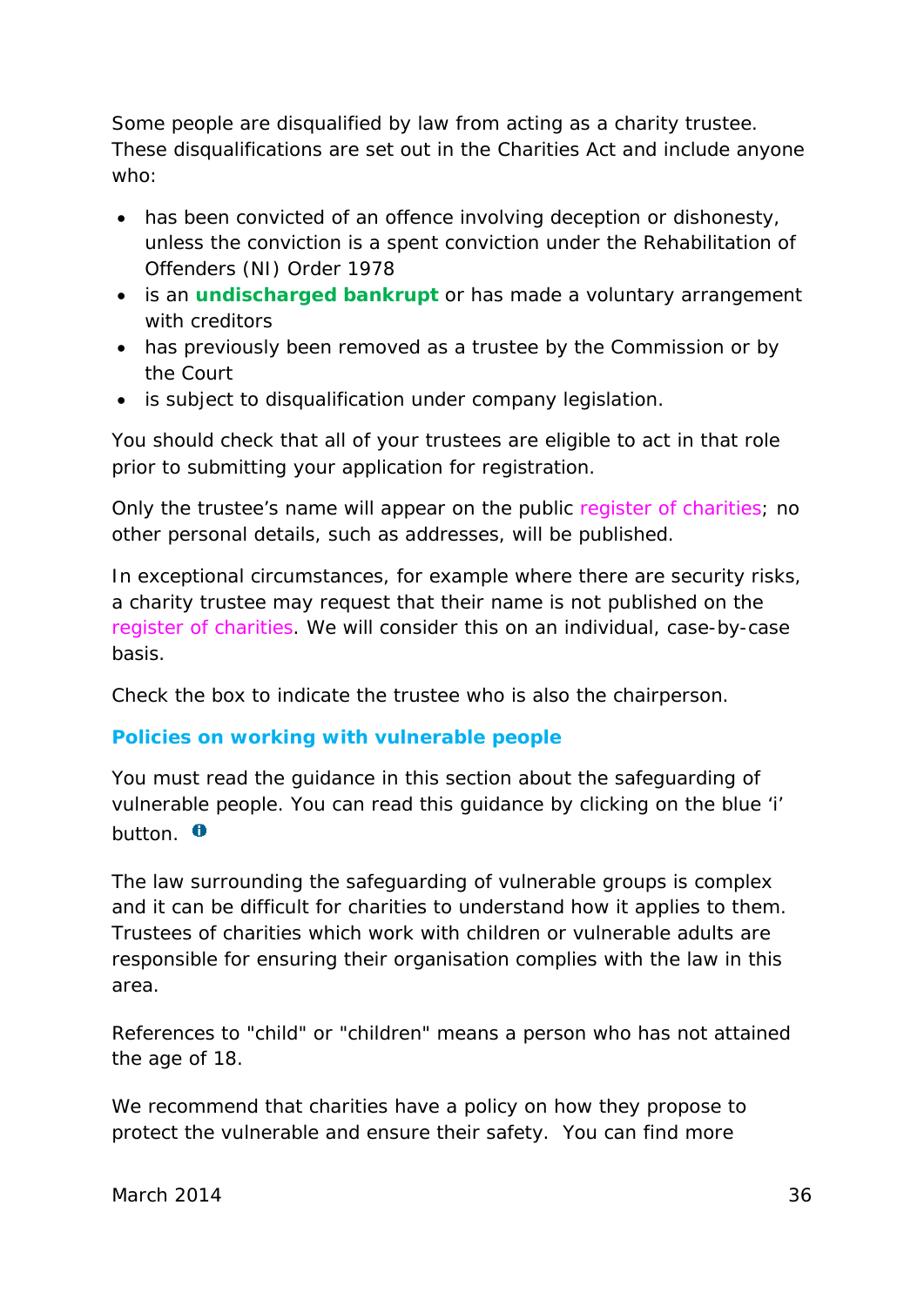Some people are disqualified by law from acting as a charity trustee. These disqualifications are set out in the Charities Act and include anyone who:

- has been convicted of an offence involving deception or dishonesty, unless the conviction is a spent conviction under the Rehabilitation of Offenders (NI) Order 1978
- is an **[undischarged bankrupt](#page-48-3)** or has made a voluntary arrangement with creditors
- has previously been removed as a trustee by the Commission or by the Court
- is subject to disqualification under company legislation.

You should check that all of your trustees are eligible to act in that role prior to submitting your application for registration.

Only the trustee's name will appear on the public *register of charities*; no other personal details, such as addresses, will be published.

In exceptional circumstances, for example where there are security risks, a charity trustee may request that their name is not published on the *register of charities*. We will consider this on an individual, case-by-case basis.

Check the box to indicate the trustee who is also the chairperson.

#### **Policies on working with vulnerable people**

You must read the guidance in this section about the safeguarding of vulnerable people. You can read this guidance by clicking on the blue 'i' button.  $\theta$ 

The law surrounding the safeguarding of vulnerable groups is complex and it can be difficult for charities to understand how it applies to them. Trustees of charities which work with children or vulnerable adults are responsible for ensuring their organisation complies with the law in this area.

References to "child" or "children" means a person who has not attained the age of 18.

We recommend that charities have a policy on how they propose to protect the vulnerable and ensure their safety. You can find more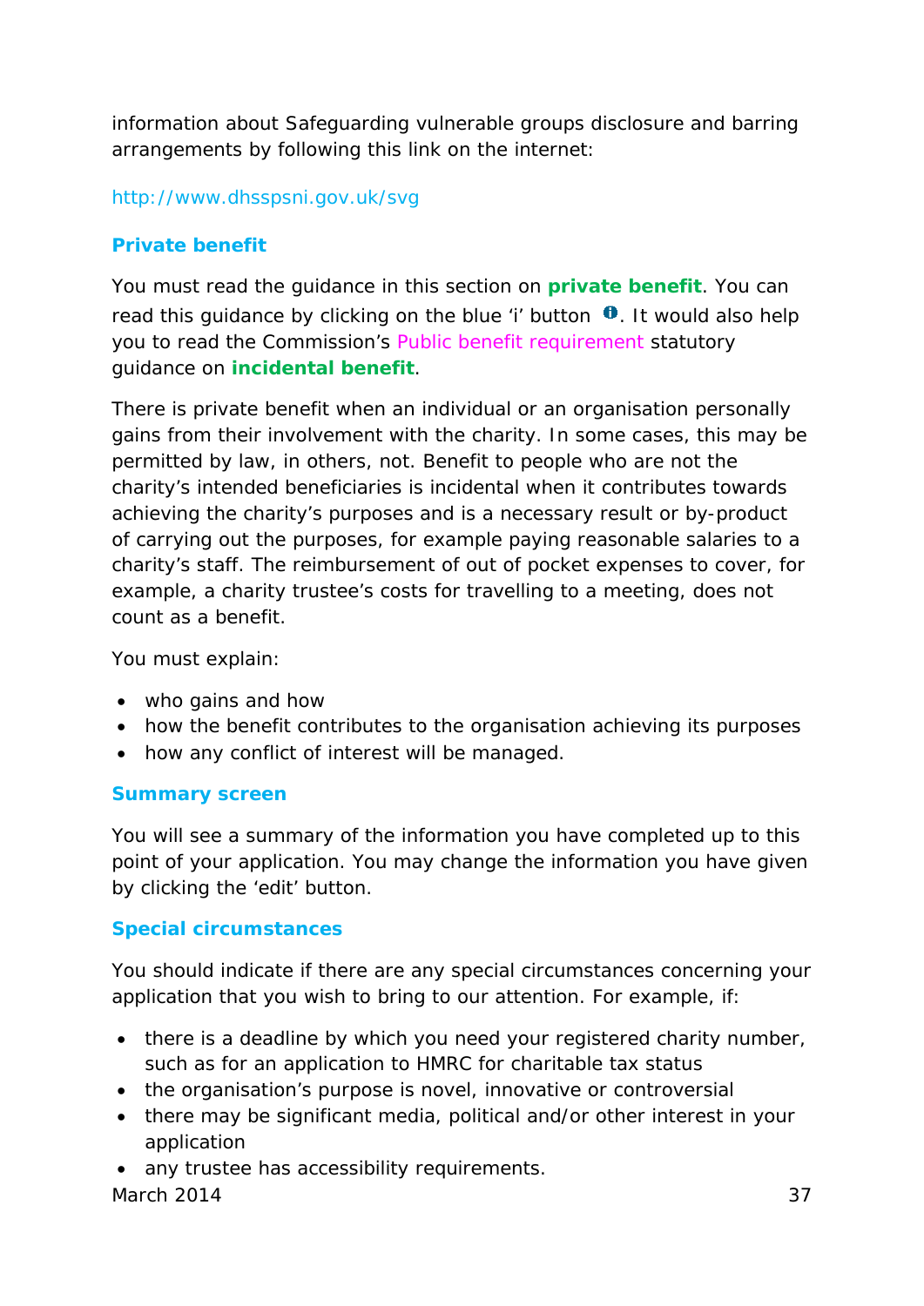information about Safeguarding vulnerable groups disclosure and barring arrangements by following this link on the internet:

<http://www.dhsspsni.gov.uk/svg>

#### **Private benefit**

You must read the guidance in this section on **[private benefit](#page-46-0)**. You can read this guidance by clicking on the blue 'i' button  $\mathbf 0$ . It would also help you to read the Commission's *Public benefit requirement* statutory guidance on **[incidental](#page-45-1) benefit**.

There is private benefit when an individual or an organisation personally gains from their involvement with the charity. In some cases, this may be permitted by law, in others, not. Benefit to people who are not the charity's intended beneficiaries is incidental when it contributes towards achieving the charity's purposes and is a necessary result or by-product of carrying out the purposes, for example paying reasonable salaries to a charity's staff. The reimbursement of out of pocket expenses to cover, for example, a charity trustee's costs for travelling to a meeting, does not count as a benefit.

You must explain:

- who gains and how
- how the benefit contributes to the organisation achieving its purposes
- how any conflict of interest will be managed.

#### **Summary screen**

You will see a summary of the information you have completed up to this point of your application. You may change the information you have given by clicking the 'edit' button.

#### **Special circumstances**

You should indicate if there are any special circumstances concerning your application that you wish to bring to our attention. For example, if:

- there is a deadline by which you need your registered charity number, such as for an application to HMRC for charitable tax status
- the organisation's purpose is novel, innovative or controversial
- there may be significant media, political and/or other interest in your application
- any trustee has accessibility requirements.

March 2014 37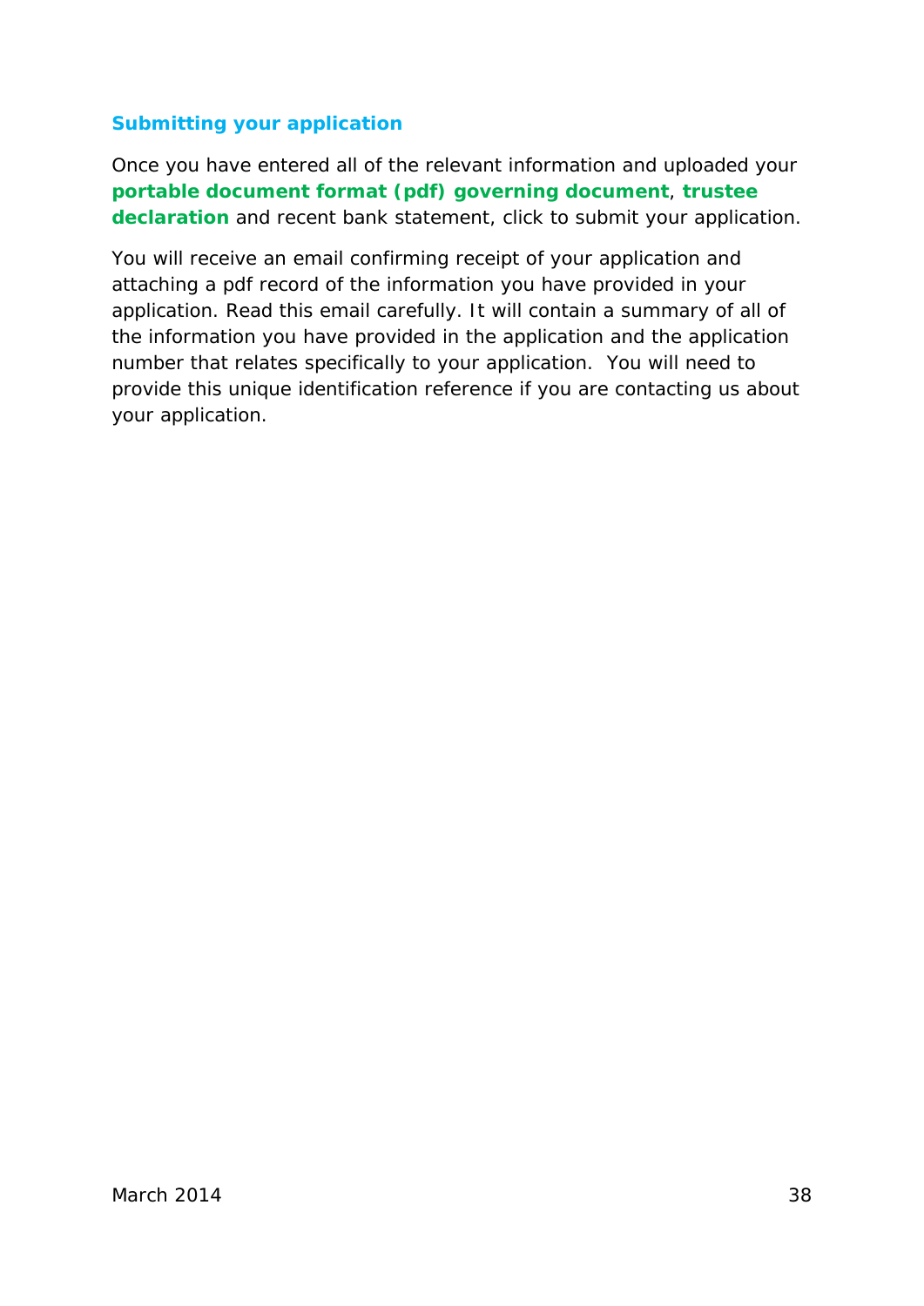#### **Submitting your application**

Once you have entered all of the relevant information and uploaded your **[portable document format \(pdf\)](#page-46-3) [governing document](#page-44-0)**, **[trustee](#page-48-1)  [declaration](#page-48-1)** and recent bank statement, click to submit your application.

You will receive an email confirming receipt of your application and attaching a pdf record of the information you have provided in your application. Read this email carefully. It will contain a summary of all of the information you have provided in the application and the application number that relates specifically to your application. You will need to provide this unique identification reference if you are contacting us about your application.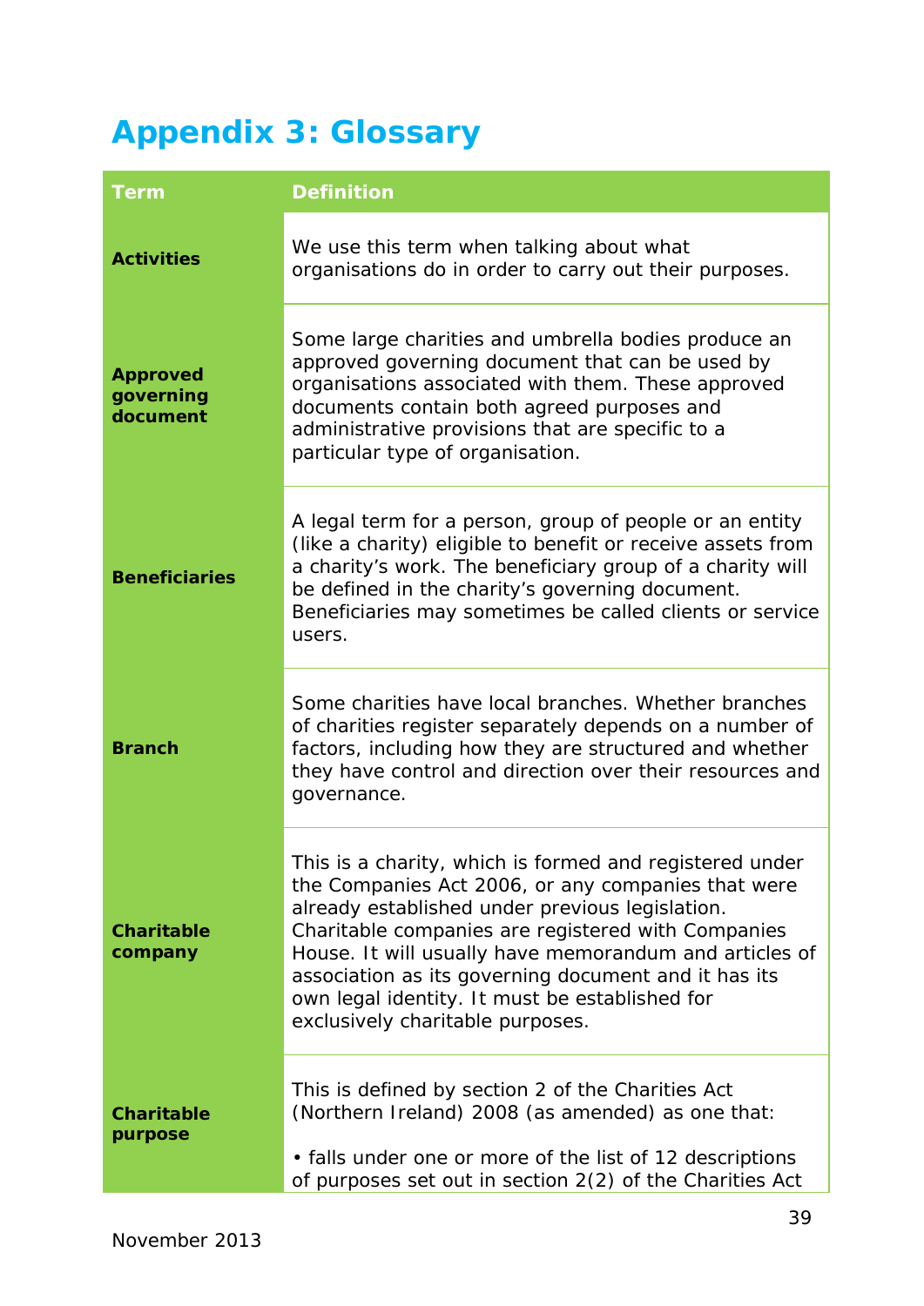## <span id="page-39-0"></span>**[Appendix 3: Glossary](#page-2-0)**

<span id="page-39-5"></span><span id="page-39-4"></span><span id="page-39-3"></span><span id="page-39-2"></span><span id="page-39-1"></span>

| <b>Term</b>                              | <b>Definition</b>                                                                                                                                                                                                                                                                                                                                                                                                              |
|------------------------------------------|--------------------------------------------------------------------------------------------------------------------------------------------------------------------------------------------------------------------------------------------------------------------------------------------------------------------------------------------------------------------------------------------------------------------------------|
| <b>Activities</b>                        | We use this term when talking about what<br>organisations do in order to carry out their purposes.                                                                                                                                                                                                                                                                                                                             |
| <b>Approved</b><br>governing<br>document | Some large charities and umbrella bodies produce an<br>approved governing document that can be used by<br>organisations associated with them. These approved<br>documents contain both agreed purposes and<br>administrative provisions that are specific to a<br>particular type of organisation.                                                                                                                             |
| <b>Beneficiaries</b>                     | A legal term for a person, group of people or an entity<br>(like a charity) eligible to benefit or receive assets from<br>a charity's work. The beneficiary group of a charity will<br>be defined in the charity's governing document.<br>Beneficiaries may sometimes be called clients or service<br>users.                                                                                                                   |
| <b>Branch</b>                            | Some charities have local branches. Whether branches<br>of charities register separately depends on a number of<br>factors, including how they are structured and whether<br>they have control and direction over their resources and<br>governance.                                                                                                                                                                           |
| <b>Charitable</b><br>company             | This is a charity, which is formed and registered under<br>the Companies Act 2006, or any companies that were<br>already established under previous legislation.<br>Charitable companies are registered with Companies<br>House. It will usually have memorandum and articles of<br>association as its governing document and it has its<br>own legal identity. It must be established for<br>exclusively charitable purposes. |
| <b>Charitable</b><br>purpose             | This is defined by section 2 of the Charities Act<br>(Northern Ireland) 2008 (as amended) as one that:<br>• falls under one or more of the list of 12 descriptions<br>of purposes set out in section 2(2) of the Charities Act                                                                                                                                                                                                 |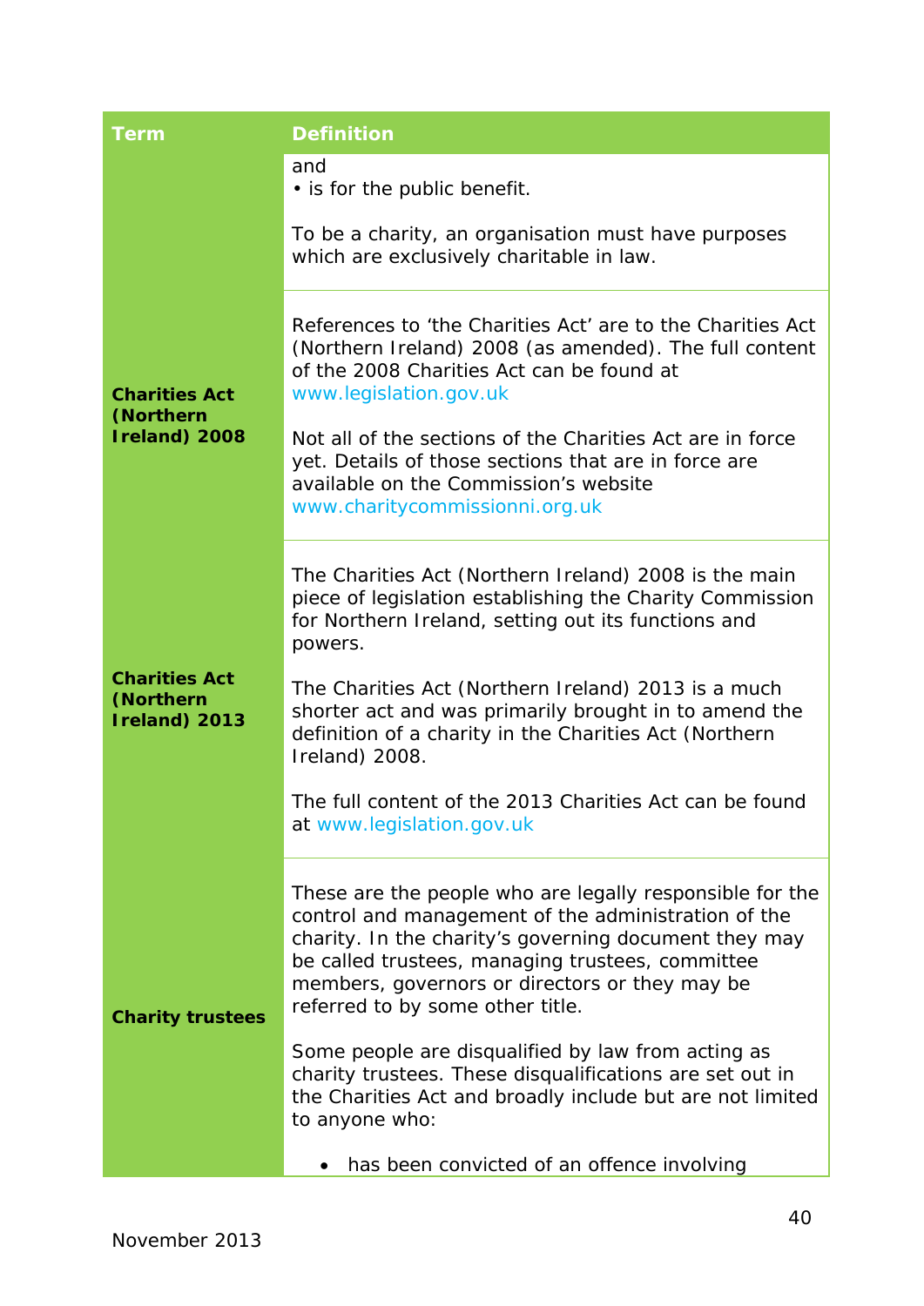<span id="page-40-2"></span><span id="page-40-1"></span><span id="page-40-0"></span>

| <b>Term</b>                                        | <b>Definition</b>                                                                                                                                                                                                                                                                                                                                                                                                                                                                                                   |
|----------------------------------------------------|---------------------------------------------------------------------------------------------------------------------------------------------------------------------------------------------------------------------------------------------------------------------------------------------------------------------------------------------------------------------------------------------------------------------------------------------------------------------------------------------------------------------|
|                                                    | and<br>• is for the public benefit.                                                                                                                                                                                                                                                                                                                                                                                                                                                                                 |
|                                                    | To be a charity, an organisation must have purposes<br>which are exclusively charitable in law.                                                                                                                                                                                                                                                                                                                                                                                                                     |
| <b>Charities Act</b><br>(Northern<br>Ireland) 2008 | References to 'the Charities Act' are to the Charities Act<br>(Northern Ireland) 2008 (as amended). The full content<br>of the 2008 Charities Act can be found at<br>www.legislation.gov.uk<br>Not all of the sections of the Charities Act are in force<br>yet. Details of those sections that are in force are<br>available on the Commission's website<br>www.charitycommissionni.org.uk                                                                                                                         |
| <b>Charities Act</b><br>(Northern<br>Ireland) 2013 | The Charities Act (Northern Ireland) 2008 is the main<br>piece of legislation establishing the Charity Commission<br>for Northern Ireland, setting out its functions and<br>powers.<br>The Charities Act (Northern Ireland) 2013 is a much<br>shorter act and was primarily brought in to amend the<br>definition of a charity in the Charities Act (Northern<br>Ireland) 2008.<br>The full content of the 2013 Charities Act can be found<br>at www.legislation.gov.uk                                             |
| <b>Charity trustees</b>                            | These are the people who are legally responsible for the<br>control and management of the administration of the<br>charity. In the charity's governing document they may<br>be called trustees, managing trustees, committee<br>members, governors or directors or they may be<br>referred to by some other title.<br>Some people are disqualified by law from acting as<br>charity trustees. These disqualifications are set out in<br>the Charities Act and broadly include but are not limited<br>to anyone who: |
|                                                    | has been convicted of an offence involving                                                                                                                                                                                                                                                                                                                                                                                                                                                                          |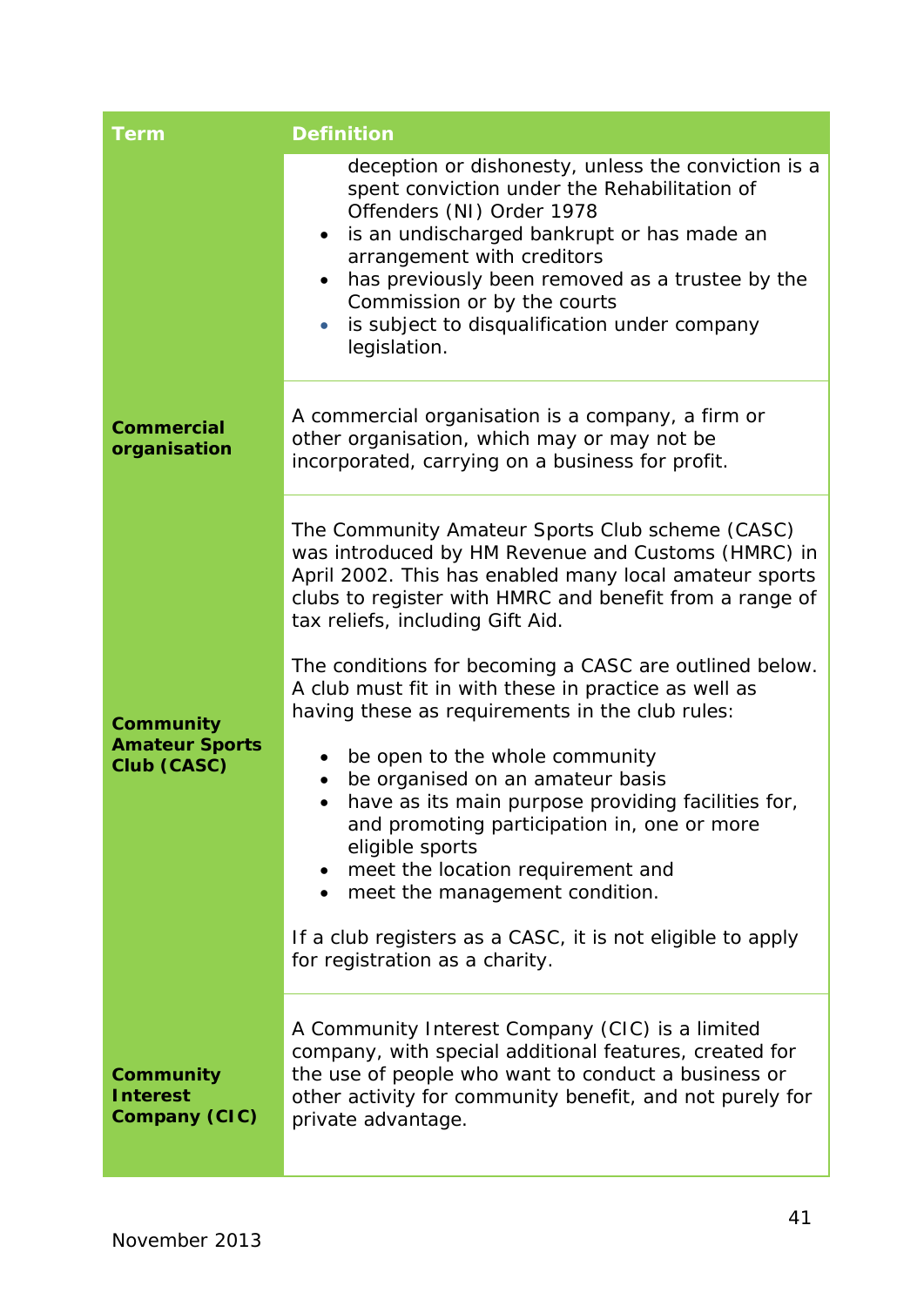<span id="page-41-2"></span><span id="page-41-1"></span><span id="page-41-0"></span>

| <b>Term</b>                                          | <b>Definition</b>                                                                                                                                                                                                                                                                                                                                                                                     |
|------------------------------------------------------|-------------------------------------------------------------------------------------------------------------------------------------------------------------------------------------------------------------------------------------------------------------------------------------------------------------------------------------------------------------------------------------------------------|
|                                                      | deception or dishonesty, unless the conviction is a<br>spent conviction under the Rehabilitation of<br>Offenders (NI) Order 1978<br>is an undischarged bankrupt or has made an<br>$\bullet$<br>arrangement with creditors<br>has previously been removed as a trustee by the<br>$\bullet$<br>Commission or by the courts<br>is subject to disqualification under company<br>$\bullet$<br>legislation. |
| <b>Commercial</b><br>organisation                    | A commercial organisation is a company, a firm or<br>other organisation, which may or may not be<br>incorporated, carrying on a business for profit.                                                                                                                                                                                                                                                  |
|                                                      | The Community Amateur Sports Club scheme (CASC)<br>was introduced by HM Revenue and Customs (HMRC) in<br>April 2002. This has enabled many local amateur sports<br>clubs to register with HMRC and benefit from a range of<br>tax reliefs, including Gift Aid.                                                                                                                                        |
| Community                                            | The conditions for becoming a CASC are outlined below.<br>A club must fit in with these in practice as well as<br>having these as requirements in the club rules:                                                                                                                                                                                                                                     |
| <b>Amateur Sports</b><br>Club (CASC)                 | be open to the whole community<br>٠<br>be organised on an amateur basis<br>have as its main purpose providing facilities for,<br>$\bullet$<br>and promoting participation in, one or more<br>eligible sports<br>meet the location requirement and<br>meet the management condition.                                                                                                                   |
|                                                      | If a club registers as a CASC, it is not eligible to apply<br>for registration as a charity.                                                                                                                                                                                                                                                                                                          |
| Community<br><b>Interest</b><br><b>Company (CIC)</b> | A Community Interest Company (CIC) is a limited<br>company, with special additional features, created for<br>the use of people who want to conduct a business or<br>other activity for community benefit, and not purely for<br>private advantage.                                                                                                                                                    |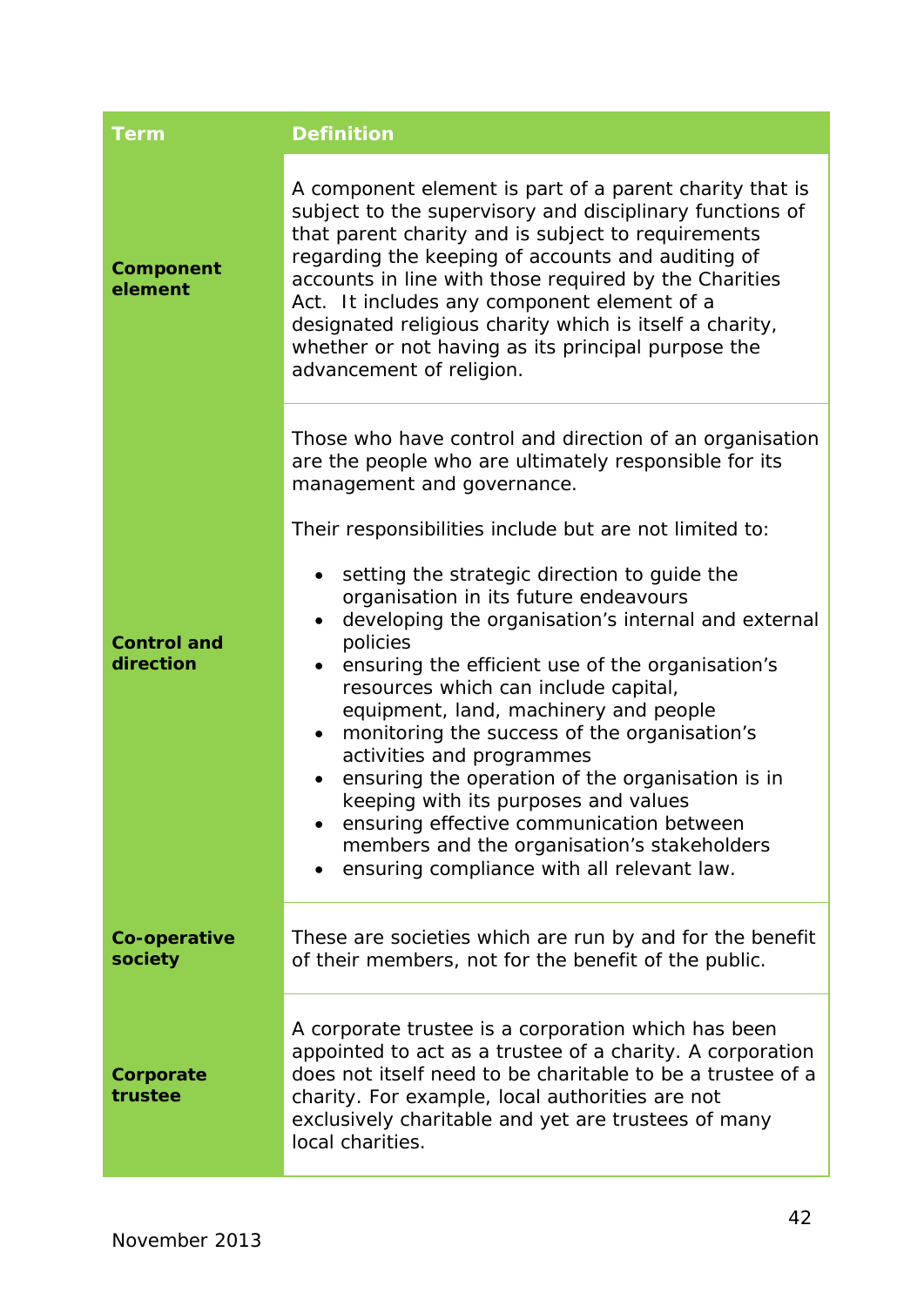<span id="page-42-3"></span><span id="page-42-2"></span><span id="page-42-1"></span><span id="page-42-0"></span>

| <b>Term</b>                     | <b>Definition</b>                                                                                                                                                                                                                                                                                                                                                                                                                                                                                                                                                                                                                                                                                                                                                                                                                                                               |
|---------------------------------|---------------------------------------------------------------------------------------------------------------------------------------------------------------------------------------------------------------------------------------------------------------------------------------------------------------------------------------------------------------------------------------------------------------------------------------------------------------------------------------------------------------------------------------------------------------------------------------------------------------------------------------------------------------------------------------------------------------------------------------------------------------------------------------------------------------------------------------------------------------------------------|
| <b>Component</b><br>element     | A component element is part of a parent charity that is<br>subject to the supervisory and disciplinary functions of<br>that parent charity and is subject to requirements<br>regarding the keeping of accounts and auditing of<br>accounts in line with those required by the Charities<br>Act. It includes any component element of a<br>designated religious charity which is itself a charity,<br>whether or not having as its principal purpose the<br>advancement of religion.                                                                                                                                                                                                                                                                                                                                                                                             |
| <b>Control and</b><br>direction | Those who have control and direction of an organisation<br>are the people who are ultimately responsible for its<br>management and governance.<br>Their responsibilities include but are not limited to:<br>setting the strategic direction to guide the<br>$\bullet$<br>organisation in its future endeavours<br>developing the organisation's internal and external<br>$\bullet$<br>policies<br>ensuring the efficient use of the organisation's<br>$\bullet$<br>resources which can include capital,<br>equipment, land, machinery and people<br>monitoring the success of the organisation's<br>$\bullet$<br>activities and programmes<br>ensuring the operation of the organisation is in<br>keeping with its purposes and values<br>ensuring effective communication between<br>members and the organisation's stakeholders<br>ensuring compliance with all relevant law. |
| Co-operative<br>society         | These are societies which are run by and for the benefit<br>of their members, not for the benefit of the public.                                                                                                                                                                                                                                                                                                                                                                                                                                                                                                                                                                                                                                                                                                                                                                |
| Corporate<br>trustee            | A corporate trustee is a corporation which has been<br>appointed to act as a trustee of a charity. A corporation<br>does not itself need to be charitable to be a trustee of a<br>charity. For example, local authorities are not<br>exclusively charitable and yet are trustees of many<br>local charities.                                                                                                                                                                                                                                                                                                                                                                                                                                                                                                                                                                    |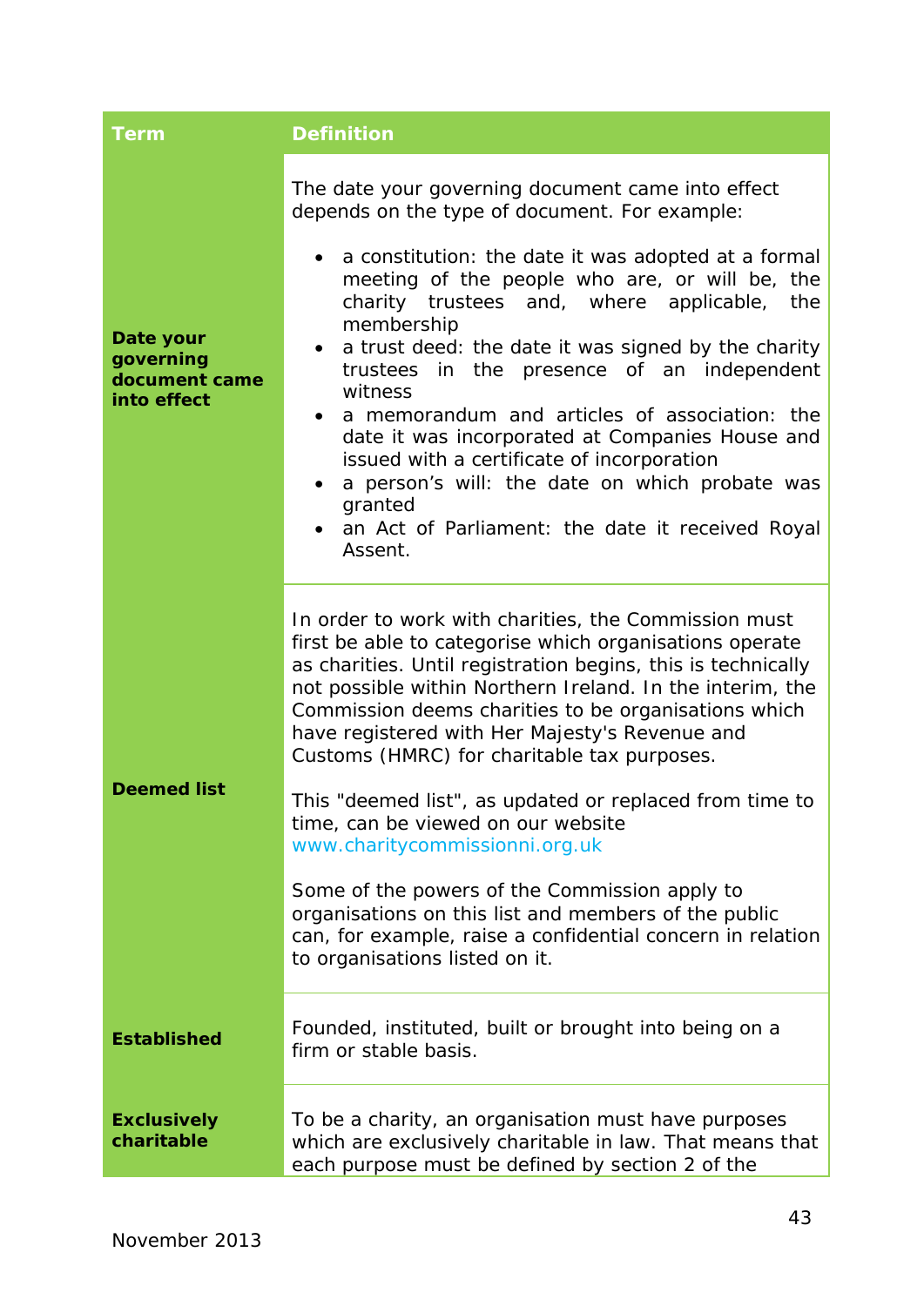<span id="page-43-3"></span><span id="page-43-2"></span><span id="page-43-1"></span><span id="page-43-0"></span>

| <b>Term</b>                                            | <b>Definition</b>                                                                                                                                                                                                                                                                                                                                                                                                                                                                                                                                                                                                                                                                                                                                 |
|--------------------------------------------------------|---------------------------------------------------------------------------------------------------------------------------------------------------------------------------------------------------------------------------------------------------------------------------------------------------------------------------------------------------------------------------------------------------------------------------------------------------------------------------------------------------------------------------------------------------------------------------------------------------------------------------------------------------------------------------------------------------------------------------------------------------|
| Date your<br>governing<br>document came<br>into effect | The date your governing document came into effect<br>depends on the type of document. For example:<br>a constitution: the date it was adopted at a formal<br>$\bullet$<br>meeting of the people who are, or will be, the<br>charity trustees and, where applicable,<br>the<br>membership<br>a trust deed: the date it was signed by the charity<br>$\bullet$<br>trustees in the presence of an independent<br>witness<br>a memorandum and articles of association: the<br>$\bullet$<br>date it was incorporated at Companies House and<br>issued with a certificate of incorporation<br>a person's will: the date on which probate was<br>granted<br>an Act of Parliament: the date it received Royal<br>Assent.                                  |
| <b>Deemed list</b>                                     | In order to work with charities, the Commission must<br>first be able to categorise which organisations operate<br>as charities. Until registration begins, this is technically<br>not possible within Northern Ireland. In the interim, the<br>Commission deems charities to be organisations which<br>have registered with Her Majesty's Revenue and<br>Customs (HMRC) for charitable tax purposes.<br>This "deemed list", as updated or replaced from time to<br>time, can be viewed on our website<br>www.charitycommissionni.org.uk<br>Some of the powers of the Commission apply to<br>organisations on this list and members of the public<br>can, for example, raise a confidential concern in relation<br>to organisations listed on it. |
| <b>Established</b>                                     | Founded, instituted, built or brought into being on a<br>firm or stable basis.                                                                                                                                                                                                                                                                                                                                                                                                                                                                                                                                                                                                                                                                    |
| <b>Exclusively</b><br>charitable                       | To be a charity, an organisation must have purposes<br>which are exclusively charitable in law. That means that<br>each purpose must be defined by section 2 of the                                                                                                                                                                                                                                                                                                                                                                                                                                                                                                                                                                               |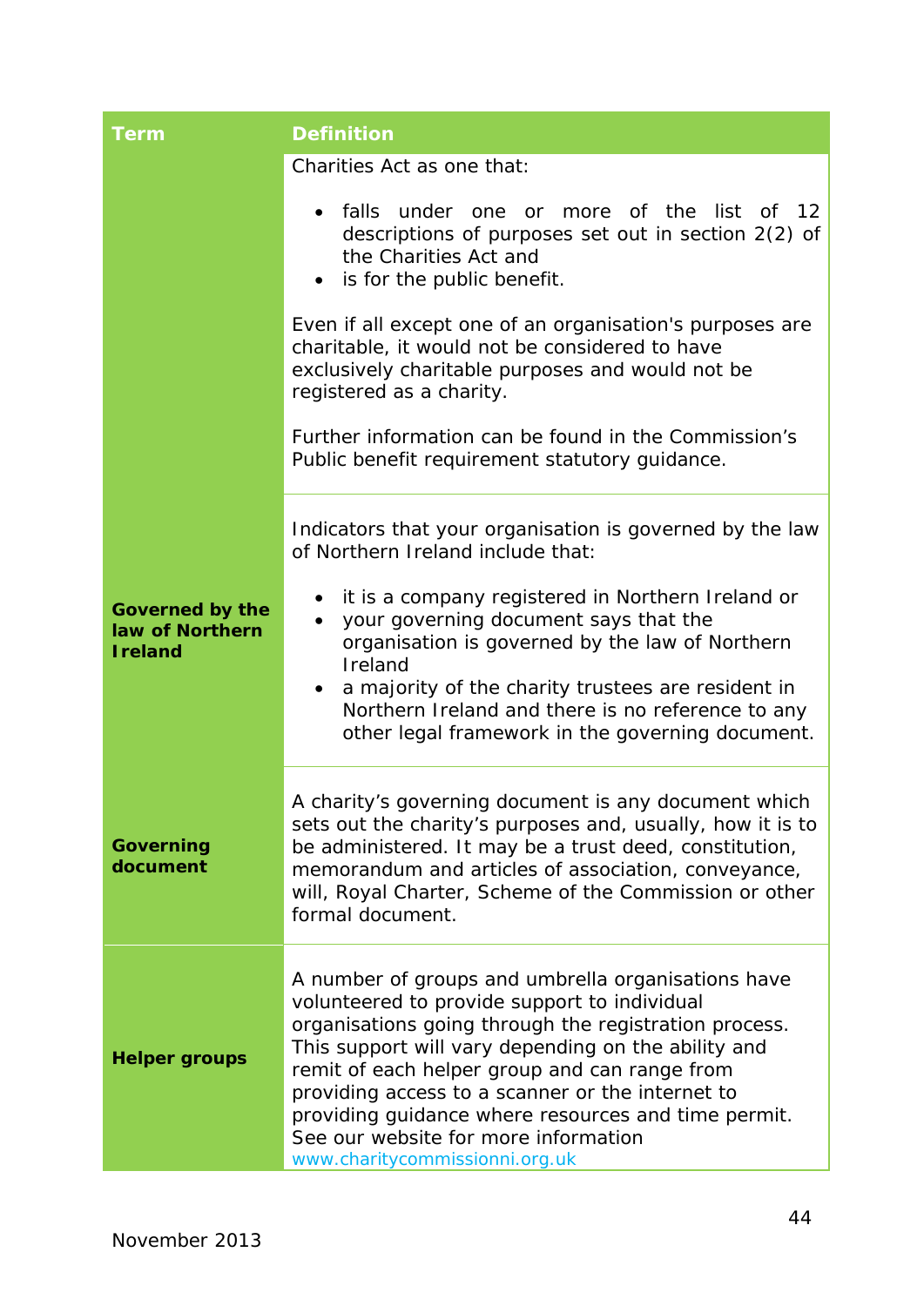<span id="page-44-2"></span><span id="page-44-1"></span><span id="page-44-0"></span>

| <b>Term</b>                                                  | <b>Definition</b>                                                                                                                                                                                                                                                                                                                                                                                                                                        |
|--------------------------------------------------------------|----------------------------------------------------------------------------------------------------------------------------------------------------------------------------------------------------------------------------------------------------------------------------------------------------------------------------------------------------------------------------------------------------------------------------------------------------------|
|                                                              | Charities Act as one that:                                                                                                                                                                                                                                                                                                                                                                                                                               |
|                                                              | list<br>falls<br>under one or<br>more of the<br>of $12$<br>descriptions of purposes set out in section 2(2) of<br>the Charities Act and<br>is for the public benefit.                                                                                                                                                                                                                                                                                    |
|                                                              | Even if all except one of an organisation's purposes are<br>charitable, it would not be considered to have<br>exclusively charitable purposes and would not be<br>registered as a charity.                                                                                                                                                                                                                                                               |
|                                                              | Further information can be found in the Commission's<br>Public benefit requirement statutory guidance.                                                                                                                                                                                                                                                                                                                                                   |
|                                                              | Indicators that your organisation is governed by the law<br>of Northern Ireland include that:                                                                                                                                                                                                                                                                                                                                                            |
| <b>Governed by the</b><br>law of Northern<br><b>I</b> reland | it is a company registered in Northern Ireland or<br>your governing document says that the<br>$\bullet$<br>organisation is governed by the law of Northern<br>Ireland<br>a majority of the charity trustees are resident in<br>$\bullet$<br>Northern Ireland and there is no reference to any<br>other legal framework in the governing document.                                                                                                        |
| <b>Governing</b><br>document                                 | A charity's governing document is any document which<br>sets out the charity's purposes and, usually, how it is to<br>be administered. It may be a trust deed, constitution,<br>memorandum and articles of association, conveyance,<br>will, Royal Charter, Scheme of the Commission or other<br>formal document.                                                                                                                                        |
| <b>Helper groups</b>                                         | A number of groups and umbrella organisations have<br>volunteered to provide support to individual<br>organisations going through the registration process.<br>This support will vary depending on the ability and<br>remit of each helper group and can range from<br>providing access to a scanner or the internet to<br>providing guidance where resources and time permit.<br>See our website for more information<br>www.charitycommissionni.org.uk |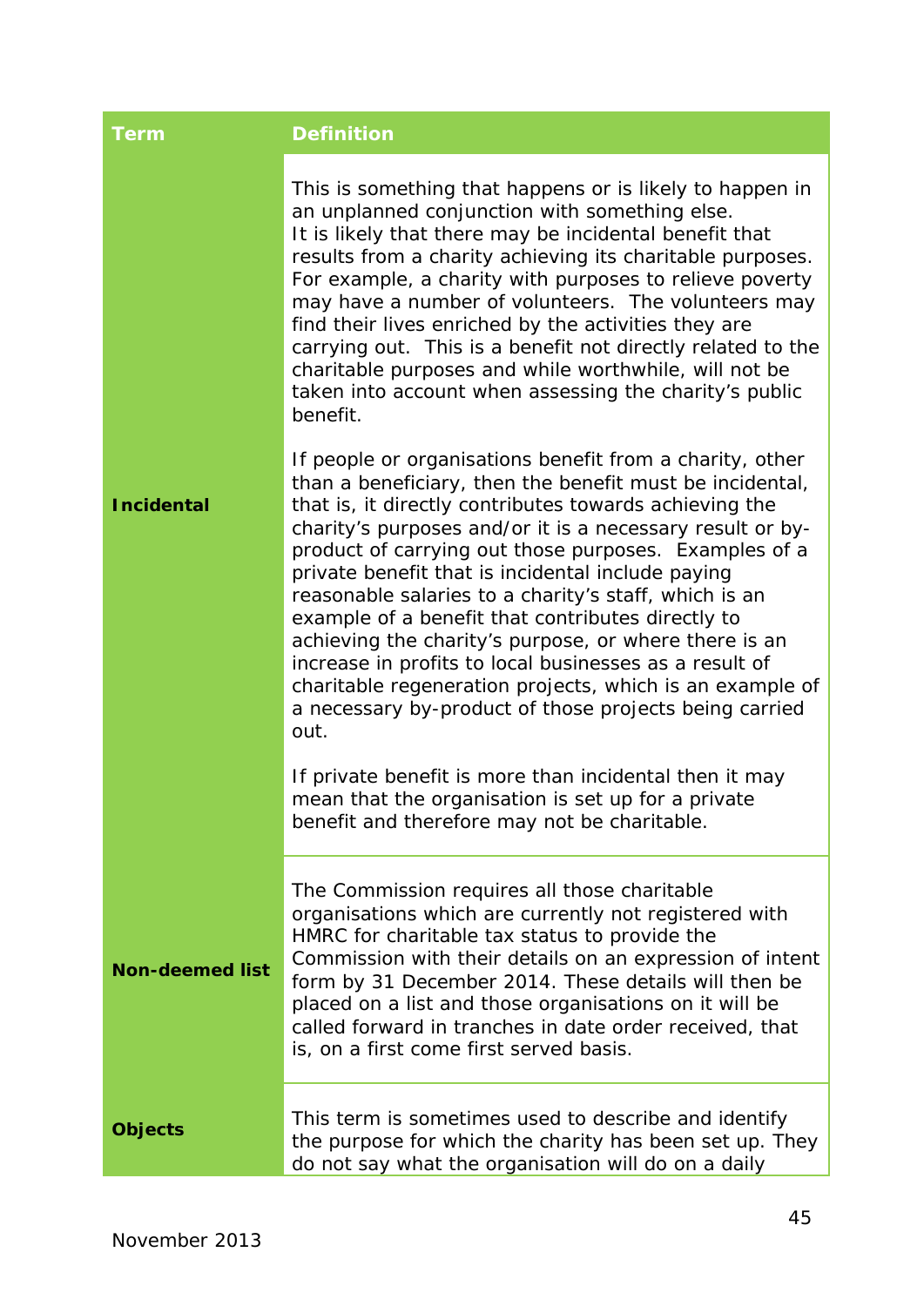<span id="page-45-1"></span><span id="page-45-0"></span>

| <b>Term</b>            | <b>Definition</b>                                                                                                                                                                                                                                                                                                                                                                                                                                                                                                                                                                                                                                                                                                        |
|------------------------|--------------------------------------------------------------------------------------------------------------------------------------------------------------------------------------------------------------------------------------------------------------------------------------------------------------------------------------------------------------------------------------------------------------------------------------------------------------------------------------------------------------------------------------------------------------------------------------------------------------------------------------------------------------------------------------------------------------------------|
|                        | This is something that happens or is likely to happen in<br>an unplanned conjunction with something else.<br>It is likely that there may be incidental benefit that<br>results from a charity achieving its charitable purposes.<br>For example, a charity with purposes to relieve poverty<br>may have a number of volunteers. The volunteers may<br>find their lives enriched by the activities they are<br>carrying out. This is a benefit not directly related to the<br>charitable purposes and while worthwhile, will not be<br>taken into account when assessing the charity's public<br>benefit.                                                                                                                 |
| <b>Incidental</b>      | If people or organisations benefit from a charity, other<br>than a beneficiary, then the benefit must be incidental,<br>that is, it directly contributes towards achieving the<br>charity's purposes and/or it is a necessary result or by-<br>product of carrying out those purposes. Examples of a<br>private benefit that is incidental include paying<br>reasonable salaries to a charity's staff, which is an<br>example of a benefit that contributes directly to<br>achieving the charity's purpose, or where there is an<br>increase in profits to local businesses as a result of<br>charitable regeneration projects, which is an example of<br>a necessary by-product of those projects being carried<br>out. |
|                        | If private benefit is more than incidental then it may<br>mean that the organisation is set up for a private<br>benefit and therefore may not be charitable.                                                                                                                                                                                                                                                                                                                                                                                                                                                                                                                                                             |
| <b>Non-deemed list</b> | The Commission requires all those charitable<br>organisations which are currently not registered with<br>HMRC for charitable tax status to provide the<br>Commission with their details on an expression of intent<br>form by 31 December 2014. These details will then be<br>placed on a list and those organisations on it will be<br>called forward in tranches in date order received, that<br>is, on a first come first served basis.                                                                                                                                                                                                                                                                               |
| <b>Objects</b>         | This term is sometimes used to describe and identify<br>the purpose for which the charity has been set up. They<br>do not say what the organisation will do on a daily                                                                                                                                                                                                                                                                                                                                                                                                                                                                                                                                                   |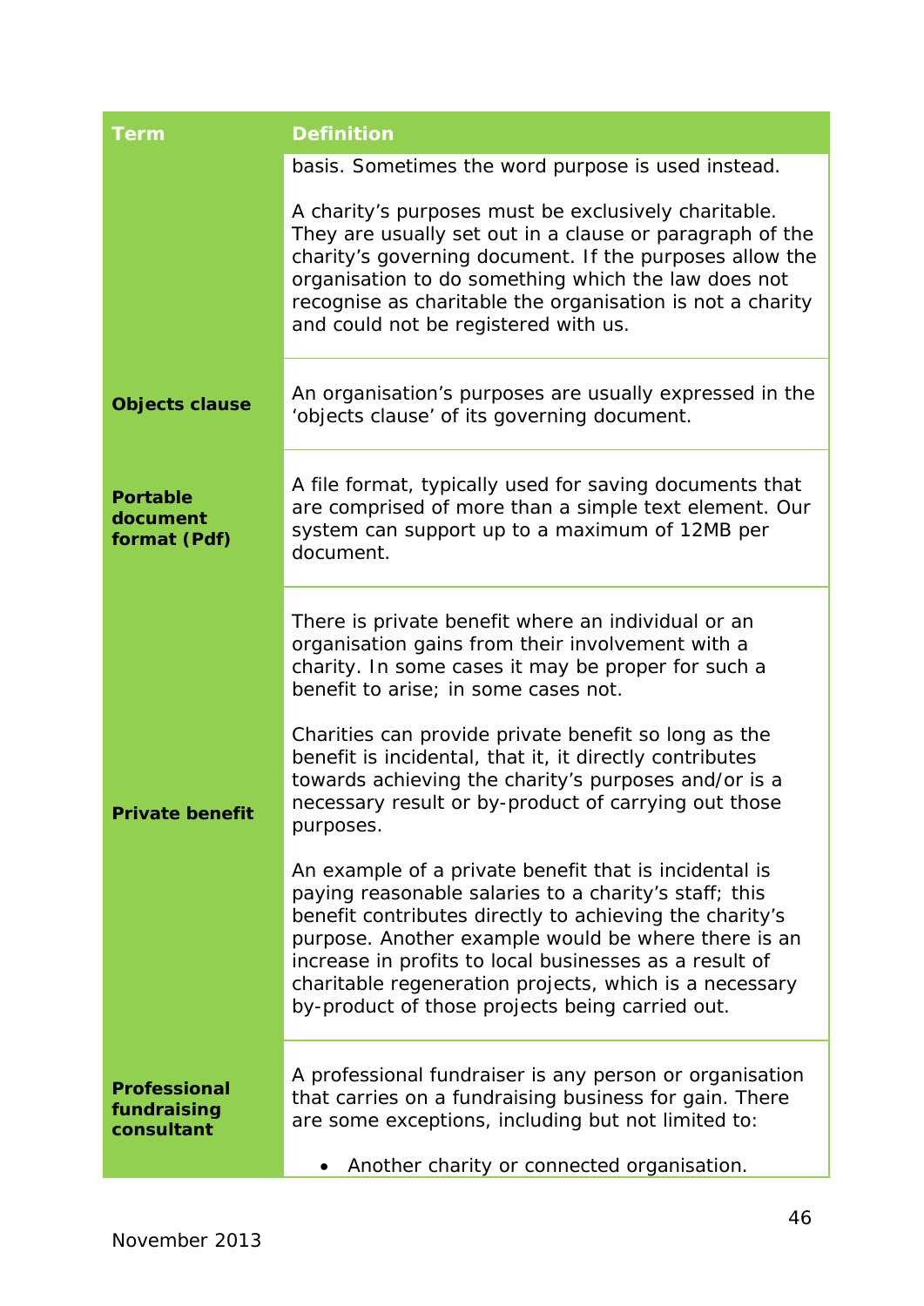<span id="page-46-3"></span><span id="page-46-2"></span><span id="page-46-1"></span><span id="page-46-0"></span>

| <b>Term</b>                                      | <b>Definition</b>                                                                                                                                                                                                                                                                                                                                                                                       |
|--------------------------------------------------|---------------------------------------------------------------------------------------------------------------------------------------------------------------------------------------------------------------------------------------------------------------------------------------------------------------------------------------------------------------------------------------------------------|
|                                                  | basis. Sometimes the word purpose is used instead.                                                                                                                                                                                                                                                                                                                                                      |
|                                                  | A charity's purposes must be exclusively charitable.<br>They are usually set out in a clause or paragraph of the<br>charity's governing document. If the purposes allow the<br>organisation to do something which the law does not<br>recognise as charitable the organisation is not a charity<br>and could not be registered with us.                                                                 |
| <b>Objects clause</b>                            | An organisation's purposes are usually expressed in the<br>'objects clause' of its governing document.                                                                                                                                                                                                                                                                                                  |
| <b>Portable</b><br>document<br>format (Pdf)      | A file format, typically used for saving documents that<br>are comprised of more than a simple text element. Our<br>system can support up to a maximum of 12MB per<br>document.                                                                                                                                                                                                                         |
|                                                  | There is private benefit where an individual or an<br>organisation gains from their involvement with a<br>charity. In some cases it may be proper for such a<br>benefit to arise; in some cases not.                                                                                                                                                                                                    |
| <b>Private benefit</b>                           | Charities can provide private benefit so long as the<br>benefit is incidental, that it, it directly contributes<br>towards achieving the charity's purposes and/or is a<br>necessary result or by-product of carrying out those<br>purposes.                                                                                                                                                            |
|                                                  | An example of a private benefit that is incidental is<br>paying reasonable salaries to a charity's staff; this<br>benefit contributes directly to achieving the charity's<br>purpose. Another example would be where there is an<br>increase in profits to local businesses as a result of<br>charitable regeneration projects, which is a necessary<br>by-product of those projects being carried out. |
| <b>Professional</b><br>fundraising<br>consultant | A professional fundraiser is any person or organisation<br>that carries on a fundraising business for gain. There<br>are some exceptions, including but not limited to:<br>Another charity or connected organisation.                                                                                                                                                                                   |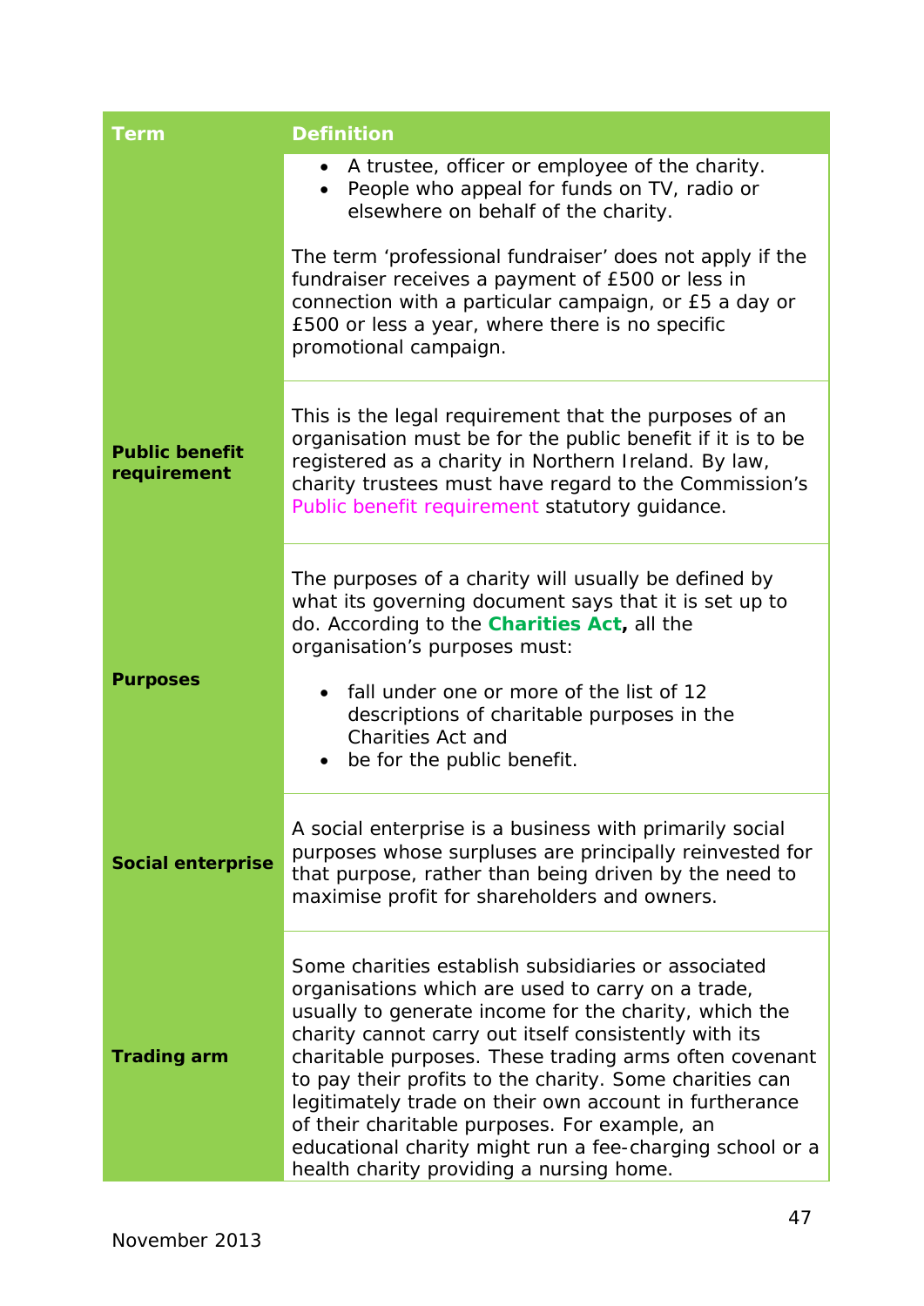<span id="page-47-3"></span><span id="page-47-2"></span><span id="page-47-1"></span><span id="page-47-0"></span>

| <b>Term</b>                          | <b>Definition</b>                                                                                                                                                                                                                                                                                                                                                                                                                                                                                                                                                  |  |
|--------------------------------------|--------------------------------------------------------------------------------------------------------------------------------------------------------------------------------------------------------------------------------------------------------------------------------------------------------------------------------------------------------------------------------------------------------------------------------------------------------------------------------------------------------------------------------------------------------------------|--|
|                                      | A trustee, officer or employee of the charity.<br>$\bullet$<br>People who appeal for funds on TV, radio or<br>elsewhere on behalf of the charity.                                                                                                                                                                                                                                                                                                                                                                                                                  |  |
|                                      | The term 'professional fundraiser' does not apply if the<br>fundraiser receives a payment of £500 or less in<br>connection with a particular campaign, or £5 a day or<br>£500 or less a year, where there is no specific<br>promotional campaign.                                                                                                                                                                                                                                                                                                                  |  |
| <b>Public benefit</b><br>requirement | This is the legal requirement that the purposes of an<br>organisation must be for the public benefit if it is to be<br>registered as a charity in Northern Ireland. By law,<br>charity trustees must have regard to the Commission's<br>Public benefit requirement statutory guidance.                                                                                                                                                                                                                                                                             |  |
| <b>Purposes</b>                      | The purposes of a charity will usually be defined by<br>what its governing document says that it is set up to<br>do. According to the <b>Charities Act</b> , all the<br>organisation's purposes must:<br>fall under one or more of the list of 12<br>$\bullet$<br>descriptions of charitable purposes in the<br><b>Charities Act and</b><br>be for the public benefit.                                                                                                                                                                                             |  |
| <b>Social enterprise</b>             | A social enterprise is a business with primarily social<br>purposes whose surpluses are principally reinvested for<br>that purpose, rather than being driven by the need to<br>maximise profit for shareholders and owners.                                                                                                                                                                                                                                                                                                                                        |  |
| <b>Trading arm</b>                   | Some charities establish subsidiaries or associated<br>organisations which are used to carry on a trade,<br>usually to generate income for the charity, which the<br>charity cannot carry out itself consistently with its<br>charitable purposes. These trading arms often covenant<br>to pay their profits to the charity. Some charities can<br>legitimately trade on their own account in furtherance<br>of their charitable purposes. For example, an<br>educational charity might run a fee-charging school or a<br>health charity providing a nursing home. |  |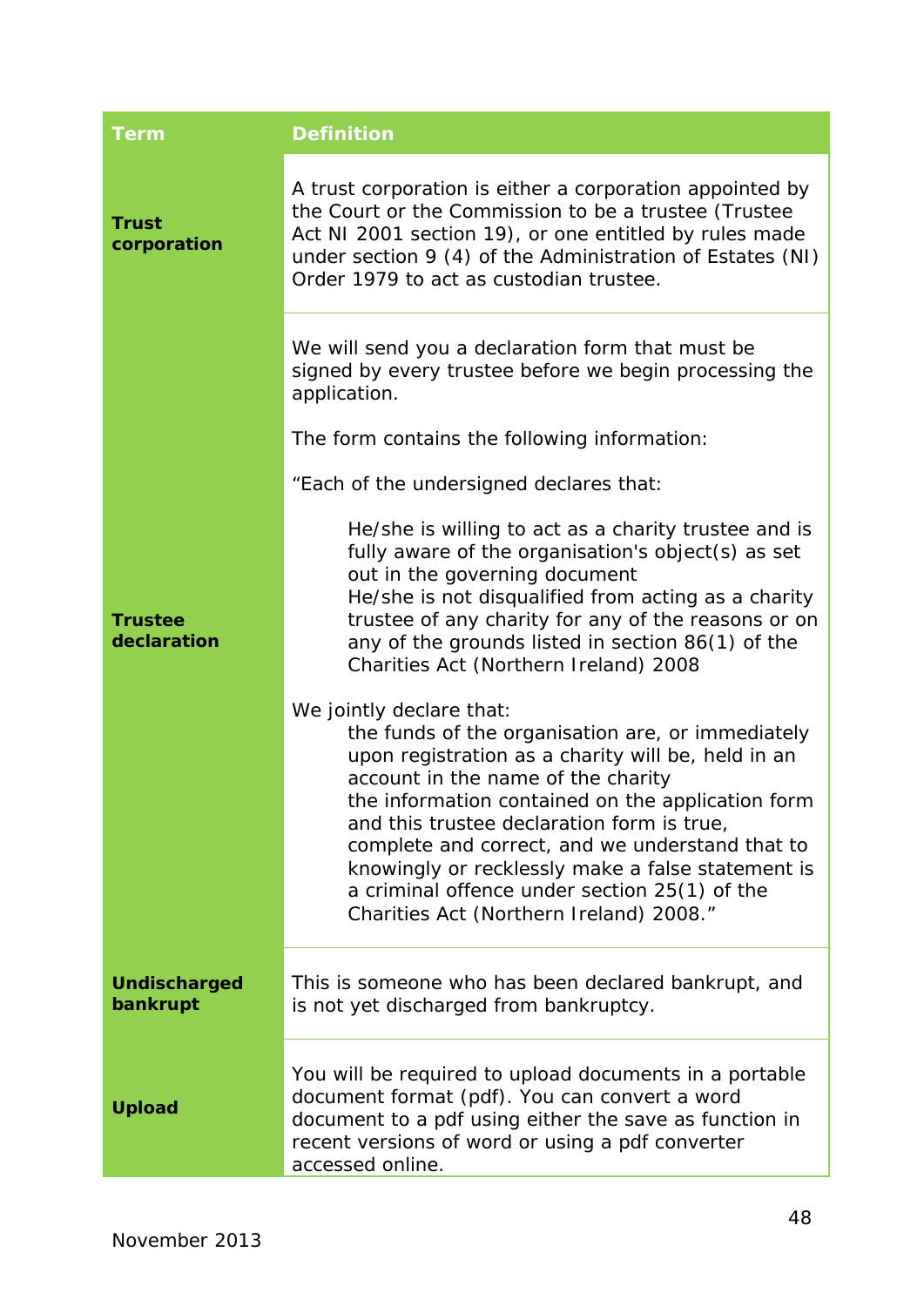<span id="page-48-3"></span><span id="page-48-2"></span><span id="page-48-1"></span><span id="page-48-0"></span>

| <b>Term</b>                     | <b>Definition</b>                                                                                                                                                                                                                                                                                                                                                                                                                                                                |
|---------------------------------|----------------------------------------------------------------------------------------------------------------------------------------------------------------------------------------------------------------------------------------------------------------------------------------------------------------------------------------------------------------------------------------------------------------------------------------------------------------------------------|
| <b>Trust</b><br>corporation     | A trust corporation is either a corporation appointed by<br>the Court or the Commission to be a trustee (Trustee<br>Act NI 2001 section 19), or one entitled by rules made<br>under section 9 (4) of the Administration of Estates (NI)<br>Order 1979 to act as custodian trustee.                                                                                                                                                                                               |
|                                 | We will send you a declaration form that must be<br>signed by every trustee before we begin processing the<br>application.                                                                                                                                                                                                                                                                                                                                                       |
|                                 | The form contains the following information:                                                                                                                                                                                                                                                                                                                                                                                                                                     |
|                                 | "Each of the undersigned declares that:                                                                                                                                                                                                                                                                                                                                                                                                                                          |
| <b>Trustee</b><br>declaration   | He/she is willing to act as a charity trustee and is<br>fully aware of the organisation's object(s) as set<br>out in the governing document<br>He/she is not disqualified from acting as a charity<br>trustee of any charity for any of the reasons or on<br>any of the grounds listed in section 86(1) of the<br>Charities Act (Northern Ireland) 2008                                                                                                                          |
|                                 | We jointly declare that:<br>the funds of the organisation are, or immediately<br>upon registration as a charity will be, held in an<br>account in the name of the charity<br>the information contained on the application form<br>and this trustee declaration form is true,<br>complete and correct, and we understand that to<br>knowingly or recklessly make a false statement is<br>a criminal offence under section 25(1) of the<br>Charities Act (Northern Ireland) 2008." |
| <b>Undischarged</b><br>bankrupt | This is someone who has been declared bankrupt, and<br>is not yet discharged from bankruptcy.                                                                                                                                                                                                                                                                                                                                                                                    |
| <b>Upload</b>                   | You will be required to upload documents in a portable<br>document format (pdf). You can convert a word<br>document to a pdf using either the save as function in<br>recent versions of word or using a pdf converter<br>accessed online.                                                                                                                                                                                                                                        |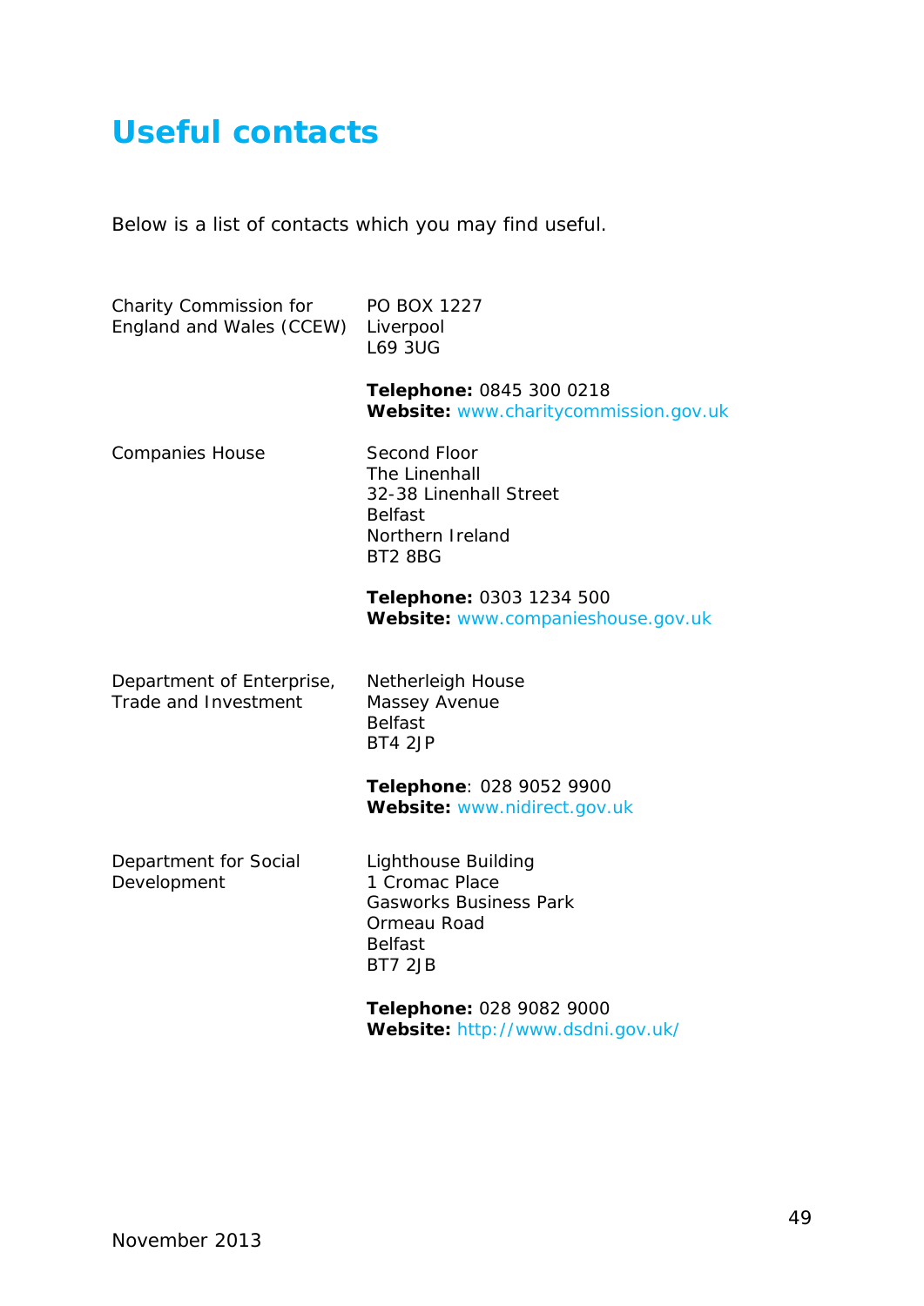### <span id="page-49-0"></span>**[Useful contacts](#page-2-0)**

Below is a list of contacts which you may find useful.

| Charity Commission for<br>England and Wales (CCEW) | PO BOX 1227<br>Liverpool<br><b>L69 3UG</b>                                                                                       |
|----------------------------------------------------|----------------------------------------------------------------------------------------------------------------------------------|
|                                                    | Telephone: 0845 300 0218<br>Website: www.charitycommission.gov.uk                                                                |
| <b>Companies House</b>                             | Second Floor<br>The Linenhall<br>32-38 Linenhall Street<br><b>Belfast</b><br>Northern Ireland<br><b>BT2 8BG</b>                  |
|                                                    | Telephone: 0303 1234 500<br>Website: www.companieshouse.gov.uk                                                                   |
| Department of Enterprise,<br>Trade and Investment  | <b>Netherleigh House</b><br>Massey Avenue<br><b>Belfast</b><br>BT4 2JP                                                           |
|                                                    | Telephone: 028 9052 9900<br>Website: www.nidirect.gov.uk                                                                         |
| Department for Social<br>Development               | <b>Lighthouse Building</b><br>1 Cromac Place<br><b>Gasworks Business Park</b><br>Ormeau Road<br><b>Belfast</b><br><b>BT7 2JB</b> |
|                                                    | Telephone: 028 9082 9000<br>Website: http://www.dsdni.gov.uk/                                                                    |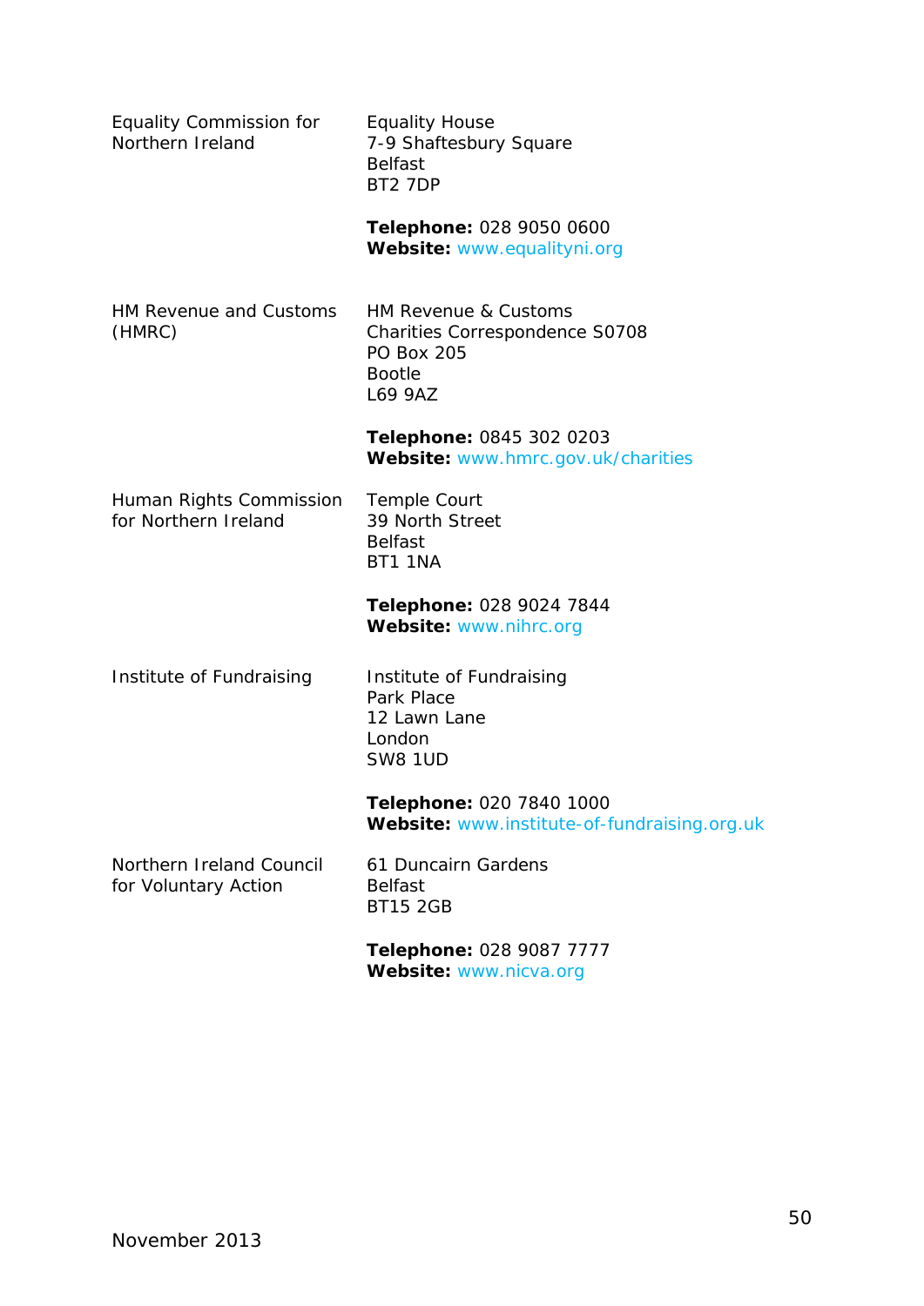| <b>Equality Commission for</b><br>Northern Ireland | <b>Equality House</b><br>7-9 Shaftesbury Square<br><b>Belfast</b><br>BT2 7DP                                   |
|----------------------------------------------------|----------------------------------------------------------------------------------------------------------------|
|                                                    | Telephone: 028 9050 0600<br>Website: www.equalityni.org                                                        |
| HM Revenue and Customs<br>(HMRC)                   | HM Revenue & Customs<br><b>Charities Correspondence S0708</b><br><b>PO Box 205</b><br><b>Bootle</b><br>L69 9AZ |
|                                                    | Telephone: 0845 302 0203<br>Website: www.hmrc.gov.uk/charities                                                 |
| Human Rights Commission<br>for Northern Ireland    | Temple Court<br>39 North Street<br><b>Belfast</b><br><b>BT1 1NA</b>                                            |
|                                                    | Telephone: 028 9024 7844<br>Website: www.nihrc.org                                                             |
| Institute of Fundraising                           | Institute of Fundraising<br>Park Place<br>12 Lawn Lane<br>London<br><b>SW8 1UD</b>                             |
|                                                    | Telephone: 020 7840 1000<br>Website: www.institute-of-fundraising.org.uk                                       |
| Northern Ireland Council<br>for Voluntary Action   | 61 Duncairn Gardens<br><b>Belfast</b><br><b>BT15 2GB</b>                                                       |
|                                                    | Telephone: 028 9087 7777<br>Website: www.nicva.org                                                             |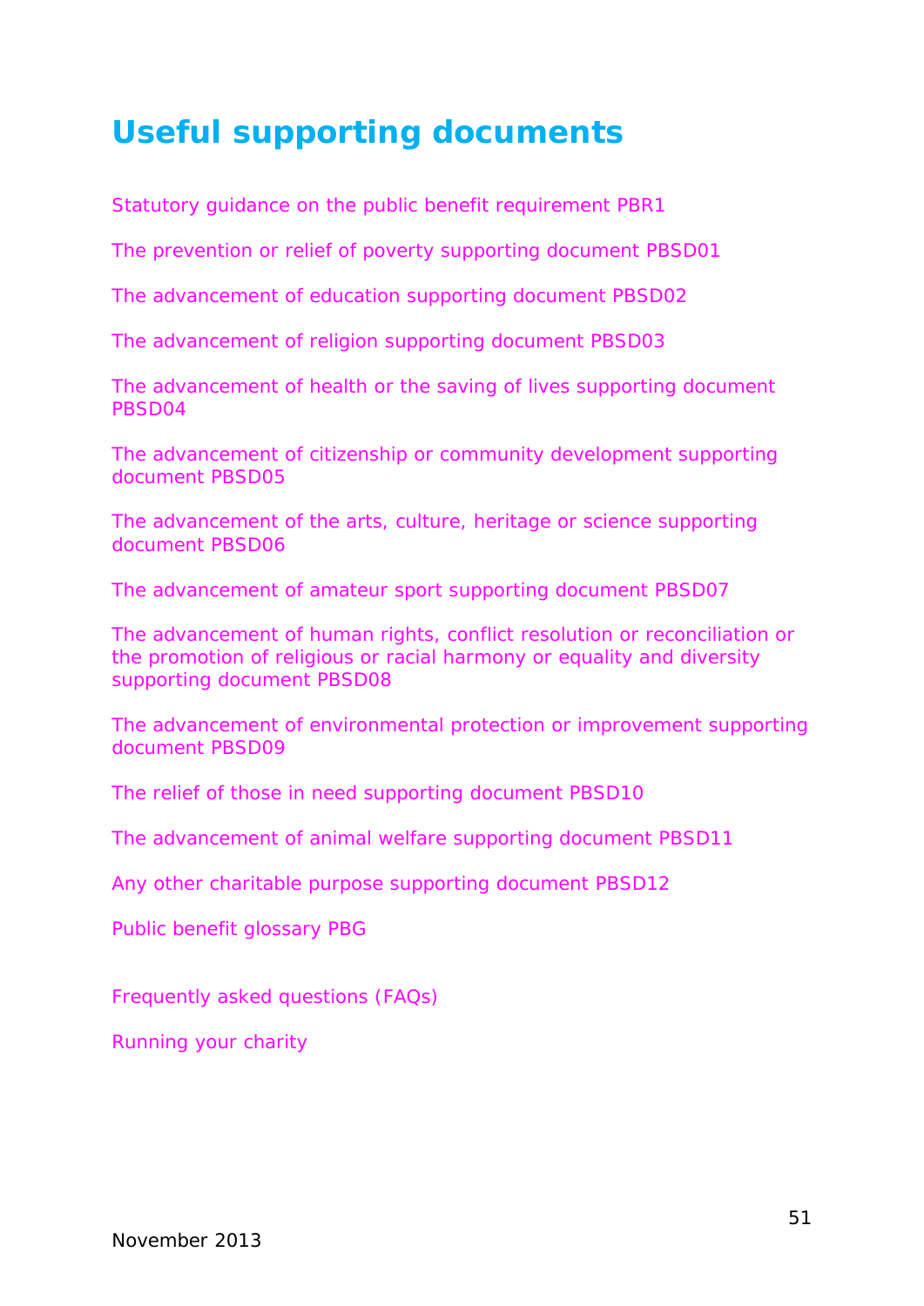### <span id="page-51-0"></span>**[Useful supporting documents](#page-2-0)**

*Statutory guidance on the public benefit requirement PBR1*

*The prevention or relief of poverty supporting document PBSD01*

*The advancement of education supporting document PBSD02*

*The advancement of religion supporting document PBSD03*

*The advancement of health or the saving of lives supporting document PBSD04*

*The advancement of citizenship or community development supporting document PBSD05*

*The advancement of the arts, culture, heritage or science supporting document PBSD06*

*The advancement of amateur sport supporting document PBSD07*

*The advancement of human rights, conflict resolution or reconciliation or the promotion of religious or racial harmony or equality and diversity supporting document PBSD08*

*The advancement of environmental protection or improvement supporting document PBSD09*

*The relief of those in need supporting document PBSD10*

*The advancement of animal welfare supporting document PBSD11*

*Any other charitable purpose supporting document PBSD12*

*Public benefit glossary PBG*

*Frequently asked questions (FAQs)*

*Running your charity*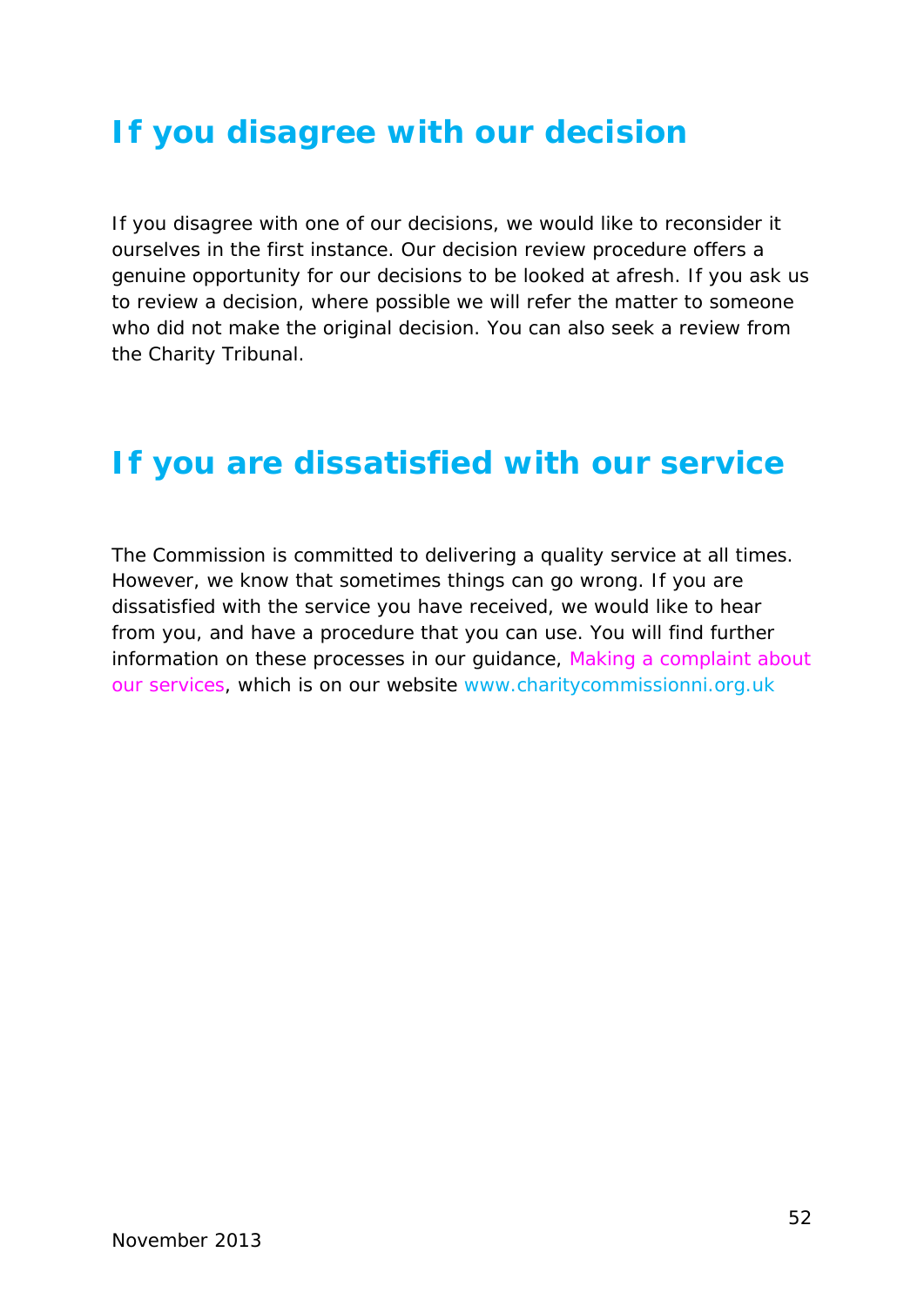### <span id="page-52-0"></span>**If you disagree [with our decision](#page-2-0)**

If you disagree with one of our decisions, we would like to reconsider it ourselves in the first instance. Our decision review procedure offers a genuine opportunity for our decisions to be looked at afresh. If you ask us to review a decision, where possible we will refer the matter to someone who did not make the original decision. You can also seek a review from the Charity Tribunal.

### <span id="page-52-1"></span>**[If you are dissatisfied](#page-2-0) with our service**

The Commission is committed to delivering a quality service at all times. However, we know that sometimes things can go wrong. If you are dissatisfied with the service you have received, we would like to hear from you, and have a procedure that you can use. You will find further information on these processes in our guidance, *Making a complaint about our services*, which is on our website [www.charitycommissionni.org.uk](http://www.charitycommissionni.org.uk/About_us/making_a_complaint.aspx)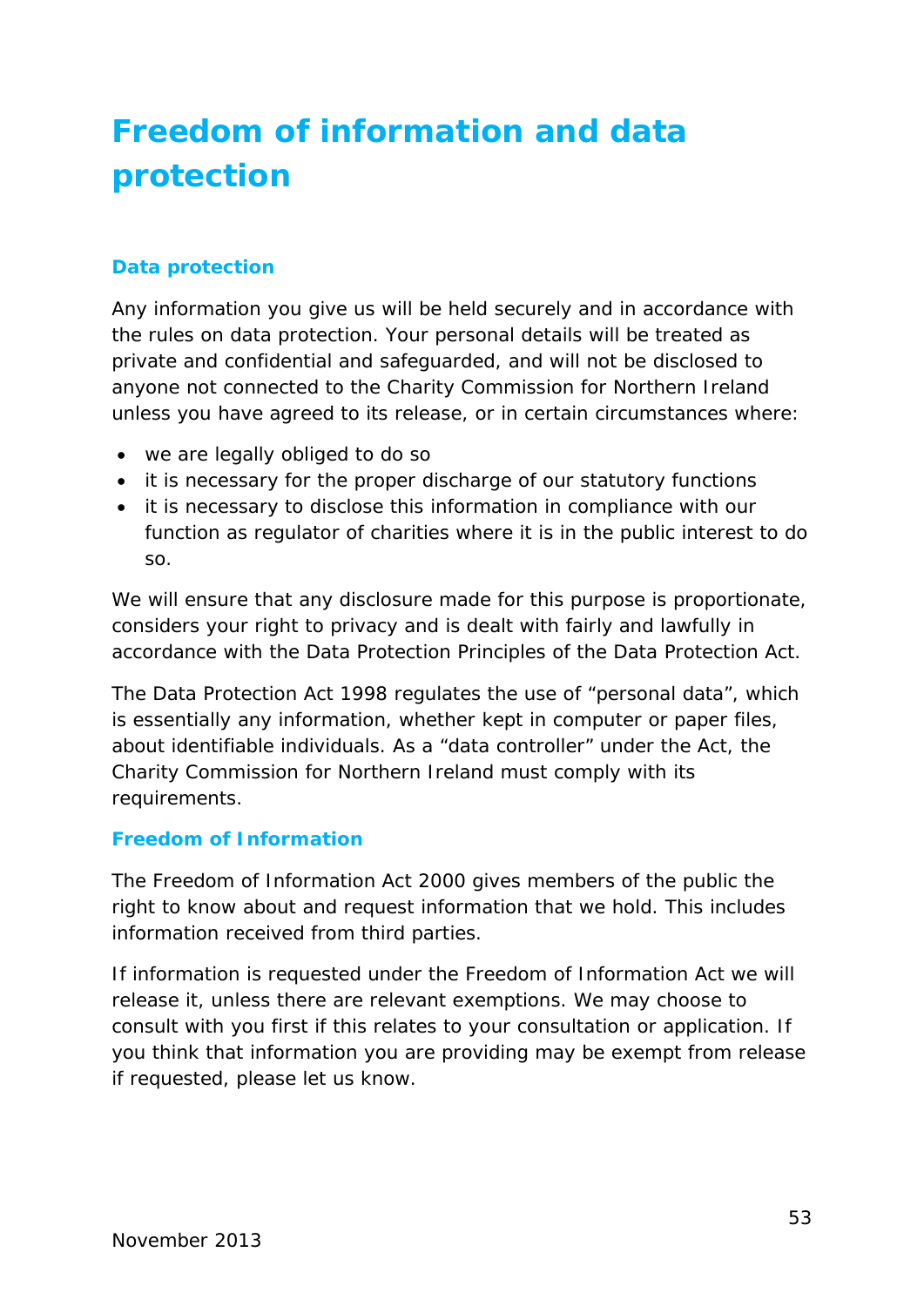## <span id="page-53-0"></span>**[Freedom of information and data](#page-2-0)  [protection](#page-2-0)**

#### **Data protection**

Any information you give us will be held securely and in accordance with the rules on data protection. Your personal details will be treated as private and confidential and safeguarded, and will not be disclosed to anyone not connected to the Charity Commission for Northern Ireland unless you have agreed to its release, or in certain circumstances where:

- we are legally obliged to do so
- it is necessary for the proper discharge of our statutory functions
- it is necessary to disclose this information in compliance with our function as regulator of charities where it is in the public interest to do so.

We will ensure that any disclosure made for this purpose is proportionate, considers your right to privacy and is dealt with fairly and lawfully in accordance with the Data Protection Principles of the Data Protection Act.

The Data Protection Act 1998 regulates the use of "personal data", which is essentially any information, whether kept in computer or paper files, about identifiable individuals. As a "data controller" under the Act, the Charity Commission for Northern Ireland must comply with its requirements.

#### **Freedom of Information**

The Freedom of Information Act 2000 gives members of the public the right to know about and request information that we hold. This includes information received from third parties.

<span id="page-53-1"></span>If information is requested under the Freedom of Information Act we will release it, unless there are relevant exemptions. We may choose to consult with you first if this relates to your consultation or application. If you think that information you are providing may be exempt from release if requested, please let us know.